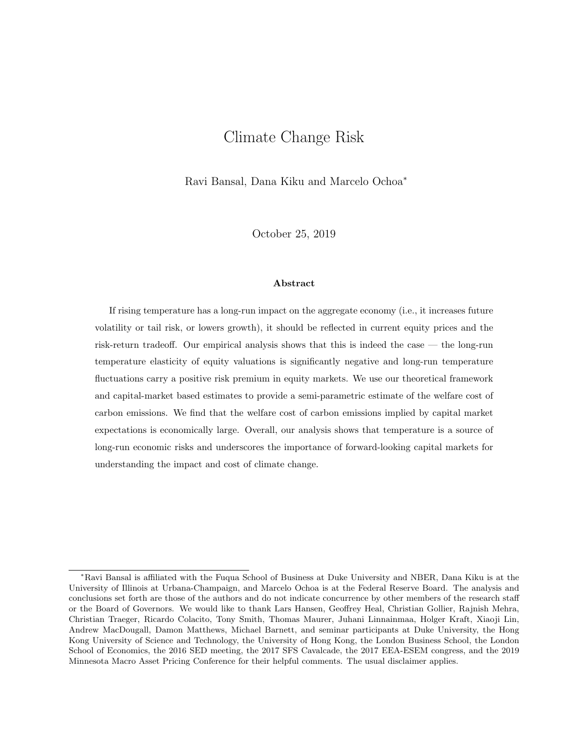# Climate Change Risk

Ravi Bansal, Dana Kiku and Marcelo Ochoa*<sup>∗</sup>*

October 25, 2019

#### **Abstract**

If rising temperature has a long-run impact on the aggregate economy (i.e., it increases future volatility or tail risk, or lowers growth), it should be reflected in current equity prices and the risk-return tradeoff. Our empirical analysis shows that this is indeed the case — the long-run temperature elasticity of equity valuations is significantly negative and long-run temperature fluctuations carry a positive risk premium in equity markets. We use our theoretical framework and capital-market based estimates to provide a semi-parametric estimate of the welfare cost of carbon emissions. We find that the welfare cost of carbon emissions implied by capital market expectations is economically large. Overall, our analysis shows that temperature is a source of long-run economic risks and underscores the importance of forward-looking capital markets for understanding the impact and cost of climate change.

*<sup>∗</sup>*Ravi Bansal is affiliated with the Fuqua School of Business at Duke University and NBER, Dana Kiku is at the University of Illinois at Urbana-Champaign, and Marcelo Ochoa is at the Federal Reserve Board. The analysis and conclusions set forth are those of the authors and do not indicate concurrence by other members of the research staff or the Board of Governors. We would like to thank Lars Hansen, Geoffrey Heal, Christian Gollier, Rajnish Mehra, Christian Traeger, Ricardo Colacito, Tony Smith, Thomas Maurer, Juhani Linnainmaa, Holger Kraft, Xiaoji Lin, Andrew MacDougall, Damon Matthews, Michael Barnett, and seminar participants at Duke University, the Hong Kong University of Science and Technology, the University of Hong Kong, the London Business School, the London School of Economics, the 2016 SED meeting, the 2017 SFS Cavalcade, the 2017 EEA-ESEM congress, and the 2019 Minnesota Macro Asset Pricing Conference for their helpful comments. The usual disclaimer applies.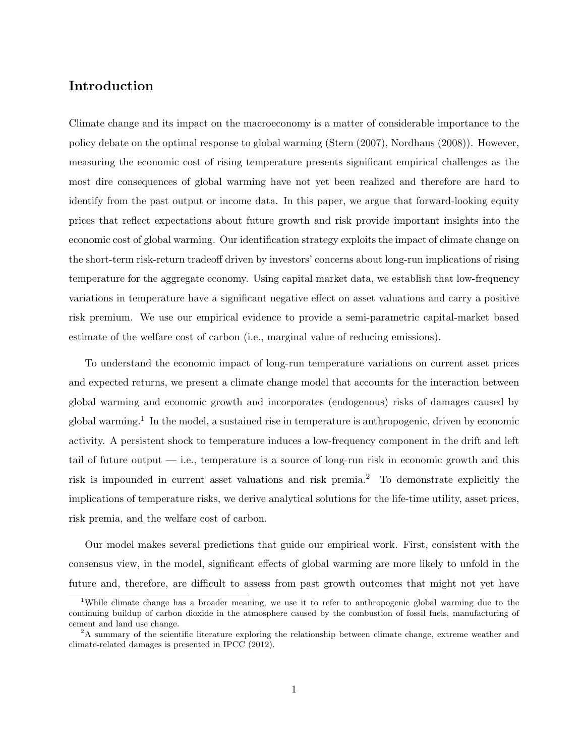# **Introduction**

Climate change and its impact on the macroeconomy is a matter of considerable importance to the policy debate on the optimal response to global warming (Stern (2007), Nordhaus (2008)). However, measuring the economic cost of rising temperature presents significant empirical challenges as the most dire consequences of global warming have not yet been realized and therefore are hard to identify from the past output or income data. In this paper, we argue that forward-looking equity prices that reflect expectations about future growth and risk provide important insights into the economic cost of global warming. Our identification strategy exploits the impact of climate change on the short-term risk-return tradeoff driven by investors' concerns about long-run implications of rising temperature for the aggregate economy. Using capital market data, we establish that low-frequency variations in temperature have a significant negative effect on asset valuations and carry a positive risk premium. We use our empirical evidence to provide a semi-parametric capital-market based estimate of the welfare cost of carbon (i.e., marginal value of reducing emissions).

To understand the economic impact of long-run temperature variations on current asset prices and expected returns, we present a climate change model that accounts for the interaction between global warming and economic growth and incorporates (endogenous) risks of damages caused by global warming.<sup>1</sup> In the model, a sustained rise in temperature is anthropogenic, driven by economic activity. A persistent shock to temperature induces a low-frequency component in the drift and left tail of future output  $-$  i.e., temperature is a source of long-run risk in economic growth and this risk is impounded in current asset valuations and risk premia.<sup>2</sup> To demonstrate explicitly the implications of temperature risks, we derive analytical solutions for the life-time utility, asset prices, risk premia, and the welfare cost of carbon.

Our model makes several predictions that guide our empirical work. First, consistent with the consensus view, in the model, significant effects of global warming are more likely to unfold in the future and, therefore, are difficult to assess from past growth outcomes that might not yet have

<sup>&</sup>lt;sup>1</sup>While climate change has a broader meaning, we use it to refer to anthropogenic global warming due to the continuing buildup of carbon dioxide in the atmosphere caused by the combustion of fossil fuels, manufacturing of cement and land use change.

<sup>&</sup>lt;sup>2</sup>A summary of the scientific literature exploring the relationship between climate change, extreme weather and climate-related damages is presented in IPCC (2012).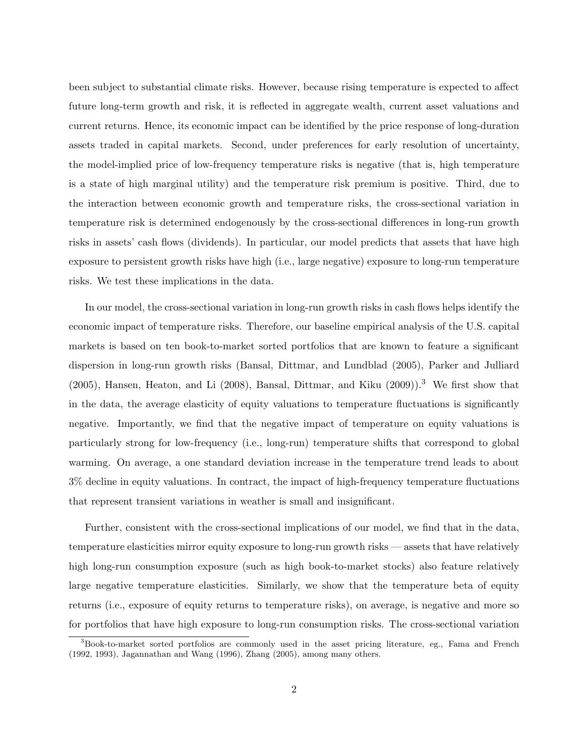been subject to substantial climate risks. However, because rising temperature is expected to affect future long-term growth and risk, it is reflected in aggregate wealth, current asset valuations and current returns. Hence, its economic impact can be identified by the price response of long-duration assets traded in capital markets. Second, under preferences for early resolution of uncertainty, the model-implied price of low-frequency temperature risks is negative (that is, high temperature is a state of high marginal utility) and the temperature risk premium is positive. Third, due to the interaction between economic growth and temperature risks, the cross-sectional variation in temperature risk is determined endogenously by the cross-sectional differences in long-run growth risks in assets' cash flows (dividends). In particular, our model predicts that assets that have high exposure to persistent growth risks have high (i.e., large negative) exposure to long-run temperature risks. We test these implications in the data.

In our model, the cross-sectional variation in long-run growth risks in cash flows helps identify the economic impact of temperature risks. Therefore, our baseline empirical analysis of the U.S. capital markets is based on ten book-to-market sorted portfolios that are known to feature a significant dispersion in long-run growth risks (Bansal, Dittmar, and Lundblad (2005), Parker and Julliard  $(2005)$ , Hansen, Heaton, and Li  $(2008)$ , Bansal, Dittmar, and Kiku  $(2009)$ ).<sup>3</sup> We first show that in the data, the average elasticity of equity valuations to temperature fluctuations is significantly negative. Importantly, we find that the negative impact of temperature on equity valuations is particularly strong for low-frequency (i.e., long-run) temperature shifts that correspond to global warming. On average, a one standard deviation increase in the temperature trend leads to about 3% decline in equity valuations. In contract, the impact of high-frequency temperature fluctuations that represent transient variations in weather is small and insignificant.

Further, consistent with the cross-sectional implications of our model, we find that in the data, temperature elasticities mirror equity exposure to long-run growth risks — assets that have relatively high long-run consumption exposure (such as high book-to-market stocks) also feature relatively large negative temperature elasticities. Similarly, we show that the temperature beta of equity returns (i.e., exposure of equity returns to temperature risks), on average, is negative and more so for portfolios that have high exposure to long-run consumption risks. The cross-sectional variation

<sup>&</sup>lt;sup>3</sup>Book-to-market sorted portfolios are commonly used in the asset pricing literature, eg., Fama and French (1992, 1993), Jagannathan and Wang (1996), Zhang (2005), among many others.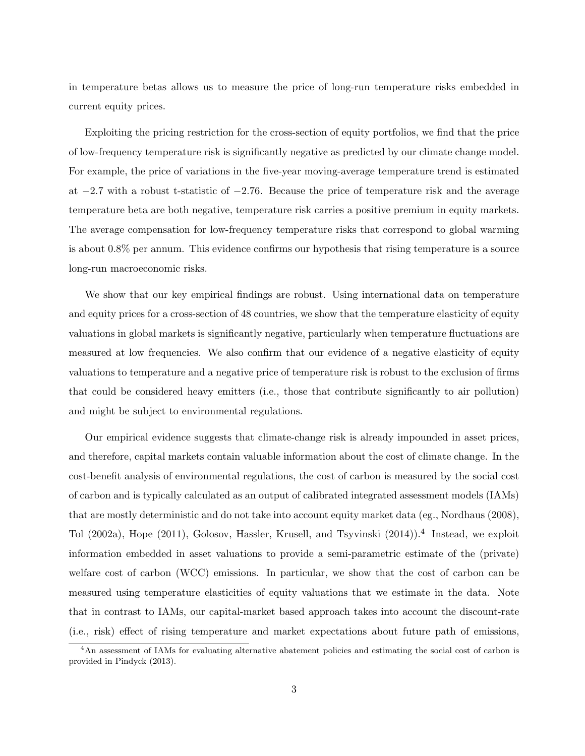in temperature betas allows us to measure the price of long-run temperature risks embedded in current equity prices.

Exploiting the pricing restriction for the cross-section of equity portfolios, we find that the price of low-frequency temperature risk is significantly negative as predicted by our climate change model. For example, the price of variations in the five-year moving-average temperature trend is estimated at *−*2*.*7 with a robust t-statistic of *−*2*.*76. Because the price of temperature risk and the average temperature beta are both negative, temperature risk carries a positive premium in equity markets. The average compensation for low-frequency temperature risks that correspond to global warming is about 0*.*8% per annum. This evidence confirms our hypothesis that rising temperature is a source long-run macroeconomic risks.

We show that our key empirical findings are robust. Using international data on temperature and equity prices for a cross-section of 48 countries, we show that the temperature elasticity of equity valuations in global markets is significantly negative, particularly when temperature fluctuations are measured at low frequencies. We also confirm that our evidence of a negative elasticity of equity valuations to temperature and a negative price of temperature risk is robust to the exclusion of firms that could be considered heavy emitters (i.e., those that contribute significantly to air pollution) and might be subject to environmental regulations.

Our empirical evidence suggests that climate-change risk is already impounded in asset prices, and therefore, capital markets contain valuable information about the cost of climate change. In the cost-benefit analysis of environmental regulations, the cost of carbon is measured by the social cost of carbon and is typically calculated as an output of calibrated integrated assessment models (IAMs) that are mostly deterministic and do not take into account equity market data (eg., Nordhaus (2008), Tol (2002a), Hope (2011), Golosov, Hassler, Krusell, and Tsyvinski (2014)).<sup>4</sup> Instead, we exploit information embedded in asset valuations to provide a semi-parametric estimate of the (private) welfare cost of carbon (WCC) emissions. In particular, we show that the cost of carbon can be measured using temperature elasticities of equity valuations that we estimate in the data. Note that in contrast to IAMs, our capital-market based approach takes into account the discount-rate (i.e., risk) effect of rising temperature and market expectations about future path of emissions,

<sup>&</sup>lt;sup>4</sup>An assessment of IAMs for evaluating alternative abatement policies and estimating the social cost of carbon is provided in Pindyck (2013).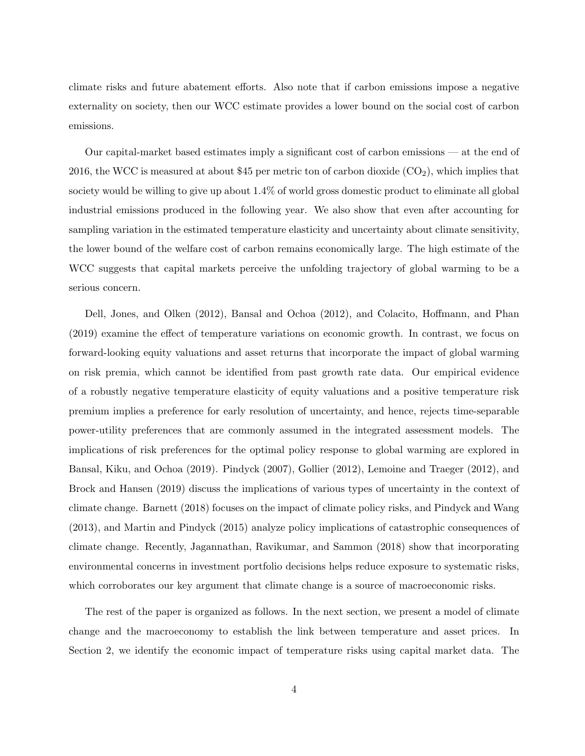climate risks and future abatement efforts. Also note that if carbon emissions impose a negative externality on society, then our WCC estimate provides a lower bound on the social cost of carbon emissions.

Our capital-market based estimates imply a significant cost of carbon emissions — at the end of 2016, the WCC is measured at about \$45 per metric ton of carbon dioxide  $(CO<sub>2</sub>)$ , which implies that society would be willing to give up about 1.4% of world gross domestic product to eliminate all global industrial emissions produced in the following year. We also show that even after accounting for sampling variation in the estimated temperature elasticity and uncertainty about climate sensitivity, the lower bound of the welfare cost of carbon remains economically large. The high estimate of the WCC suggests that capital markets perceive the unfolding trajectory of global warming to be a serious concern.

Dell, Jones, and Olken (2012), Bansal and Ochoa (2012), and Colacito, Hoffmann, and Phan (2019) examine the effect of temperature variations on economic growth. In contrast, we focus on forward-looking equity valuations and asset returns that incorporate the impact of global warming on risk premia, which cannot be identified from past growth rate data. Our empirical evidence of a robustly negative temperature elasticity of equity valuations and a positive temperature risk premium implies a preference for early resolution of uncertainty, and hence, rejects time-separable power-utility preferences that are commonly assumed in the integrated assessment models. The implications of risk preferences for the optimal policy response to global warming are explored in Bansal, Kiku, and Ochoa (2019). Pindyck (2007), Gollier (2012), Lemoine and Traeger (2012), and Brock and Hansen (2019) discuss the implications of various types of uncertainty in the context of climate change. Barnett (2018) focuses on the impact of climate policy risks, and Pindyck and Wang (2013), and Martin and Pindyck (2015) analyze policy implications of catastrophic consequences of climate change. Recently, Jagannathan, Ravikumar, and Sammon (2018) show that incorporating environmental concerns in investment portfolio decisions helps reduce exposure to systematic risks, which corroborates our key argument that climate change is a source of macroeconomic risks.

The rest of the paper is organized as follows. In the next section, we present a model of climate change and the macroeconomy to establish the link between temperature and asset prices. In Section 2, we identify the economic impact of temperature risks using capital market data. The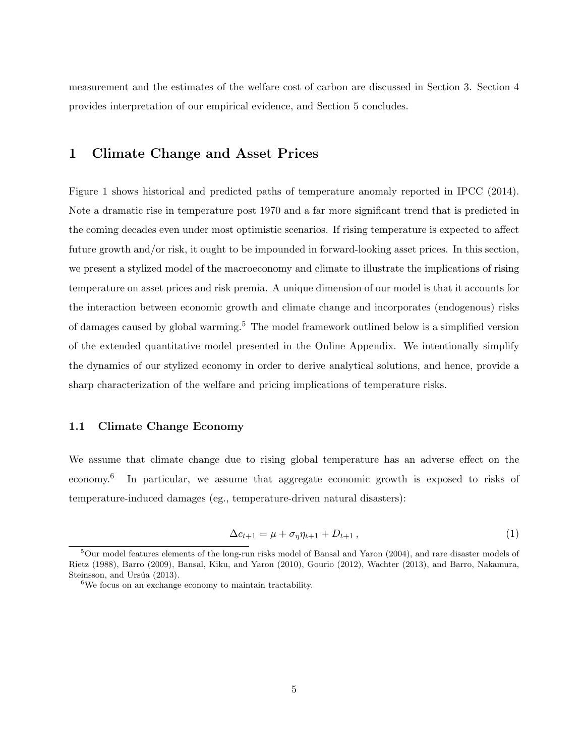measurement and the estimates of the welfare cost of carbon are discussed in Section 3. Section 4 provides interpretation of our empirical evidence, and Section 5 concludes.

# **1 Climate Change and Asset Prices**

Figure 1 shows historical and predicted paths of temperature anomaly reported in IPCC (2014). Note a dramatic rise in temperature post 1970 and a far more significant trend that is predicted in the coming decades even under most optimistic scenarios. If rising temperature is expected to affect future growth and/or risk, it ought to be impounded in forward-looking asset prices. In this section, we present a stylized model of the macroeconomy and climate to illustrate the implications of rising temperature on asset prices and risk premia. A unique dimension of our model is that it accounts for the interaction between economic growth and climate change and incorporates (endogenous) risks of damages caused by global warming.<sup>5</sup> The model framework outlined below is a simplified version of the extended quantitative model presented in the Online Appendix. We intentionally simplify the dynamics of our stylized economy in order to derive analytical solutions, and hence, provide a sharp characterization of the welfare and pricing implications of temperature risks.

#### **1.1 Climate Change Economy**

We assume that climate change due to rising global temperature has an adverse effect on the economy.<sup>6</sup> In particular, we assume that aggregate economic growth is exposed to risks of temperature-induced damages (eg., temperature-driven natural disasters):

$$
\Delta c_{t+1} = \mu + \sigma_{\eta} \eta_{t+1} + D_{t+1}, \qquad (1)
$$

<sup>&</sup>lt;sup>5</sup>Our model features elements of the long-run risks model of Bansal and Yaron (2004), and rare disaster models of Rietz (1988), Barro (2009), Bansal, Kiku, and Yaron (2010), Gourio (2012), Wachter (2013), and Barro, Nakamura, Steinsson, and Ursúa (2013).

 $6\text{We focus on an exchange economy to maintain tractability.}$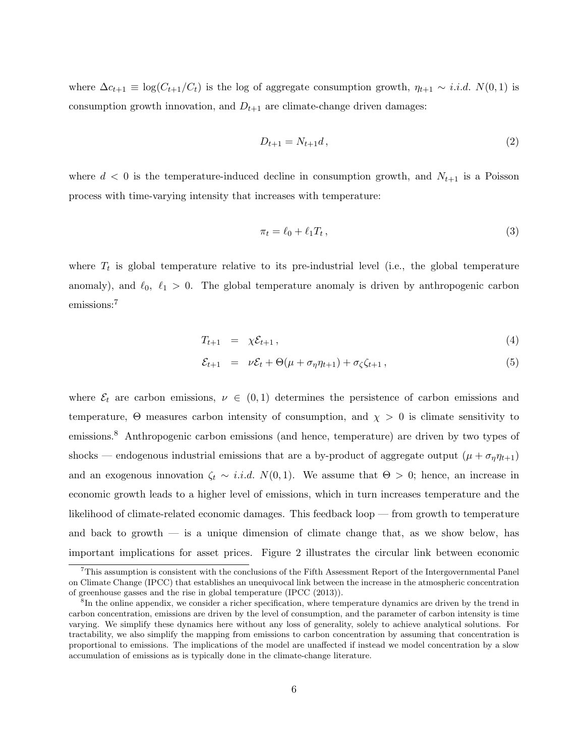where  $\Delta c_{t+1} \equiv \log(C_{t+1}/C_t)$  is the log of aggregate consumption growth,  $\eta_{t+1} \sim i.i.d. N(0,1)$  is consumption growth innovation, and  $D_{t+1}$  are climate-change driven damages:

$$
D_{t+1} = N_{t+1}d, \t\t(2)
$$

where  $d < 0$  is the temperature-induced decline in consumption growth, and  $N_{t+1}$  is a Poisson process with time-varying intensity that increases with temperature:

$$
\pi_t = \ell_0 + \ell_1 T_t, \qquad (3)
$$

where  $T_t$  is global temperature relative to its pre-industrial level (i.e., the global temperature anomaly), and  $\ell_0$ ,  $\ell_1 > 0$ . The global temperature anomaly is driven by anthropogenic carbon emissions:<sup>7</sup>

$$
T_{t+1} = \chi \mathcal{E}_{t+1}, \qquad (4)
$$

$$
\mathcal{E}_{t+1} = \nu \mathcal{E}_t + \Theta(\mu + \sigma_\eta \eta_{t+1}) + \sigma_\zeta \zeta_{t+1}, \tag{5}
$$

where  $\mathcal{E}_t$  are carbon emissions,  $\nu \in (0,1)$  determines the persistence of carbon emissions and temperature,  $\Theta$  measures carbon intensity of consumption, and  $\chi > 0$  is climate sensitivity to emissions.<sup>8</sup> Anthropogenic carbon emissions (and hence, temperature) are driven by two types of shocks — endogenous industrial emissions that are a by-product of aggregate output  $(\mu + \sigma_{\eta} \eta_{t+1})$ and an exogenous innovation  $\zeta_t \sim i.i.d. N(0,1)$ . We assume that  $\Theta > 0$ ; hence, an increase in economic growth leads to a higher level of emissions, which in turn increases temperature and the likelihood of climate-related economic damages. This feedback loop — from growth to temperature and back to growth — is a unique dimension of climate change that, as we show below, has important implications for asset prices. Figure 2 illustrates the circular link between economic

 $7$ This assumption is consistent with the conclusions of the Fifth Assessment Report of the Intergovernmental Panel on Climate Change (IPCC) that establishes an unequivocal link between the increase in the atmospheric concentration of greenhouse gasses and the rise in global temperature (IPCC (2013)).

<sup>&</sup>lt;sup>8</sup>In the online appendix, we consider a richer specification, where temperature dynamics are driven by the trend in carbon concentration, emissions are driven by the level of consumption, and the parameter of carbon intensity is time varying. We simplify these dynamics here without any loss of generality, solely to achieve analytical solutions. For tractability, we also simplify the mapping from emissions to carbon concentration by assuming that concentration is proportional to emissions. The implications of the model are unaffected if instead we model concentration by a slow accumulation of emissions as is typically done in the climate-change literature.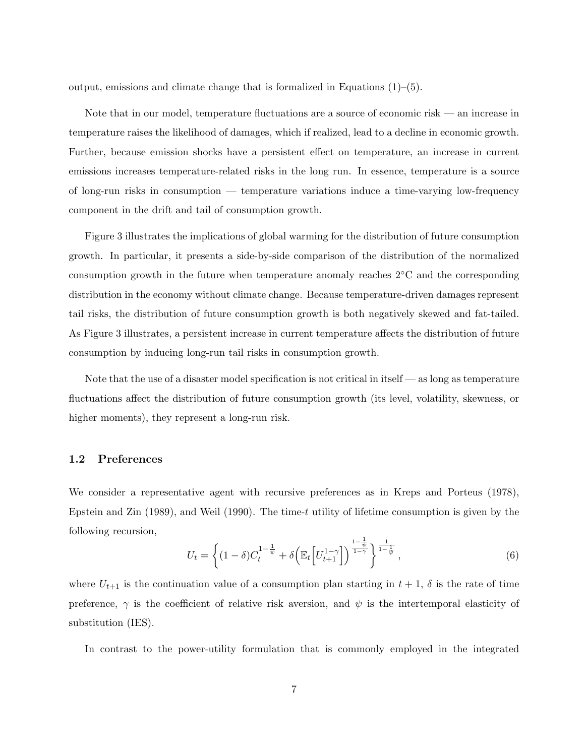output, emissions and climate change that is formalized in Equations  $(1)$ – $(5)$ .

Note that in our model, temperature fluctuations are a source of economic risk — an increase in temperature raises the likelihood of damages, which if realized, lead to a decline in economic growth. Further, because emission shocks have a persistent effect on temperature, an increase in current emissions increases temperature-related risks in the long run. In essence, temperature is a source of long-run risks in consumption — temperature variations induce a time-varying low-frequency component in the drift and tail of consumption growth.

Figure 3 illustrates the implications of global warming for the distribution of future consumption growth. In particular, it presents a side-by-side comparison of the distribution of the normalized consumption growth in the future when temperature anomaly reaches 2*◦*C and the corresponding distribution in the economy without climate change. Because temperature-driven damages represent tail risks, the distribution of future consumption growth is both negatively skewed and fat-tailed. As Figure 3 illustrates, a persistent increase in current temperature affects the distribution of future consumption by inducing long-run tail risks in consumption growth.

Note that the use of a disaster model specification is not critical in itself — as long as temperature fluctuations affect the distribution of future consumption growth (its level, volatility, skewness, or higher moments), they represent a long-run risk.

### **1.2 Preferences**

We consider a representative agent with recursive preferences as in Kreps and Porteus (1978), Epstein and Zin (1989), and Weil (1990). The time-*t* utility of lifetime consumption is given by the following recursion,

$$
U_t = \left\{ (1 - \delta) C_t^{1 - \frac{1}{\psi}} + \delta \left( \mathbb{E}_t \left[ U_{t+1}^{1 - \gamma} \right] \right)^{\frac{1 - \frac{1}{\psi}}{1 - \gamma}} \right\}^{\frac{1}{1 - \frac{1}{\psi}}},\tag{6}
$$

where  $U_{t+1}$  is the continuation value of a consumption plan starting in  $t+1$ ,  $\delta$  is the rate of time preference,  $\gamma$  is the coefficient of relative risk aversion, and  $\psi$  is the intertemporal elasticity of substitution (IES).

In contrast to the power-utility formulation that is commonly employed in the integrated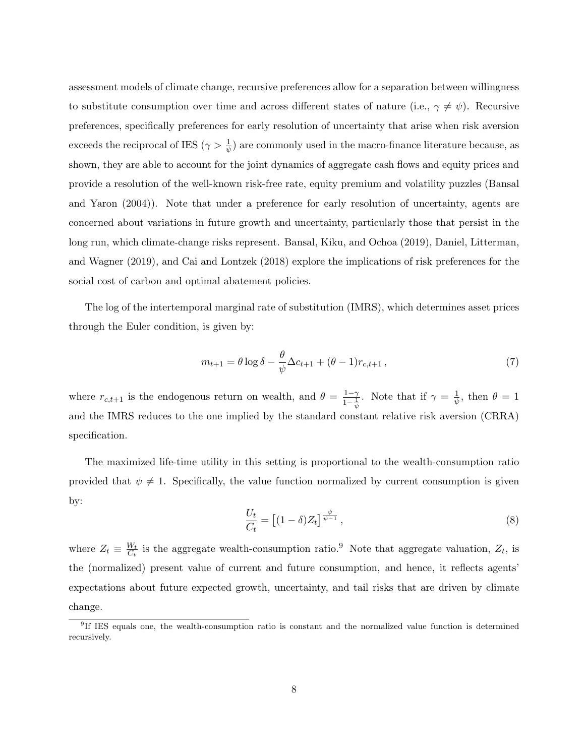assessment models of climate change, recursive preferences allow for a separation between willingness to substitute consumption over time and across different states of nature (i.e.,  $\gamma \neq \psi$ ). Recursive preferences, specifically preferences for early resolution of uncertainty that arise when risk aversion exceeds the reciprocal of IES ( $\gamma > \frac{1}{\psi}$ ) are commonly used in the macro-finance literature because, as shown, they are able to account for the joint dynamics of aggregate cash flows and equity prices and provide a resolution of the well-known risk-free rate, equity premium and volatility puzzles (Bansal and Yaron (2004)). Note that under a preference for early resolution of uncertainty, agents are concerned about variations in future growth and uncertainty, particularly those that persist in the long run, which climate-change risks represent. Bansal, Kiku, and Ochoa (2019), Daniel, Litterman, and Wagner (2019), and Cai and Lontzek (2018) explore the implications of risk preferences for the social cost of carbon and optimal abatement policies.

The log of the intertemporal marginal rate of substitution (IMRS), which determines asset prices through the Euler condition, is given by:

$$
m_{t+1} = \theta \log \delta - \frac{\theta}{\psi} \Delta c_{t+1} + (\theta - 1)r_{c,t+1},\tag{7}
$$

where  $r_{c,t+1}$  is the endogenous return on wealth, and  $\theta = \frac{1-\gamma}{1-1}$  $\frac{1-\gamma}{1-\frac{1}{\psi}}$ . Note that if  $\gamma = \frac{1}{\psi}$  $\frac{1}{\psi}$ , then  $\theta = 1$ and the IMRS reduces to the one implied by the standard constant relative risk aversion (CRRA) specification.

The maximized life-time utility in this setting is proportional to the wealth-consumption ratio provided that  $\psi \neq 1$ . Specifically, the value function normalized by current consumption is given by:

$$
\frac{U_t}{C_t} = \left[ (1 - \delta) Z_t \right]^{\frac{\psi}{\psi - 1}},\tag{8}
$$

where  $Z_t \equiv \frac{W_t}{C_t}$  $\frac{W_t}{C_t}$  is the aggregate wealth-consumption ratio.<sup>9</sup> Note that aggregate valuation,  $Z_t$ , is the (normalized) present value of current and future consumption, and hence, it reflects agents' expectations about future expected growth, uncertainty, and tail risks that are driven by climate change.

<sup>&</sup>lt;sup>9</sup>If IES equals one, the wealth-consumption ratio is constant and the normalized value function is determined recursively.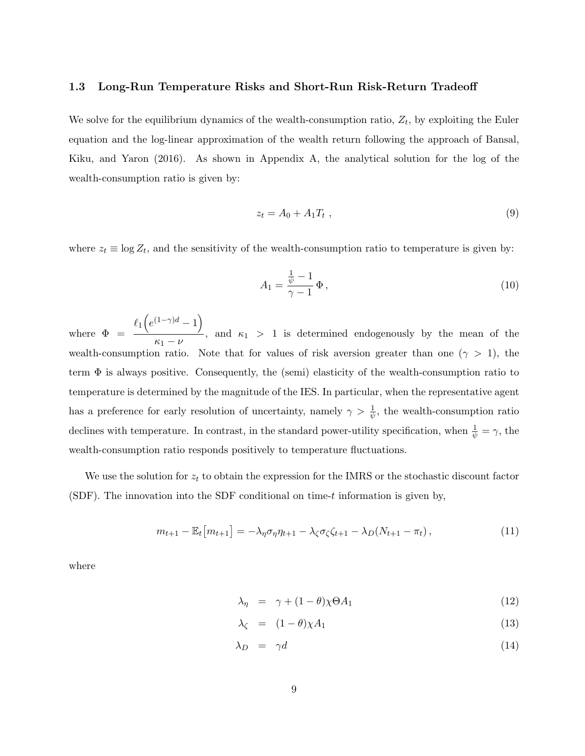#### **1.3 Long-Run Temperature Risks and Short-Run Risk-Return Tradeoff**

We solve for the equilibrium dynamics of the wealth-consumption ratio,  $Z_t$ , by exploiting the Euler equation and the log-linear approximation of the wealth return following the approach of Bansal, Kiku, and Yaron (2016). As shown in Appendix A, the analytical solution for the log of the wealth-consumption ratio is given by:

$$
z_t = A_0 + A_1 T_t \t\t(9)
$$

where  $z_t \equiv \log Z_t$ , and the sensitivity of the wealth-consumption ratio to temperature is given by:

$$
A_1 = \frac{\frac{1}{\psi} - 1}{\gamma - 1} \Phi,
$$
\n<sup>(10)</sup>

where  $\Phi =$  $\ell_1\left(e^{(1-\gamma)d}-1\right)$  $\frac{1}{\kappa_1 - \nu}$ , and  $\kappa_1 > 1$  is determined endogenously by the mean of the wealth-consumption ratio. Note that for values of risk aversion greater than one ( $\gamma > 1$ ), the term  $\Phi$  is always positive. Consequently, the (semi) elasticity of the wealth-consumption ratio to temperature is determined by the magnitude of the IES. In particular, when the representative agent has a preference for early resolution of uncertainty, namely  $\gamma > \frac{1}{\psi}$ , the wealth-consumption ratio declines with temperature. In contrast, in the standard power-utility specification, when  $\frac{1}{\psi} = \gamma$ , the wealth-consumption ratio responds positively to temperature fluctuations.

We use the solution for *z<sup>t</sup>* to obtain the expression for the IMRS or the stochastic discount factor (SDF). The innovation into the SDF conditional on time-*t* information is given by,

$$
m_{t+1} - \mathbb{E}_t[m_{t+1}] = -\lambda_{\eta}\sigma_{\eta}\eta_{t+1} - \lambda_{\zeta}\sigma_{\zeta}\zeta_{t+1} - \lambda_D(N_{t+1} - \pi_t), \qquad (11)
$$

where

$$
\lambda_{\eta} = \gamma + (1 - \theta)\chi \Theta A_1 \tag{12}
$$

$$
\lambda_{\zeta} = (1 - \theta) \chi A_1 \tag{13}
$$

$$
\lambda_D = \gamma d \tag{14}
$$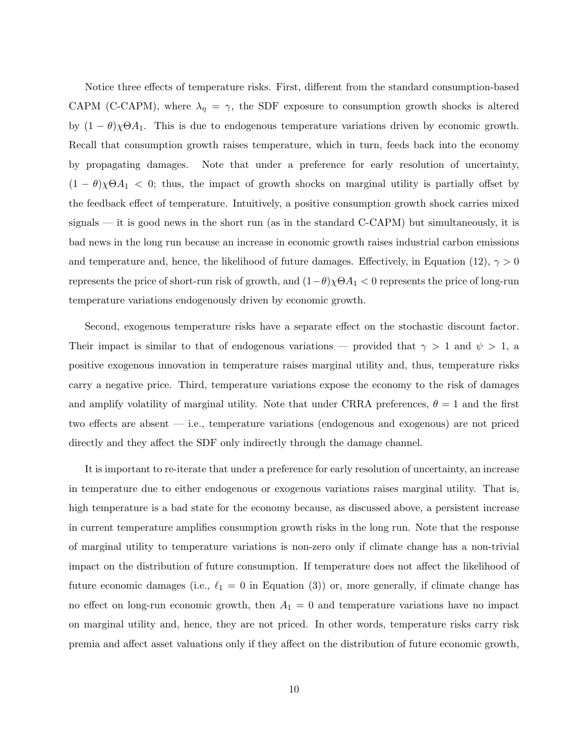Notice three effects of temperature risks. First, different from the standard consumption-based CAPM (C-CAPM), where  $\lambda_{\eta} = \gamma$ , the SDF exposure to consumption growth shocks is altered by  $(1 - \theta)\chi\Theta A_1$ . This is due to endogenous temperature variations driven by economic growth. Recall that consumption growth raises temperature, which in turn, feeds back into the economy by propagating damages. Note that under a preference for early resolution of uncertainty,  $(1 - \theta)\chi\Theta A_1 < 0$ ; thus, the impact of growth shocks on marginal utility is partially offset by the feedback effect of temperature. Intuitively, a positive consumption growth shock carries mixed signals  $-$  it is good news in the short run (as in the standard C-CAPM) but simultaneously, it is bad news in the long run because an increase in economic growth raises industrial carbon emissions and temperature and, hence, the likelihood of future damages. Effectively, in Equation (12),  $\gamma > 0$ represents the price of short-run risk of growth, and (1*−θ*)*χ*Θ*A*<sup>1</sup> *<* 0 represents the price of long-run temperature variations endogenously driven by economic growth.

Second, exogenous temperature risks have a separate effect on the stochastic discount factor. Their impact is similar to that of endogenous variations — provided that  $\gamma > 1$  and  $\psi > 1$ , a positive exogenous innovation in temperature raises marginal utility and, thus, temperature risks carry a negative price. Third, temperature variations expose the economy to the risk of damages and amplify volatility of marginal utility. Note that under CRRA preferences,  $\theta = 1$  and the first two effects are absent — i.e., temperature variations (endogenous and exogenous) are not priced directly and they affect the SDF only indirectly through the damage channel.

It is important to re-iterate that under a preference for early resolution of uncertainty, an increase in temperature due to either endogenous or exogenous variations raises marginal utility. That is, high temperature is a bad state for the economy because, as discussed above, a persistent increase in current temperature amplifies consumption growth risks in the long run. Note that the response of marginal utility to temperature variations is non-zero only if climate change has a non-trivial impact on the distribution of future consumption. If temperature does not affect the likelihood of future economic damages (i.e.,  $\ell_1 = 0$  in Equation (3)) or, more generally, if climate change has no effect on long-run economic growth, then  $A_1 = 0$  and temperature variations have no impact on marginal utility and, hence, they are not priced. In other words, temperature risks carry risk premia and affect asset valuations only if they affect on the distribution of future economic growth,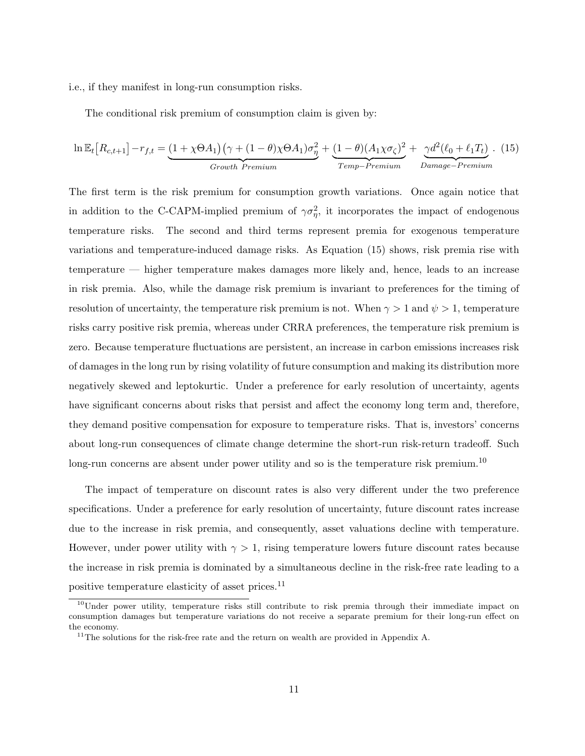i.e., if they manifest in long-run consumption risks.

The conditional risk premium of consumption claim is given by:

$$
\ln \mathbb{E}_{t} \left[ R_{c,t+1} \right] - r_{f,t} = \underbrace{(1 + \chi \Theta A_{1}) \left( \gamma + (1 - \theta) \chi \Theta A_{1} \right) \sigma_{\eta}^{2}}_{Growth\ Premium} + \underbrace{(1 - \theta) (A_{1} \chi \sigma_{\zeta})^{2}}_{Temp-Premium} + \underbrace{\gamma d^{2} (\ell_{0} + \ell_{1} T_{t})}_{Damage-Premium} . \tag{15}
$$

The first term is the risk premium for consumption growth variations. Once again notice that in addition to the C-CAPM-implied premium of  $\gamma \sigma_{\eta}^2$ , it incorporates the impact of endogenous temperature risks. The second and third terms represent premia for exogenous temperature variations and temperature-induced damage risks. As Equation (15) shows, risk premia rise with temperature — higher temperature makes damages more likely and, hence, leads to an increase in risk premia. Also, while the damage risk premium is invariant to preferences for the timing of resolution of uncertainty, the temperature risk premium is not. When  $\gamma > 1$  and  $\psi > 1$ , temperature risks carry positive risk premia, whereas under CRRA preferences, the temperature risk premium is zero. Because temperature fluctuations are persistent, an increase in carbon emissions increases risk of damages in the long run by rising volatility of future consumption and making its distribution more negatively skewed and leptokurtic. Under a preference for early resolution of uncertainty, agents have significant concerns about risks that persist and affect the economy long term and, therefore, they demand positive compensation for exposure to temperature risks. That is, investors' concerns about long-run consequences of climate change determine the short-run risk-return tradeoff. Such long-run concerns are absent under power utility and so is the temperature risk premium.<sup>10</sup>

The impact of temperature on discount rates is also very different under the two preference specifications. Under a preference for early resolution of uncertainty, future discount rates increase due to the increase in risk premia, and consequently, asset valuations decline with temperature. However, under power utility with  $\gamma > 1$ , rising temperature lowers future discount rates because the increase in risk premia is dominated by a simultaneous decline in the risk-free rate leading to a positive temperature elasticity of asset prices.<sup>11</sup>

<sup>&</sup>lt;sup>10</sup>Under power utility, temperature risks still contribute to risk premia through their immediate impact on consumption damages but temperature variations do not receive a separate premium for their long-run effect on the economy.

<sup>&</sup>lt;sup>11</sup>The solutions for the risk-free rate and the return on wealth are provided in Appendix A.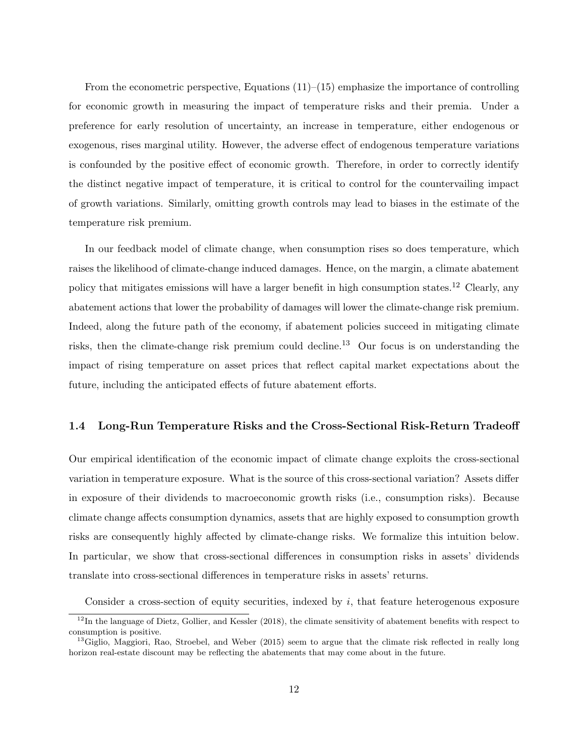From the econometric perspective, Equations  $(11)$ – $(15)$  emphasize the importance of controlling for economic growth in measuring the impact of temperature risks and their premia. Under a preference for early resolution of uncertainty, an increase in temperature, either endogenous or exogenous, rises marginal utility. However, the adverse effect of endogenous temperature variations is confounded by the positive effect of economic growth. Therefore, in order to correctly identify the distinct negative impact of temperature, it is critical to control for the countervailing impact of growth variations. Similarly, omitting growth controls may lead to biases in the estimate of the temperature risk premium.

In our feedback model of climate change, when consumption rises so does temperature, which raises the likelihood of climate-change induced damages. Hence, on the margin, a climate abatement policy that mitigates emissions will have a larger benefit in high consumption states.<sup>12</sup> Clearly, any abatement actions that lower the probability of damages will lower the climate-change risk premium. Indeed, along the future path of the economy, if abatement policies succeed in mitigating climate risks, then the climate-change risk premium could decline.<sup>13</sup> Our focus is on understanding the impact of rising temperature on asset prices that reflect capital market expectations about the future, including the anticipated effects of future abatement efforts.

#### **1.4 Long-Run Temperature Risks and the Cross-Sectional Risk-Return Tradeoff**

Our empirical identification of the economic impact of climate change exploits the cross-sectional variation in temperature exposure. What is the source of this cross-sectional variation? Assets differ in exposure of their dividends to macroeconomic growth risks (i.e., consumption risks). Because climate change affects consumption dynamics, assets that are highly exposed to consumption growth risks are consequently highly affected by climate-change risks. We formalize this intuition below. In particular, we show that cross-sectional differences in consumption risks in assets' dividends translate into cross-sectional differences in temperature risks in assets' returns.

Consider a cross-section of equity securities, indexed by *i*, that feature heterogenous exposure

 $12$ In the language of Dietz, Gollier, and Kessler (2018), the climate sensitivity of abatement benefits with respect to consumption is positive.

 $^{13}$ Giglio, Maggiori, Rao, Stroebel, and Weber (2015) seem to argue that the climate risk reflected in really long horizon real-estate discount may be reflecting the abatements that may come about in the future.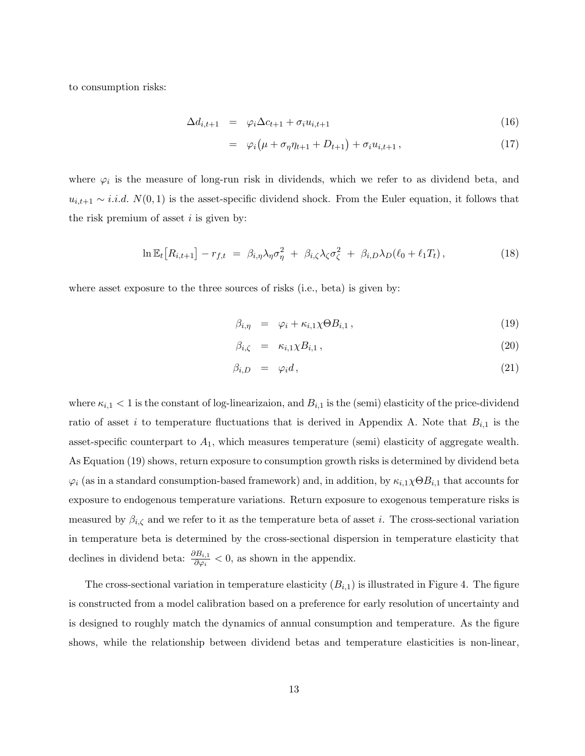to consumption risks:

$$
\Delta d_{i,t+1} = \varphi_i \Delta c_{t+1} + \sigma_i u_{i,t+1} \tag{16}
$$

$$
= \varphi_i(\mu + \sigma_\eta \eta_{t+1} + D_{t+1}) + \sigma_i u_{i,t+1}, \qquad (17)
$$

where  $\varphi_i$  is the measure of long-run risk in dividends, which we refer to as dividend beta, and  $u_{i,t+1} \sim i.i.d. N(0,1)$  is the asset-specific dividend shock. From the Euler equation, it follows that the risk premium of asset *i* is given by:

$$
\ln \mathbb{E}_t \big[ R_{i,t+1} \big] - r_{f,t} \ = \ \beta_{i,\eta} \lambda_{\eta} \sigma_{\eta}^2 \ + \ \beta_{i,\zeta} \lambda_{\zeta} \sigma_{\zeta}^2 \ + \ \beta_{i,D} \lambda_D (\ell_0 + \ell_1 T_t) \,, \tag{18}
$$

where asset exposure to the three sources of risks (i.e., beta) is given by:

$$
\beta_{i,\eta} = \varphi_i + \kappa_{i,1} \chi \Theta B_{i,1}, \qquad (19)
$$

$$
\beta_{i,\zeta} = \kappa_{i,1} \chi B_{i,1} \,, \tag{20}
$$

$$
\beta_{i,D} = \varphi_i d, \qquad (21)
$$

where  $\kappa_{i,1}$  < 1 is the constant of log-linearizaion, and  $B_{i,1}$  is the (semi) elasticity of the price-dividend ratio of asset *i* to temperature fluctuations that is derived in Appendix A. Note that  $B_{i,1}$  is the asset-specific counterpart to  $A_1$ , which measures temperature (semi) elasticity of aggregate wealth. As Equation (19) shows, return exposure to consumption growth risks is determined by dividend beta  $\varphi_i$  (as in a standard consumption-based framework) and, in addition, by  $\kappa_{i,1}\chi\Theta B_{i,1}$  that accounts for exposure to endogenous temperature variations. Return exposure to exogenous temperature risks is measured by  $\beta_{i,\zeta}$  and we refer to it as the temperature beta of asset *i*. The cross-sectional variation in temperature beta is determined by the cross-sectional dispersion in temperature elasticity that declines in dividend beta:  $\frac{\partial B_{i,1}}{\partial \varphi_i} < 0$ , as shown in the appendix.

The cross-sectional variation in temperature elasticity  $(B_{i,1})$  is illustrated in Figure 4. The figure is constructed from a model calibration based on a preference for early resolution of uncertainty and is designed to roughly match the dynamics of annual consumption and temperature. As the figure shows, while the relationship between dividend betas and temperature elasticities is non-linear,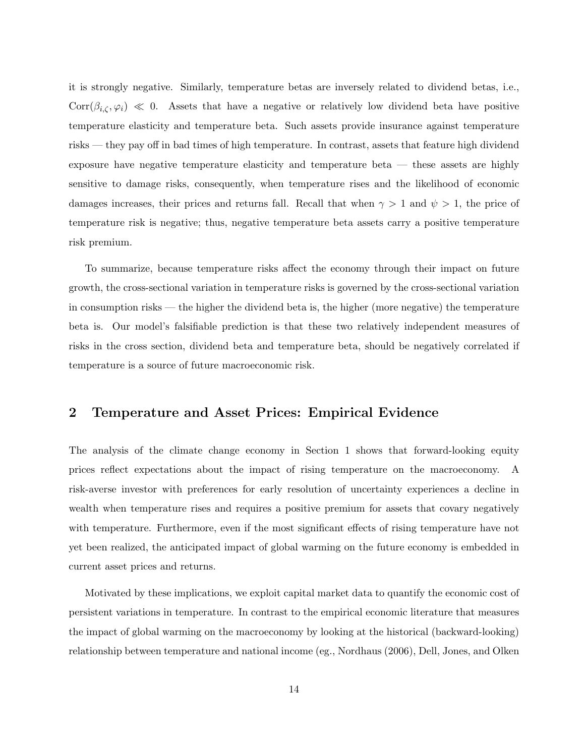it is strongly negative. Similarly, temperature betas are inversely related to dividend betas, i.e.,  $Corr(\beta_{i,\zeta},\varphi_i) \ll 0$ . Assets that have a negative or relatively low dividend beta have positive temperature elasticity and temperature beta. Such assets provide insurance against temperature risks — they pay off in bad times of high temperature. In contrast, assets that feature high dividend exposure have negative temperature elasticity and temperature beta — these assets are highly sensitive to damage risks, consequently, when temperature rises and the likelihood of economic damages increases, their prices and returns fall. Recall that when  $\gamma > 1$  and  $\psi > 1$ , the price of temperature risk is negative; thus, negative temperature beta assets carry a positive temperature risk premium.

To summarize, because temperature risks affect the economy through their impact on future growth, the cross-sectional variation in temperature risks is governed by the cross-sectional variation in consumption risks — the higher the dividend beta is, the higher (more negative) the temperature beta is. Our model's falsifiable prediction is that these two relatively independent measures of risks in the cross section, dividend beta and temperature beta, should be negatively correlated if temperature is a source of future macroeconomic risk.

### **2 Temperature and Asset Prices: Empirical Evidence**

The analysis of the climate change economy in Section 1 shows that forward-looking equity prices reflect expectations about the impact of rising temperature on the macroeconomy. A risk-averse investor with preferences for early resolution of uncertainty experiences a decline in wealth when temperature rises and requires a positive premium for assets that covary negatively with temperature. Furthermore, even if the most significant effects of rising temperature have not yet been realized, the anticipated impact of global warming on the future economy is embedded in current asset prices and returns.

Motivated by these implications, we exploit capital market data to quantify the economic cost of persistent variations in temperature. In contrast to the empirical economic literature that measures the impact of global warming on the macroeconomy by looking at the historical (backward-looking) relationship between temperature and national income (eg., Nordhaus (2006), Dell, Jones, and Olken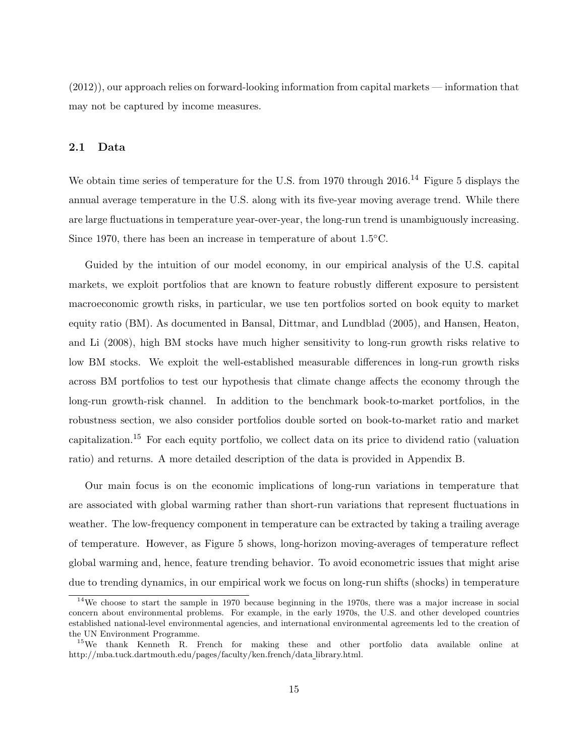(2012)), our approach relies on forward-looking information from capital markets — information that may not be captured by income measures.

#### **2.1 Data**

We obtain time series of temperature for the U.S. from 1970 through 2016.<sup>14</sup> Figure 5 displays the annual average temperature in the U.S. along with its five-year moving average trend. While there are large fluctuations in temperature year-over-year, the long-run trend is unambiguously increasing. Since 1970, there has been an increase in temperature of about 1.5*◦*C.

Guided by the intuition of our model economy, in our empirical analysis of the U.S. capital markets, we exploit portfolios that are known to feature robustly different exposure to persistent macroeconomic growth risks, in particular, we use ten portfolios sorted on book equity to market equity ratio (BM). As documented in Bansal, Dittmar, and Lundblad (2005), and Hansen, Heaton, and Li (2008), high BM stocks have much higher sensitivity to long-run growth risks relative to low BM stocks. We exploit the well-established measurable differences in long-run growth risks across BM portfolios to test our hypothesis that climate change affects the economy through the long-run growth-risk channel. In addition to the benchmark book-to-market portfolios, in the robustness section, we also consider portfolios double sorted on book-to-market ratio and market capitalization.<sup>15</sup> For each equity portfolio, we collect data on its price to dividend ratio (valuation ratio) and returns. A more detailed description of the data is provided in Appendix B.

Our main focus is on the economic implications of long-run variations in temperature that are associated with global warming rather than short-run variations that represent fluctuations in weather. The low-frequency component in temperature can be extracted by taking a trailing average of temperature. However, as Figure 5 shows, long-horizon moving-averages of temperature reflect global warming and, hence, feature trending behavior. To avoid econometric issues that might arise due to trending dynamics, in our empirical work we focus on long-run shifts (shocks) in temperature

<sup>&</sup>lt;sup>14</sup>We choose to start the sample in 1970 because beginning in the 1970s, there was a major increase in social concern about environmental problems. For example, in the early 1970s, the U.S. and other developed countries established national-level environmental agencies, and international environmental agreements led to the creation of the UN Environment Programme.

<sup>15</sup>We thank Kenneth R. French for making these and other portfolio data available online at http://mba.tuck.dartmouth.edu/pages/faculty/ken.french/data library.html.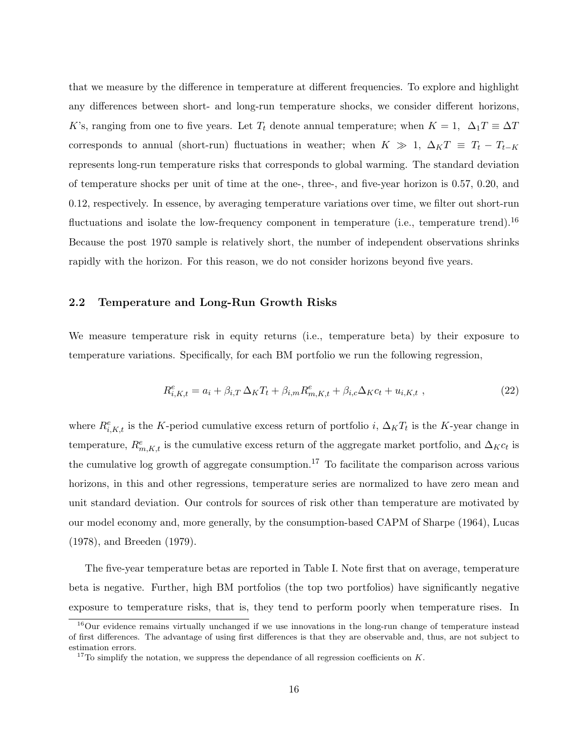that we measure by the difference in temperature at different frequencies. To explore and highlight any differences between short- and long-run temperature shocks, we consider different horizons, *K*'s, ranging from one to five years. Let  $T_t$  denote annual temperature; when  $K = 1$ ,  $\Delta_1 T \equiv \Delta T$ corresponds to annual (short-run) fluctuations in weather; when  $K \gg 1$ ,  $\Delta_K T \equiv T_t - T_{t-K}$ represents long-run temperature risks that corresponds to global warming. The standard deviation of temperature shocks per unit of time at the one-, three-, and five-year horizon is 0*.*57, 0*.*20, and 0*.*12, respectively. In essence, by averaging temperature variations over time, we filter out short-run fluctuations and isolate the low-frequency component in temperature (i.e., temperature trend).<sup>16</sup> Because the post 1970 sample is relatively short, the number of independent observations shrinks rapidly with the horizon. For this reason, we do not consider horizons beyond five years.

#### **2.2 Temperature and Long-Run Growth Risks**

We measure temperature risk in equity returns (i.e., temperature beta) by their exposure to temperature variations. Specifically, for each BM portfolio we run the following regression,

$$
R_{i,K,t}^{e} = a_i + \beta_{i,T} \,\Delta_K T_t + \beta_{i,m} R_{m,K,t}^{e} + \beta_{i,c} \Delta_K c_t + u_{i,K,t} \,, \tag{22}
$$

where  $R^e_{i,K,t}$  is the *K*-period cumulative excess return of portfolio *i*,  $\Delta_K T_t$  is the *K*-year change in temperature,  $R_{m,K,t}^e$  is the cumulative excess return of the aggregate market portfolio, and  $\Delta_K c_t$  is the cumulative log growth of aggregate consumption.<sup>17</sup> To facilitate the comparison across various horizons, in this and other regressions, temperature series are normalized to have zero mean and unit standard deviation. Our controls for sources of risk other than temperature are motivated by our model economy and, more generally, by the consumption-based CAPM of Sharpe (1964), Lucas (1978), and Breeden (1979).

The five-year temperature betas are reported in Table I. Note first that on average, temperature beta is negative. Further, high BM portfolios (the top two portfolios) have significantly negative exposure to temperature risks, that is, they tend to perform poorly when temperature rises. In

<sup>&</sup>lt;sup>16</sup>Our evidence remains virtually unchanged if we use innovations in the long-run change of temperature instead of first differences. The advantage of using first differences is that they are observable and, thus, are not subject to estimation errors.

 $17$ To simplify the notation, we suppress the dependance of all regression coefficients on  $K$ .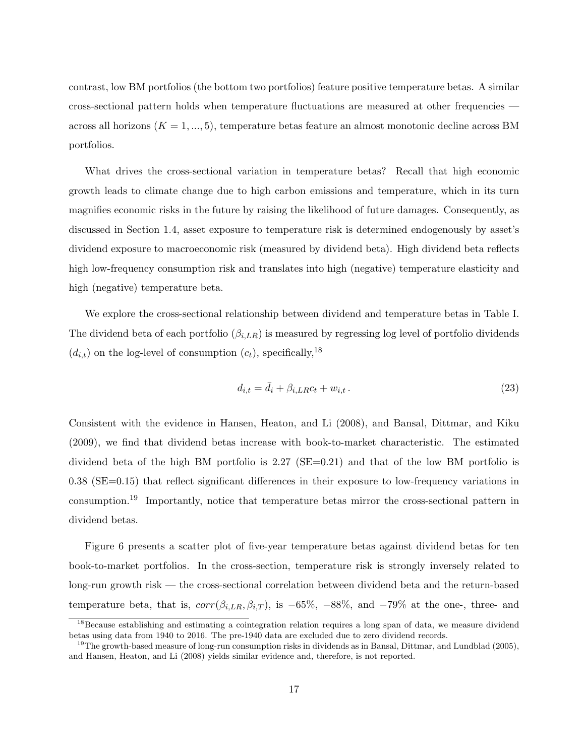contrast, low BM portfolios (the bottom two portfolios) feature positive temperature betas. A similar cross-sectional pattern holds when temperature fluctuations are measured at other frequencies across all horizons  $(K = 1, ..., 5)$ , temperature betas feature an almost monotonic decline across BM portfolios.

What drives the cross-sectional variation in temperature betas? Recall that high economic growth leads to climate change due to high carbon emissions and temperature, which in its turn magnifies economic risks in the future by raising the likelihood of future damages. Consequently, as discussed in Section 1.4, asset exposure to temperature risk is determined endogenously by asset's dividend exposure to macroeconomic risk (measured by dividend beta). High dividend beta reflects high low-frequency consumption risk and translates into high (negative) temperature elasticity and high (negative) temperature beta.

We explore the cross-sectional relationship between dividend and temperature betas in Table I. The dividend beta of each portfolio (*βi,LR*) is measured by regressing log level of portfolio dividends  $(d_{i,t})$  on the log-level of consumption  $(c_t)$ , specifically,<sup>18</sup>

$$
d_{i,t} = \bar{d}_i + \beta_{i,LR} c_t + w_{i,t} \,. \tag{23}
$$

Consistent with the evidence in Hansen, Heaton, and Li (2008), and Bansal, Dittmar, and Kiku (2009), we find that dividend betas increase with book-to-market characteristic. The estimated dividend beta of the high BM portfolio is 2.27 (SE=0.21) and that of the low BM portfolio is 0.38 (SE=0.15) that reflect significant differences in their exposure to low-frequency variations in consumption.<sup>19</sup> Importantly, notice that temperature betas mirror the cross-sectional pattern in dividend betas.

Figure 6 presents a scatter plot of five-year temperature betas against dividend betas for ten book-to-market portfolios. In the cross-section, temperature risk is strongly inversely related to long-run growth risk — the cross-sectional correlation between dividend beta and the return-based temperature beta, that is,  $corr(\beta_{i,LR}, \beta_{i,T})$ , is  $-65\%$ ,  $-88\%$ , and  $-79\%$  at the one-, three- and

<sup>&</sup>lt;sup>18</sup>Because establishing and estimating a cointegration relation requires a long span of data, we measure dividend betas using data from 1940 to 2016. The pre-1940 data are excluded due to zero dividend records.

<sup>&</sup>lt;sup>19</sup>The growth-based measure of long-run consumption risks in dividends as in Bansal, Dittmar, and Lundblad (2005), and Hansen, Heaton, and Li (2008) yields similar evidence and, therefore, is not reported.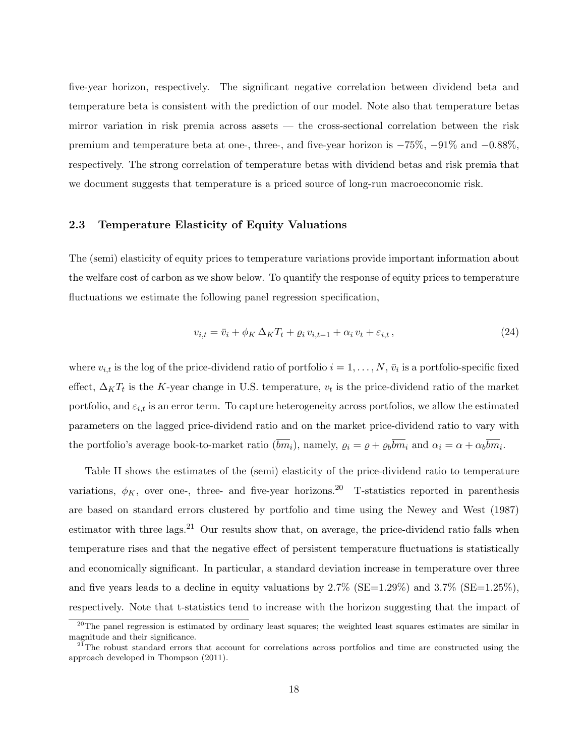five-year horizon, respectively. The significant negative correlation between dividend beta and temperature beta is consistent with the prediction of our model. Note also that temperature betas mirror variation in risk premia across assets — the cross-sectional correlation between the risk premium and temperature beta at one-, three-, and five-year horizon is *−*75%, *−*91% and *−*0*.*88%, respectively. The strong correlation of temperature betas with dividend betas and risk premia that we document suggests that temperature is a priced source of long-run macroeconomic risk.

#### **2.3 Temperature Elasticity of Equity Valuations**

The (semi) elasticity of equity prices to temperature variations provide important information about the welfare cost of carbon as we show below. To quantify the response of equity prices to temperature fluctuations we estimate the following panel regression specification,

$$
v_{i,t} = \bar{v}_i + \phi_K \,\Delta_K T_t + \varrho_i \, v_{i,t-1} + \alpha_i \, v_t + \varepsilon_{i,t} \,,\tag{24}
$$

where  $v_{i,t}$  is the log of the price-dividend ratio of portfolio  $i = 1, \ldots, N$ ,  $\bar{v}_i$  is a portfolio-specific fixed effect,  $\Delta_K T_t$  is the *K*-year change in U.S. temperature,  $v_t$  is the price-dividend ratio of the market portfolio, and  $\varepsilon_{i,t}$  is an error term. To capture heterogeneity across portfolios, we allow the estimated parameters on the lagged price-dividend ratio and on the market price-dividend ratio to vary with the portfolio's average book-to-market ratio  $(bm_i)$ , namely,  $\varrho_i = \varrho + \varrho_b b m_i$  and  $\alpha_i = \alpha + \alpha_b b m_i$ .

Table II shows the estimates of the (semi) elasticity of the price-dividend ratio to temperature variations,  $\phi_K$ , over one-, three- and five-year horizons.<sup>20</sup> T-statistics reported in parenthesis are based on standard errors clustered by portfolio and time using the Newey and West (1987) estimator with three lags.<sup>21</sup> Our results show that, on average, the price-dividend ratio falls when temperature rises and that the negative effect of persistent temperature fluctuations is statistically and economically significant. In particular, a standard deviation increase in temperature over three and five years leads to a decline in equity valuations by  $2.7\%$  (SE=1.29%) and  $3.7\%$  (SE=1.25%), respectively. Note that t-statistics tend to increase with the horizon suggesting that the impact of

 $20$ The panel regression is estimated by ordinary least squares; the weighted least squares estimates are similar in magnitude and their significance.

<sup>&</sup>lt;sup>21</sup>The robust standard errors that account for correlations across portfolios and time are constructed using the approach developed in Thompson (2011).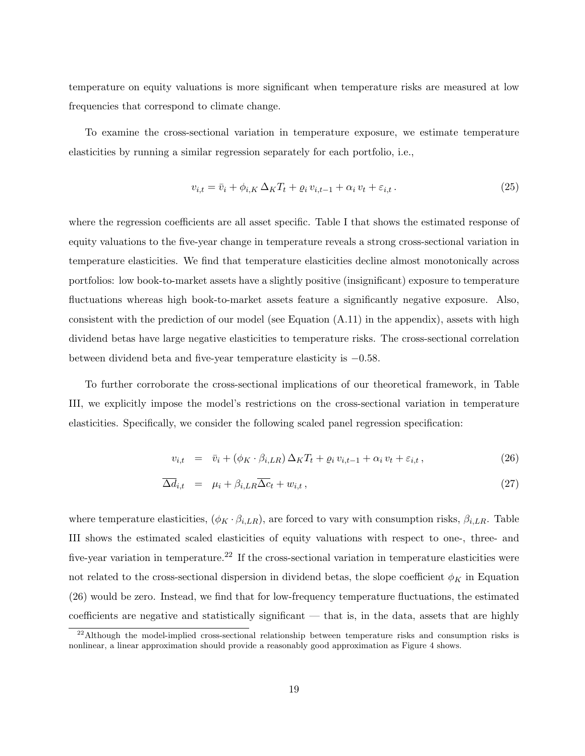temperature on equity valuations is more significant when temperature risks are measured at low frequencies that correspond to climate change.

To examine the cross-sectional variation in temperature exposure, we estimate temperature elasticities by running a similar regression separately for each portfolio, i.e.,

$$
v_{i,t} = \bar{v}_i + \phi_{i,K} \Delta_K T_t + \varrho_i v_{i,t-1} + \alpha_i v_t + \varepsilon_{i,t}.
$$
\n
$$
(25)
$$

where the regression coefficients are all asset specific. Table I that shows the estimated response of equity valuations to the five-year change in temperature reveals a strong cross-sectional variation in temperature elasticities. We find that temperature elasticities decline almost monotonically across portfolios: low book-to-market assets have a slightly positive (insignificant) exposure to temperature fluctuations whereas high book-to-market assets feature a significantly negative exposure. Also, consistent with the prediction of our model (see Equation (A.11) in the appendix), assets with high dividend betas have large negative elasticities to temperature risks. The cross-sectional correlation between dividend beta and five-year temperature elasticity is *−*0*.*58.

To further corroborate the cross-sectional implications of our theoretical framework, in Table III, we explicitly impose the model's restrictions on the cross-sectional variation in temperature elasticities. Specifically, we consider the following scaled panel regression specification:

$$
v_{i,t} = \bar{v}_i + (\phi_K \cdot \beta_{i,LR}) \Delta_K T_t + \varrho_i v_{i,t-1} + \alpha_i v_t + \varepsilon_{i,t}, \qquad (26)
$$

$$
\overline{\Delta d}_{i,t} = \mu_i + \beta_{i,LR} \overline{\Delta c}_t + w_{i,t}, \qquad (27)
$$

where temperature elasticities,  $(\phi_K \cdot \beta_{i,LR})$ , are forced to vary with consumption risks,  $\beta_{i,LR}$ . Table III shows the estimated scaled elasticities of equity valuations with respect to one-, three- and five-year variation in temperature.<sup>22</sup> If the cross-sectional variation in temperature elasticities were not related to the cross-sectional dispersion in dividend betas, the slope coefficient  $\phi_K$  in Equation (26) would be zero. Instead, we find that for low-frequency temperature fluctuations, the estimated coefficients are negative and statistically significant — that is, in the data, assets that are highly

<sup>&</sup>lt;sup>22</sup>Although the model-implied cross-sectional relationship between temperature risks and consumption risks is nonlinear, a linear approximation should provide a reasonably good approximation as Figure 4 shows.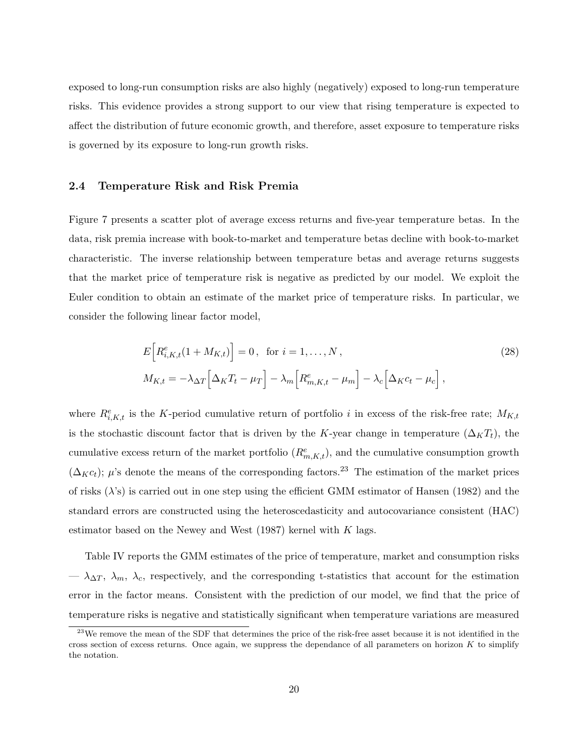exposed to long-run consumption risks are also highly (negatively) exposed to long-run temperature risks. This evidence provides a strong support to our view that rising temperature is expected to affect the distribution of future economic growth, and therefore, asset exposure to temperature risks is governed by its exposure to long-run growth risks.

#### **2.4 Temperature Risk and Risk Premia**

Figure 7 presents a scatter plot of average excess returns and five-year temperature betas. In the data, risk premia increase with book-to-market and temperature betas decline with book-to-market characteristic. The inverse relationship between temperature betas and average returns suggests that the market price of temperature risk is negative as predicted by our model. We exploit the Euler condition to obtain an estimate of the market price of temperature risks. In particular, we consider the following linear factor model,

$$
E\left[R_{i,K,t}^e(1+M_{K,t})\right] = 0, \text{ for } i = 1,\dots,N,
$$
\n
$$
M_{K,t} = -\lambda_{\Delta T}\left[\Delta_K T_t - \mu_T\right] - \lambda_m \left[R_{m,K,t}^e - \mu_m\right] - \lambda_c \left[\Delta_K c_t - \mu_c\right],
$$
\n(28)

where  $R^e_{i,K,t}$  is the *K*-period cumulative return of portfolio *i* in excess of the risk-free rate;  $M_{K,t}$ is the stochastic discount factor that is driven by the *K*-year change in temperature  $(\Delta_K T_t)$ , the cumulative excess return of the market portfolio  $(R^{e}_{m,K,t})$ , and the cumulative consumption growth  $(\Delta_K c_t)$ ; *µ*'s denote the means of the corresponding factors.<sup>23</sup> The estimation of the market prices of risks (*λ*'s) is carried out in one step using the efficient GMM estimator of Hansen (1982) and the standard errors are constructed using the heteroscedasticity and autocovariance consistent (HAC) estimator based on the Newey and West (1987) kernel with *K* lags.

Table IV reports the GMM estimates of the price of temperature, market and consumption risks  $-\lambda_{\Delta T}$ ,  $\lambda_m$ ,  $\lambda_c$ , respectively, and the corresponding t-statistics that account for the estimation error in the factor means. Consistent with the prediction of our model, we find that the price of temperature risks is negative and statistically significant when temperature variations are measured

<sup>&</sup>lt;sup>23</sup>We remove the mean of the SDF that determines the price of the risk-free asset because it is not identified in the cross section of excess returns. Once again, we suppress the dependance of all parameters on horizon *K* to simplify the notation.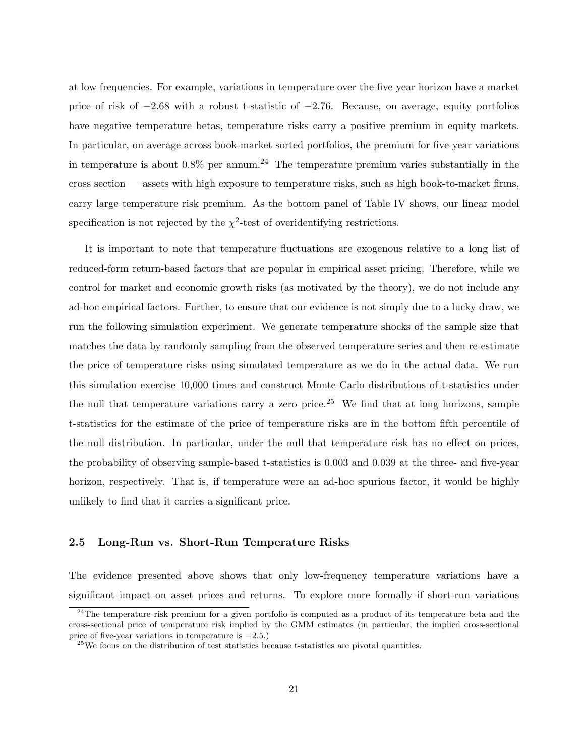at low frequencies. For example, variations in temperature over the five-year horizon have a market price of risk of *−*2*.*68 with a robust t-statistic of *−*2*.*76. Because, on average, equity portfolios have negative temperature betas, temperature risks carry a positive premium in equity markets. In particular, on average across book-market sorted portfolios, the premium for five-year variations in temperature is about  $0.8\%$  per annum.<sup>24</sup> The temperature premium varies substantially in the cross section — assets with high exposure to temperature risks, such as high book-to-market firms, carry large temperature risk premium. As the bottom panel of Table IV shows, our linear model specification is not rejected by the  $\chi^2$ -test of overidentifying restrictions.

It is important to note that temperature fluctuations are exogenous relative to a long list of reduced-form return-based factors that are popular in empirical asset pricing. Therefore, while we control for market and economic growth risks (as motivated by the theory), we do not include any ad-hoc empirical factors. Further, to ensure that our evidence is not simply due to a lucky draw, we run the following simulation experiment. We generate temperature shocks of the sample size that matches the data by randomly sampling from the observed temperature series and then re-estimate the price of temperature risks using simulated temperature as we do in the actual data. We run this simulation exercise 10,000 times and construct Monte Carlo distributions of t-statistics under the null that temperature variations carry a zero price.<sup>25</sup> We find that at long horizons, sample t-statistics for the estimate of the price of temperature risks are in the bottom fifth percentile of the null distribution. In particular, under the null that temperature risk has no effect on prices, the probability of observing sample-based t-statistics is 0*.*003 and 0*.*039 at the three- and five-year horizon, respectively. That is, if temperature were an ad-hoc spurious factor, it would be highly unlikely to find that it carries a significant price.

#### **2.5 Long-Run vs. Short-Run Temperature Risks**

The evidence presented above shows that only low-frequency temperature variations have a significant impact on asset prices and returns. To explore more formally if short-run variations

<sup>&</sup>lt;sup>24</sup>The temperature risk premium for a given portfolio is computed as a product of its temperature beta and the cross-sectional price of temperature risk implied by the GMM estimates (in particular, the implied cross-sectional price of five-year variations in temperature is *−*2*.*5.)

 $25$ We focus on the distribution of test statistics because t-statistics are pivotal quantities.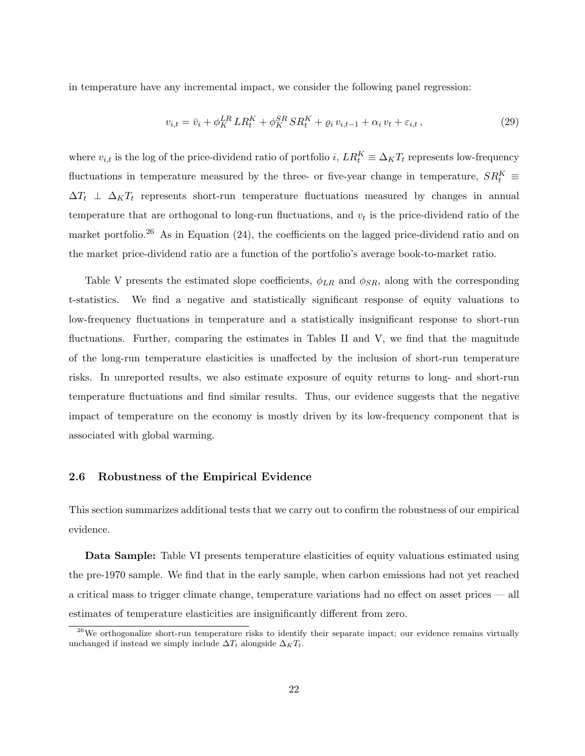in temperature have any incremental impact, we consider the following panel regression:

$$
v_{i,t} = \bar{v}_i + \phi_K^{LR} L R_t^K + \phi_K^{SR} S R_t^K + \varrho_i v_{i,t-1} + \alpha_i v_t + \varepsilon_{i,t}, \qquad (29)
$$

where  $v_{i,t}$  is the log of the price-dividend ratio of portfolio  $i$ ,  $LR_t^K \equiv \Delta_K T_t$  represents low-frequency fluctuations in temperature measured by the three- or five-year change in temperature,  $SR_t^K$   $\equiv$  $\Delta T_t$  *⊥*  $\Delta_K T_t$  represents short-run temperature fluctuations measured by changes in annual temperature that are orthogonal to long-run fluctuations, and *v<sup>t</sup>* is the price-dividend ratio of the market portfolio.<sup>26</sup> As in Equation (24), the coefficients on the lagged price-dividend ratio and on the market price-dividend ratio are a function of the portfolio's average book-to-market ratio.

Table V presents the estimated slope coefficients,  $\phi_{LR}$  and  $\phi_{SR}$ , along with the corresponding t-statistics. We find a negative and statistically significant response of equity valuations to low-frequency fluctuations in temperature and a statistically insignificant response to short-run fluctuations. Further, comparing the estimates in Tables II and V, we find that the magnitude of the long-run temperature elasticities is unaffected by the inclusion of short-run temperature risks. In unreported results, we also estimate exposure of equity returns to long- and short-run temperature fluctuations and find similar results. Thus, our evidence suggests that the negative impact of temperature on the economy is mostly driven by its low-frequency component that is associated with global warming.

### **2.6 Robustness of the Empirical Evidence**

This section summarizes additional tests that we carry out to confirm the robustness of our empirical evidence.

**Data Sample:** Table VI presents temperature elasticities of equity valuations estimated using the pre-1970 sample. We find that in the early sample, when carbon emissions had not yet reached a critical mass to trigger climate change, temperature variations had no effect on asset prices — all estimates of temperature elasticities are insignificantly different from zero.

 $^{26}$ We orthogonalize short-run temperature risks to identify their separate impact; our evidence remains virtually unchanged if instead we simply include  $\Delta T_t$  alongside  $\Delta_K T_t$ .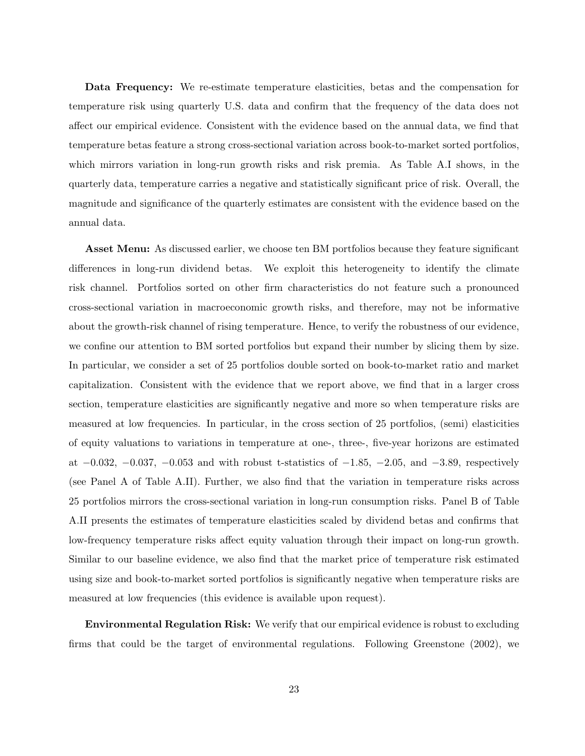**Data Frequency:** We re-estimate temperature elasticities, betas and the compensation for temperature risk using quarterly U.S. data and confirm that the frequency of the data does not affect our empirical evidence. Consistent with the evidence based on the annual data, we find that temperature betas feature a strong cross-sectional variation across book-to-market sorted portfolios, which mirrors variation in long-run growth risks and risk premia. As Table A.I shows, in the quarterly data, temperature carries a negative and statistically significant price of risk. Overall, the magnitude and significance of the quarterly estimates are consistent with the evidence based on the annual data.

**Asset Menu:** As discussed earlier, we choose ten BM portfolios because they feature significant differences in long-run dividend betas. We exploit this heterogeneity to identify the climate risk channel. Portfolios sorted on other firm characteristics do not feature such a pronounced cross-sectional variation in macroeconomic growth risks, and therefore, may not be informative about the growth-risk channel of rising temperature. Hence, to verify the robustness of our evidence, we confine our attention to BM sorted portfolios but expand their number by slicing them by size. In particular, we consider a set of 25 portfolios double sorted on book-to-market ratio and market capitalization. Consistent with the evidence that we report above, we find that in a larger cross section, temperature elasticities are significantly negative and more so when temperature risks are measured at low frequencies. In particular, in the cross section of 25 portfolios, (semi) elasticities of equity valuations to variations in temperature at one-, three-, five-year horizons are estimated at *−*0*.*032, *−*0*.*037, *−*0*.*053 and with robust t-statistics of *−*1*.*85, *−*2*.*05, and *−*3*.*89, respectively (see Panel A of Table A.II). Further, we also find that the variation in temperature risks across 25 portfolios mirrors the cross-sectional variation in long-run consumption risks. Panel B of Table A.II presents the estimates of temperature elasticities scaled by dividend betas and confirms that low-frequency temperature risks affect equity valuation through their impact on long-run growth. Similar to our baseline evidence, we also find that the market price of temperature risk estimated using size and book-to-market sorted portfolios is significantly negative when temperature risks are measured at low frequencies (this evidence is available upon request).

**Environmental Regulation Risk:** We verify that our empirical evidence is robust to excluding firms that could be the target of environmental regulations. Following Greenstone (2002), we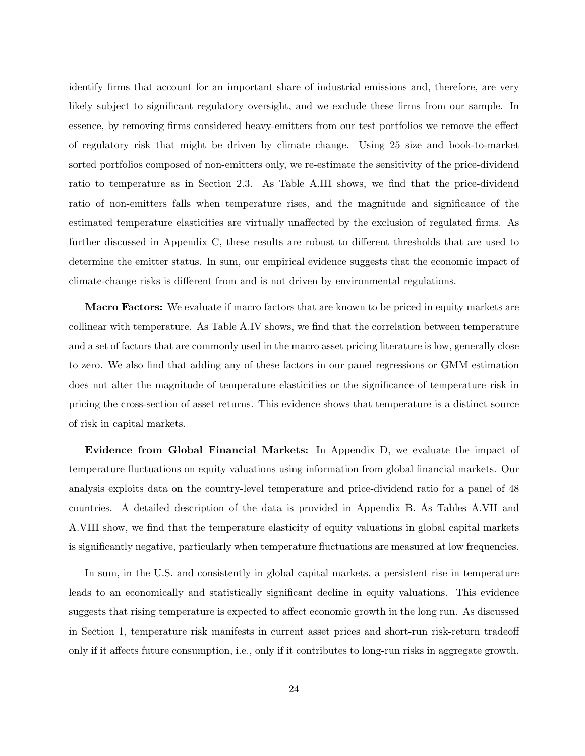identify firms that account for an important share of industrial emissions and, therefore, are very likely subject to significant regulatory oversight, and we exclude these firms from our sample. In essence, by removing firms considered heavy-emitters from our test portfolios we remove the effect of regulatory risk that might be driven by climate change. Using 25 size and book-to-market sorted portfolios composed of non-emitters only, we re-estimate the sensitivity of the price-dividend ratio to temperature as in Section 2.3. As Table A.III shows, we find that the price-dividend ratio of non-emitters falls when temperature rises, and the magnitude and significance of the estimated temperature elasticities are virtually unaffected by the exclusion of regulated firms. As further discussed in Appendix C, these results are robust to different thresholds that are used to determine the emitter status. In sum, our empirical evidence suggests that the economic impact of climate-change risks is different from and is not driven by environmental regulations.

**Macro Factors:** We evaluate if macro factors that are known to be priced in equity markets are collinear with temperature. As Table A.IV shows, we find that the correlation between temperature and a set of factors that are commonly used in the macro asset pricing literature is low, generally close to zero. We also find that adding any of these factors in our panel regressions or GMM estimation does not alter the magnitude of temperature elasticities or the significance of temperature risk in pricing the cross-section of asset returns. This evidence shows that temperature is a distinct source of risk in capital markets.

**Evidence from Global Financial Markets:** In Appendix D, we evaluate the impact of temperature fluctuations on equity valuations using information from global financial markets. Our analysis exploits data on the country-level temperature and price-dividend ratio for a panel of 48 countries. A detailed description of the data is provided in Appendix B. As Tables A.VII and A.VIII show, we find that the temperature elasticity of equity valuations in global capital markets is significantly negative, particularly when temperature fluctuations are measured at low frequencies.

In sum, in the U.S. and consistently in global capital markets, a persistent rise in temperature leads to an economically and statistically significant decline in equity valuations. This evidence suggests that rising temperature is expected to affect economic growth in the long run. As discussed in Section 1, temperature risk manifests in current asset prices and short-run risk-return tradeoff only if it affects future consumption, i.e., only if it contributes to long-run risks in aggregate growth.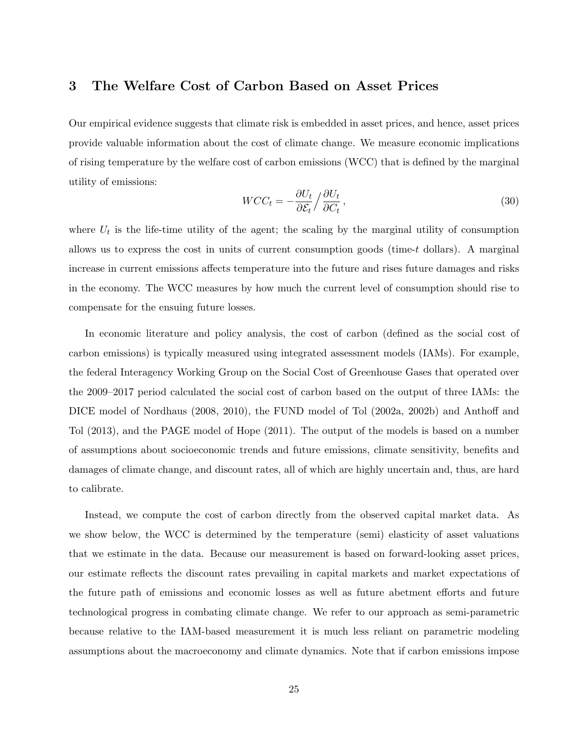### **3 The Welfare Cost of Carbon Based on Asset Prices**

Our empirical evidence suggests that climate risk is embedded in asset prices, and hence, asset prices provide valuable information about the cost of climate change. We measure economic implications of rising temperature by the welfare cost of carbon emissions (WCC) that is defined by the marginal utility of emissions:

$$
WCC_t = -\frac{\partial U_t}{\partial \mathcal{E}_t} / \frac{\partial U_t}{\partial C_t},\tag{30}
$$

where  $U_t$  is the life-time utility of the agent; the scaling by the marginal utility of consumption allows us to express the cost in units of current consumption goods (time-*t* dollars). A marginal increase in current emissions affects temperature into the future and rises future damages and risks in the economy. The WCC measures by how much the current level of consumption should rise to compensate for the ensuing future losses.

In economic literature and policy analysis, the cost of carbon (defined as the social cost of carbon emissions) is typically measured using integrated assessment models (IAMs). For example, the federal Interagency Working Group on the Social Cost of Greenhouse Gases that operated over the 2009–2017 period calculated the social cost of carbon based on the output of three IAMs: the DICE model of Nordhaus (2008, 2010), the FUND model of Tol (2002a, 2002b) and Anthoff and Tol (2013), and the PAGE model of Hope (2011). The output of the models is based on a number of assumptions about socioeconomic trends and future emissions, climate sensitivity, benefits and damages of climate change, and discount rates, all of which are highly uncertain and, thus, are hard to calibrate.

Instead, we compute the cost of carbon directly from the observed capital market data. As we show below, the WCC is determined by the temperature (semi) elasticity of asset valuations that we estimate in the data. Because our measurement is based on forward-looking asset prices, our estimate reflects the discount rates prevailing in capital markets and market expectations of the future path of emissions and economic losses as well as future abetment efforts and future technological progress in combating climate change. We refer to our approach as semi-parametric because relative to the IAM-based measurement it is much less reliant on parametric modeling assumptions about the macroeconomy and climate dynamics. Note that if carbon emissions impose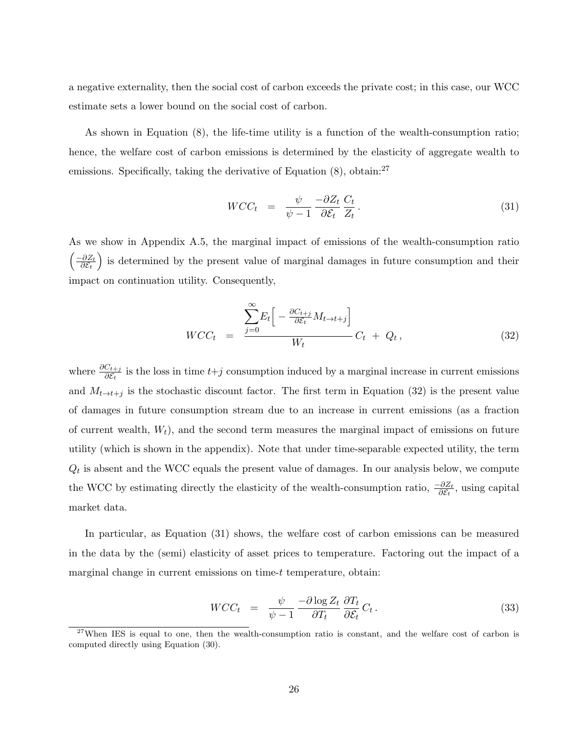a negative externality, then the social cost of carbon exceeds the private cost; in this case, our WCC estimate sets a lower bound on the social cost of carbon.

As shown in Equation (8), the life-time utility is a function of the wealth-consumption ratio; hence, the welfare cost of carbon emissions is determined by the elasticity of aggregate wealth to emissions. Specifically, taking the derivative of Equation (8), obtain:<sup>27</sup>

$$
WCC_t = \frac{\psi}{\psi - 1} \frac{-\partial Z_t}{\partial \mathcal{E}_t} \frac{C_t}{Z_t}.
$$
\n(31)

As we show in Appendix A.5, the marginal impact of emissions of the wealth-consumption ratio  $\int \frac{-\partial Z_t}{\partial \mathcal{L}}$ *∂E<sup>t</sup>* ) is determined by the present value of marginal damages in future consumption and their impact on continuation utility. Consequently,

$$
WCC_t = \frac{\sum_{j=0}^{\infty} E_t \left[ -\frac{\partial C_{t+j}}{\partial \mathcal{E}_t} M_{t \to t+j} \right]}{W_t} C_t + Q_t, \qquad (32)
$$

where  $\frac{\partial C_{t+j}}{\partial \mathcal{E}_t}$  is the loss in time  $t+j$  consumption induced by a marginal increase in current emissions and  $M_{t\rightarrow t+j}$  is the stochastic discount factor. The first term in Equation (32) is the present value of damages in future consumption stream due to an increase in current emissions (as a fraction of current wealth,  $W_t$ ), and the second term measures the marginal impact of emissions on future utility (which is shown in the appendix). Note that under time-separable expected utility, the term  $Q_t$  is absent and the WCC equals the present value of damages. In our analysis below, we compute the WCC by estimating directly the elasticity of the wealth-consumption ratio,  $\frac{-\partial Z_t}{\partial \mathcal{E}_t}$ , using capital market data.

In particular, as Equation (31) shows, the welfare cost of carbon emissions can be measured in the data by the (semi) elasticity of asset prices to temperature. Factoring out the impact of a marginal change in current emissions on time-*t* temperature, obtain:

$$
WCC_t = \frac{\psi}{\psi - 1} \frac{-\partial \log Z_t}{\partial T_t} \frac{\partial T_t}{\partial \mathcal{E}_t} C_t.
$$
\n(33)

<sup>&</sup>lt;sup>27</sup>When IES is equal to one, then the wealth-consumption ratio is constant, and the welfare cost of carbon is computed directly using Equation (30).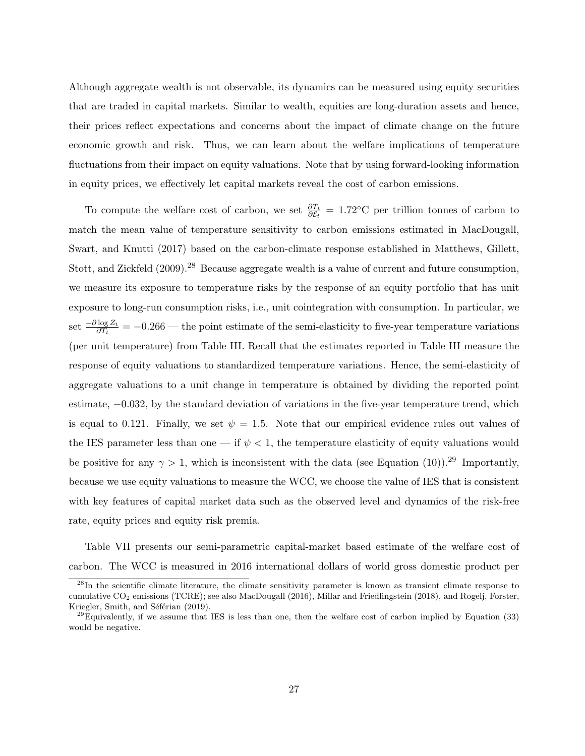Although aggregate wealth is not observable, its dynamics can be measured using equity securities that are traded in capital markets. Similar to wealth, equities are long-duration assets and hence, their prices reflect expectations and concerns about the impact of climate change on the future economic growth and risk. Thus, we can learn about the welfare implications of temperature fluctuations from their impact on equity valuations. Note that by using forward-looking information in equity prices, we effectively let capital markets reveal the cost of carbon emissions.

To compute the welfare cost of carbon, we set  $\frac{\partial T_t}{\partial \mathcal{E}_t} = 1.72$ <sup>°</sup>C per trillion tonnes of carbon to match the mean value of temperature sensitivity to carbon emissions estimated in MacDougall, Swart, and Knutti (2017) based on the carbon-climate response established in Matthews, Gillett, Stott, and Zickfeld (2009).<sup>28</sup> Because aggregate wealth is a value of current and future consumption, we measure its exposure to temperature risks by the response of an equity portfolio that has unit exposure to long-run consumption risks, i.e., unit cointegration with consumption. In particular, we  $\det \frac{-\partial \log Z_t}{\partial T_t} = -0.266$  — the point estimate of the semi-elasticity to five-year temperature variations (per unit temperature) from Table III. Recall that the estimates reported in Table III measure the response of equity valuations to standardized temperature variations. Hence, the semi-elasticity of aggregate valuations to a unit change in temperature is obtained by dividing the reported point estimate, *−*0*.*032, by the standard deviation of variations in the five-year temperature trend, which is equal to 0.121. Finally, we set  $\psi = 1.5$ . Note that our empirical evidence rules out values of the IES parameter less than one — if  $\psi$  < 1, the temperature elasticity of equity valuations would be positive for any  $\gamma > 1$ , which is inconsistent with the data (see Equation (10)).<sup>29</sup> Importantly, because we use equity valuations to measure the WCC, we choose the value of IES that is consistent with key features of capital market data such as the observed level and dynamics of the risk-free rate, equity prices and equity risk premia.

Table VII presents our semi-parametric capital-market based estimate of the welfare cost of carbon. The WCC is measured in 2016 international dollars of world gross domestic product per

<sup>&</sup>lt;sup>28</sup>In the scientific climate literature, the climate sensitivity parameter is known as transient climate response to cumulative CO<sup>2</sup> emissions (TCRE); see also MacDougall (2016), Millar and Friedlingstein (2018), and Rogelj, Forster, Kriegler, Smith, and Séférian (2019).

 $^{29}$ Equivalently, if we assume that IES is less than one, then the welfare cost of carbon implied by Equation (33) would be negative.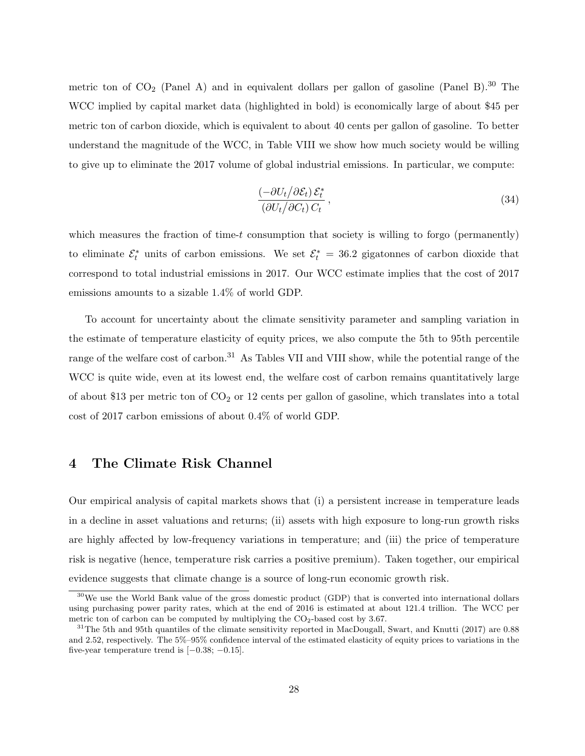metric ton of  $CO_2$  (Panel A) and in equivalent dollars per gallon of gasoline (Panel B).<sup>30</sup> The WCC implied by capital market data (highlighted in bold) is economically large of about \$45 per metric ton of carbon dioxide, which is equivalent to about 40 cents per gallon of gasoline. To better understand the magnitude of the WCC, in Table VIII we show how much society would be willing to give up to eliminate the 2017 volume of global industrial emissions. In particular, we compute:

$$
\frac{\left(-\partial U_t/\partial \mathcal{E}_t\right)\mathcal{E}_t^*}{\left(\partial U_t/\partial C_t\right)C_t},\tag{34}
$$

which measures the fraction of time-*t* consumption that society is willing to forgo (permanently) to eliminate  $\mathcal{E}_t^*$  units of carbon emissions. We set  $\mathcal{E}_t^* = 36.2$  gigatonnes of carbon dioxide that correspond to total industrial emissions in 2017. Our WCC estimate implies that the cost of 2017 emissions amounts to a sizable 1.4% of world GDP.

To account for uncertainty about the climate sensitivity parameter and sampling variation in the estimate of temperature elasticity of equity prices, we also compute the 5th to 95th percentile range of the welfare cost of carbon.<sup>31</sup> As Tables VII and VIII show, while the potential range of the WCC is quite wide, even at its lowest end, the welfare cost of carbon remains quantitatively large of about \$13 per metric ton of  $CO<sub>2</sub>$  or 12 cents per gallon of gasoline, which translates into a total cost of 2017 carbon emissions of about 0.4% of world GDP.

# **4 The Climate Risk Channel**

Our empirical analysis of capital markets shows that (i) a persistent increase in temperature leads in a decline in asset valuations and returns; (ii) assets with high exposure to long-run growth risks are highly affected by low-frequency variations in temperature; and (iii) the price of temperature risk is negative (hence, temperature risk carries a positive premium). Taken together, our empirical evidence suggests that climate change is a source of long-run economic growth risk.

<sup>&</sup>lt;sup>30</sup>We use the World Bank value of the gross domestic product (GDP) that is converted into international dollars using purchasing power parity rates, which at the end of 2016 is estimated at about 121.4 trillion. The WCC per metric ton of carbon can be computed by multiplying the  $CO_2$ -based cost by 3.67.

 $31$ The 5th and 95th quantiles of the climate sensitivity reported in MacDougall, Swart, and Knutti (2017) are 0.88 and 2.52, respectively. The 5%–95% confidence interval of the estimated elasticity of equity prices to variations in the five-year temperature trend is [*−*0*.*38; *−*0*.*15].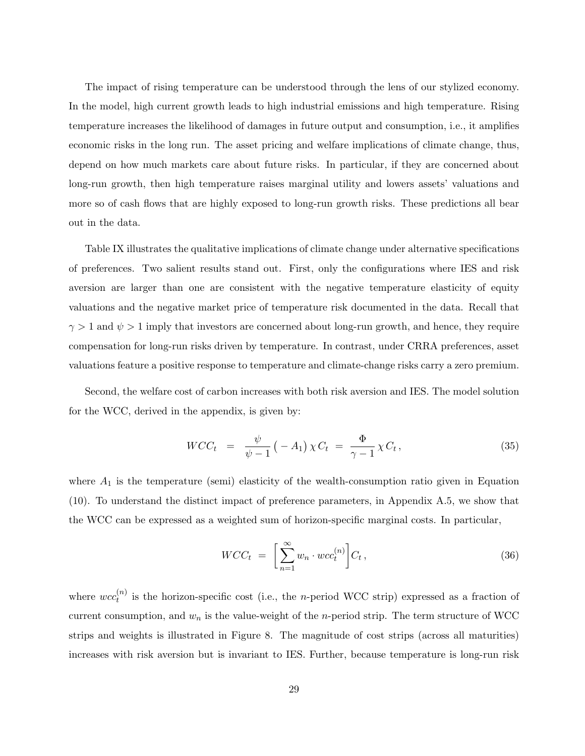The impact of rising temperature can be understood through the lens of our stylized economy. In the model, high current growth leads to high industrial emissions and high temperature. Rising temperature increases the likelihood of damages in future output and consumption, i.e., it amplifies economic risks in the long run. The asset pricing and welfare implications of climate change, thus, depend on how much markets care about future risks. In particular, if they are concerned about long-run growth, then high temperature raises marginal utility and lowers assets' valuations and more so of cash flows that are highly exposed to long-run growth risks. These predictions all bear out in the data.

Table IX illustrates the qualitative implications of climate change under alternative specifications of preferences. Two salient results stand out. First, only the configurations where IES and risk aversion are larger than one are consistent with the negative temperature elasticity of equity valuations and the negative market price of temperature risk documented in the data. Recall that  $\gamma > 1$  and  $\psi > 1$  imply that investors are concerned about long-run growth, and hence, they require compensation for long-run risks driven by temperature. In contrast, under CRRA preferences, asset valuations feature a positive response to temperature and climate-change risks carry a zero premium.

Second, the welfare cost of carbon increases with both risk aversion and IES. The model solution for the WCC, derived in the appendix, is given by:

$$
WCC_t = \frac{\psi}{\psi - 1} (-A_1) \chi C_t = \frac{\Phi}{\gamma - 1} \chi C_t, \qquad (35)
$$

where  $A_1$  is the temperature (semi) elasticity of the wealth-consumption ratio given in Equation (10). To understand the distinct impact of preference parameters, in Appendix A.5, we show that the WCC can be expressed as a weighted sum of horizon-specific marginal costs. In particular,

$$
WCC_t = \left[\sum_{n=1}^{\infty} w_n \cdot wc_c^{(n)}\right] C_t, \qquad (36)
$$

where  $wcc_t^{(n)}$  $t^{(n)}$  is the horizon-specific cost (i.e., the *n*-period WCC strip) expressed as a fraction of current consumption, and  $w_n$  is the value-weight of the *n*-period strip. The term structure of WCC strips and weights is illustrated in Figure 8. The magnitude of cost strips (across all maturities) increases with risk aversion but is invariant to IES. Further, because temperature is long-run risk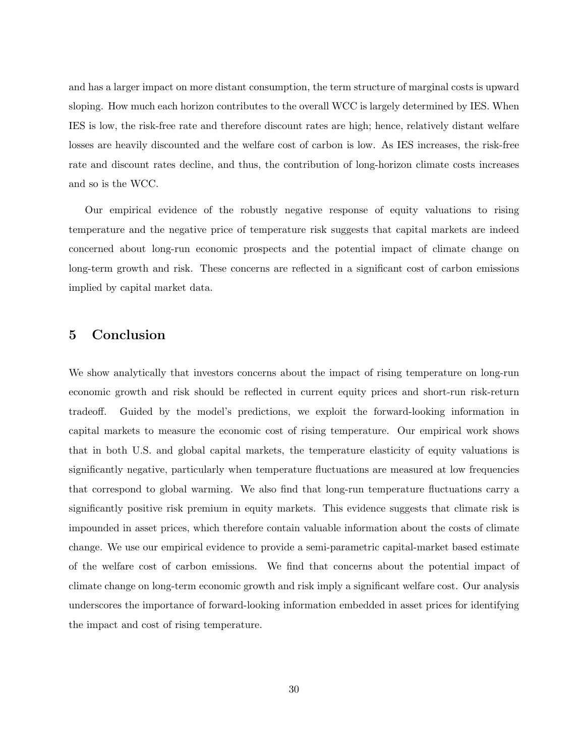and has a larger impact on more distant consumption, the term structure of marginal costs is upward sloping. How much each horizon contributes to the overall WCC is largely determined by IES. When IES is low, the risk-free rate and therefore discount rates are high; hence, relatively distant welfare losses are heavily discounted and the welfare cost of carbon is low. As IES increases, the risk-free rate and discount rates decline, and thus, the contribution of long-horizon climate costs increases and so is the WCC.

Our empirical evidence of the robustly negative response of equity valuations to rising temperature and the negative price of temperature risk suggests that capital markets are indeed concerned about long-run economic prospects and the potential impact of climate change on long-term growth and risk. These concerns are reflected in a significant cost of carbon emissions implied by capital market data.

# **5 Conclusion**

We show analytically that investors concerns about the impact of rising temperature on long-run economic growth and risk should be reflected in current equity prices and short-run risk-return tradeoff. Guided by the model's predictions, we exploit the forward-looking information in capital markets to measure the economic cost of rising temperature. Our empirical work shows that in both U.S. and global capital markets, the temperature elasticity of equity valuations is significantly negative, particularly when temperature fluctuations are measured at low frequencies that correspond to global warming. We also find that long-run temperature fluctuations carry a significantly positive risk premium in equity markets. This evidence suggests that climate risk is impounded in asset prices, which therefore contain valuable information about the costs of climate change. We use our empirical evidence to provide a semi-parametric capital-market based estimate of the welfare cost of carbon emissions. We find that concerns about the potential impact of climate change on long-term economic growth and risk imply a significant welfare cost. Our analysis underscores the importance of forward-looking information embedded in asset prices for identifying the impact and cost of rising temperature.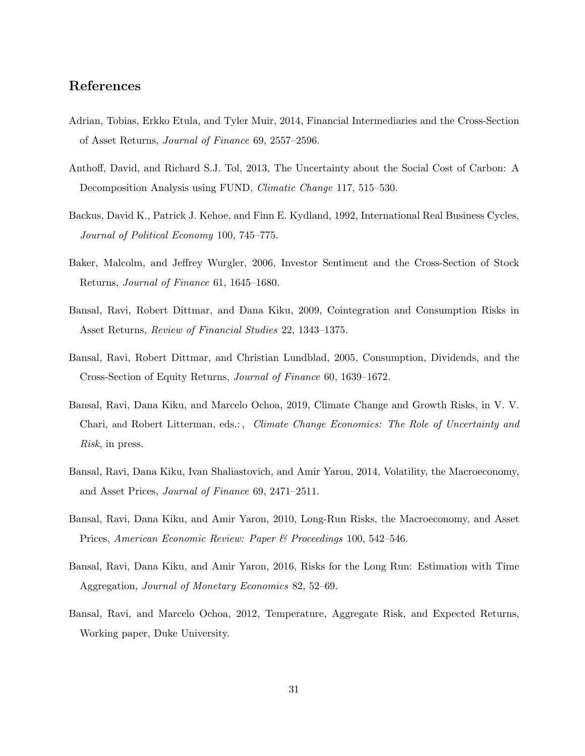### **References**

- Adrian, Tobias, Erkko Etula, and Tyler Muir, 2014, Financial Intermediaries and the Cross-Section of Asset Returns, *Journal of Finance* 69, 2557–2596.
- Anthoff, David, and Richard S.J. Tol, 2013, The Uncertainty about the Social Cost of Carbon: A Decomposition Analysis using FUND, *Climatic Change* 117, 515–530.
- Backus, David K., Patrick J. Kehoe, and Finn E. Kydland, 1992, International Real Business Cycles, *Journal of Political Economy* 100, 745–775.
- Baker, Malcolm, and Jeffrey Wurgler, 2006, Investor Sentiment and the Cross-Section of Stock Returns, *Journal of Finance* 61, 1645–1680.
- Bansal, Ravi, Robert Dittmar, and Dana Kiku, 2009, Cointegration and Consumption Risks in Asset Returns, *Review of Financial Studies* 22, 1343–1375.
- Bansal, Ravi, Robert Dittmar, and Christian Lundblad, 2005, Consumption, Dividends, and the Cross-Section of Equity Returns, *Journal of Finance* 60, 1639–1672.
- Bansal, Ravi, Dana Kiku, and Marcelo Ochoa, 2019, Climate Change and Growth Risks, in V. V. Chari, and Robert Litterman, eds.: , *Climate Change Economics: The Role of Uncertainty and Risk*, in press.
- Bansal, Ravi, Dana Kiku, Ivan Shaliastovich, and Amir Yaron, 2014, Volatility, the Macroeconomy, and Asset Prices, *Journal of Finance* 69, 2471–2511.
- Bansal, Ravi, Dana Kiku, and Amir Yaron, 2010, Long-Run Risks, the Macroeconomy, and Asset Prices, *American Economic Review: Paper & Proceedings* 100, 542–546.
- Bansal, Ravi, Dana Kiku, and Amir Yaron, 2016, Risks for the Long Run: Estimation with Time Aggregation, *Journal of Monetary Economics* 82, 52–69.
- Bansal, Ravi, and Marcelo Ochoa, 2012, Temperature, Aggregate Risk, and Expected Returns, Working paper, Duke University.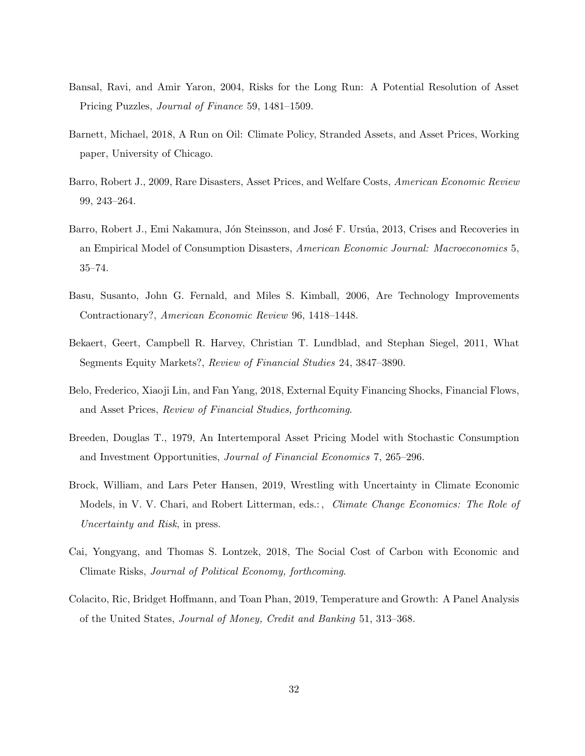- Bansal, Ravi, and Amir Yaron, 2004, Risks for the Long Run: A Potential Resolution of Asset Pricing Puzzles, *Journal of Finance* 59, 1481–1509.
- Barnett, Michael, 2018, A Run on Oil: Climate Policy, Stranded Assets, and Asset Prices, Working paper, University of Chicago.
- Barro, Robert J., 2009, Rare Disasters, Asset Prices, and Welfare Costs, *American Economic Review* 99, 243–264.
- Barro, Robert J., Emi Nakamura, Jón Steinsson, and José F. Ursúa, 2013, Crises and Recoveries in an Empirical Model of Consumption Disasters, *American Economic Journal: Macroeconomics* 5, 35–74.
- Basu, Susanto, John G. Fernald, and Miles S. Kimball, 2006, Are Technology Improvements Contractionary?, *American Economic Review* 96, 1418–1448.
- Bekaert, Geert, Campbell R. Harvey, Christian T. Lundblad, and Stephan Siegel, 2011, What Segments Equity Markets?, *Review of Financial Studies* 24, 3847–3890.
- Belo, Frederico, Xiaoji Lin, and Fan Yang, 2018, External Equity Financing Shocks, Financial Flows, and Asset Prices, *Review of Financial Studies, forthcoming*.
- Breeden, Douglas T., 1979, An Intertemporal Asset Pricing Model with Stochastic Consumption and Investment Opportunities, *Journal of Financial Economics* 7, 265–296.
- Brock, William, and Lars Peter Hansen, 2019, Wrestling with Uncertainty in Climate Economic Models, in V. V. Chari, and Robert Litterman, eds.:, *Climate Change Economics: The Role of Uncertainty and Risk*, in press.
- Cai, Yongyang, and Thomas S. Lontzek, 2018, The Social Cost of Carbon with Economic and Climate Risks, *Journal of Political Economy, forthcoming*.
- Colacito, Ric, Bridget Hoffmann, and Toan Phan, 2019, Temperature and Growth: A Panel Analysis of the United States, *Journal of Money, Credit and Banking* 51, 313–368.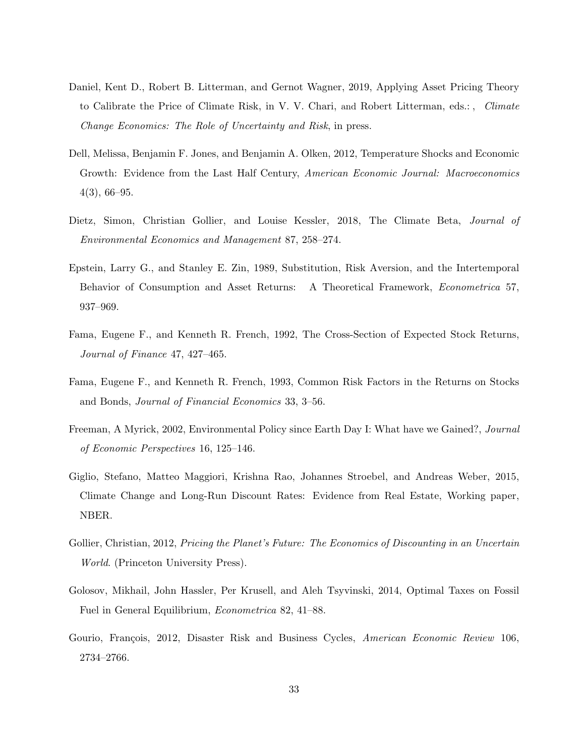- Daniel, Kent D., Robert B. Litterman, and Gernot Wagner, 2019, Applying Asset Pricing Theory to Calibrate the Price of Climate Risk, in V. V. Chari, and Robert Litterman, eds.: , *Climate Change Economics: The Role of Uncertainty and Risk*, in press.
- Dell, Melissa, Benjamin F. Jones, and Benjamin A. Olken, 2012, Temperature Shocks and Economic Growth: Evidence from the Last Half Century, *American Economic Journal: Macroeconomics* 4(3), 66–95.
- Dietz, Simon, Christian Gollier, and Louise Kessler, 2018, The Climate Beta, *Journal of Environmental Economics and Management* 87, 258–274.
- Epstein, Larry G., and Stanley E. Zin, 1989, Substitution, Risk Aversion, and the Intertemporal Behavior of Consumption and Asset Returns: A Theoretical Framework, *Econometrica* 57, 937–969.
- Fama, Eugene F., and Kenneth R. French, 1992, The Cross-Section of Expected Stock Returns, *Journal of Finance* 47, 427–465.
- Fama, Eugene F., and Kenneth R. French, 1993, Common Risk Factors in the Returns on Stocks and Bonds, *Journal of Financial Economics* 33, 3–56.
- Freeman, A Myrick, 2002, Environmental Policy since Earth Day I: What have we Gained?, *Journal of Economic Perspectives* 16, 125–146.
- Giglio, Stefano, Matteo Maggiori, Krishna Rao, Johannes Stroebel, and Andreas Weber, 2015, Climate Change and Long-Run Discount Rates: Evidence from Real Estate, Working paper, NBER.
- Gollier, Christian, 2012, *Pricing the Planet's Future: The Economics of Discounting in an Uncertain World*. (Princeton University Press).
- Golosov, Mikhail, John Hassler, Per Krusell, and Aleh Tsyvinski, 2014, Optimal Taxes on Fossil Fuel in General Equilibrium, *Econometrica* 82, 41–88.
- Gourio, François, 2012, Disaster Risk and Business Cycles, *American Economic Review* 106, 2734–2766.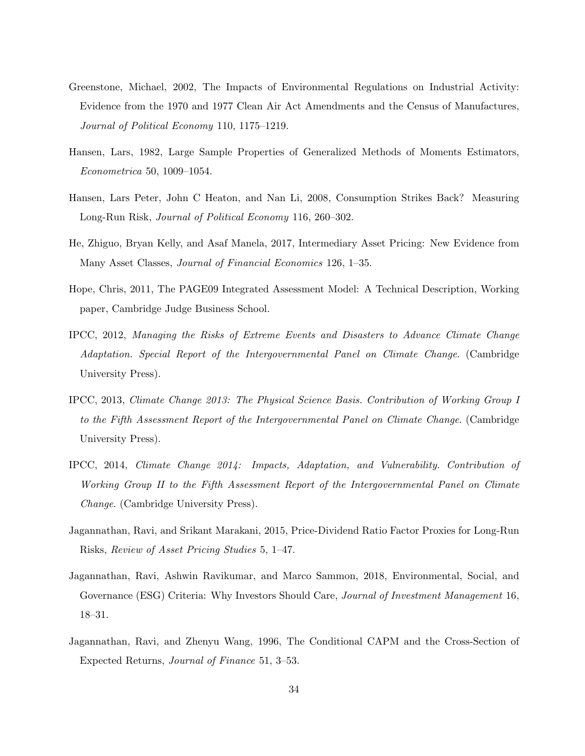- Greenstone, Michael, 2002, The Impacts of Environmental Regulations on Industrial Activity: Evidence from the 1970 and 1977 Clean Air Act Amendments and the Census of Manufactures, *Journal of Political Economy* 110, 1175–1219.
- Hansen, Lars, 1982, Large Sample Properties of Generalized Methods of Moments Estimators, *Econometrica* 50, 1009–1054.
- Hansen, Lars Peter, John C Heaton, and Nan Li, 2008, Consumption Strikes Back? Measuring Long-Run Risk, *Journal of Political Economy* 116, 260–302.
- He, Zhiguo, Bryan Kelly, and Asaf Manela, 2017, Intermediary Asset Pricing: New Evidence from Many Asset Classes, *Journal of Financial Economics* 126, 1–35.
- Hope, Chris, 2011, The PAGE09 Integrated Assessment Model: A Technical Description, Working paper, Cambridge Judge Business School.
- IPCC, 2012, *Managing the Risks of Extreme Events and Disasters to Advance Climate Change Adaptation. Special Report of the Intergovernmental Panel on Climate Change*. (Cambridge University Press).
- IPCC, 2013, *Climate Change 2013: The Physical Science Basis. Contribution of Working Group I to the Fifth Assessment Report of the Intergovernmental Panel on Climate Change*. (Cambridge University Press).
- IPCC, 2014, *Climate Change 2014: Impacts, Adaptation, and Vulnerability. Contribution of Working Group II to the Fifth Assessment Report of the Intergovernmental Panel on Climate Change*. (Cambridge University Press).
- Jagannathan, Ravi, and Srikant Marakani, 2015, Price-Dividend Ratio Factor Proxies for Long-Run Risks, *Review of Asset Pricing Studies* 5, 1–47.
- Jagannathan, Ravi, Ashwin Ravikumar, and Marco Sammon, 2018, Environmental, Social, and Governance (ESG) Criteria: Why Investors Should Care, *Journal of Investment Management* 16, 18–31.
- Jagannathan, Ravi, and Zhenyu Wang, 1996, The Conditional CAPM and the Cross-Section of Expected Returns, *Journal of Finance* 51, 3–53.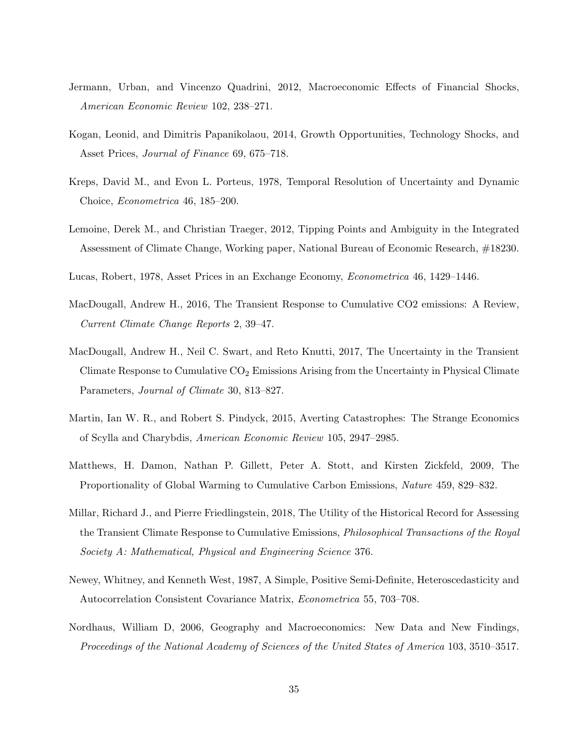- Jermann, Urban, and Vincenzo Quadrini, 2012, Macroeconomic Effects of Financial Shocks, *American Economic Review* 102, 238–271.
- Kogan, Leonid, and Dimitris Papanikolaou, 2014, Growth Opportunities, Technology Shocks, and Asset Prices, *Journal of Finance* 69, 675–718.
- Kreps, David M., and Evon L. Porteus, 1978, Temporal Resolution of Uncertainty and Dynamic Choice, *Econometrica* 46, 185–200.
- Lemoine, Derek M., and Christian Traeger, 2012, Tipping Points and Ambiguity in the Integrated Assessment of Climate Change, Working paper, National Bureau of Economic Research, #18230.
- Lucas, Robert, 1978, Asset Prices in an Exchange Economy, *Econometrica* 46, 1429–1446.
- MacDougall, Andrew H., 2016, The Transient Response to Cumulative CO2 emissions: A Review, *Current Climate Change Reports* 2, 39–47.
- MacDougall, Andrew H., Neil C. Swart, and Reto Knutti, 2017, The Uncertainty in the Transient Climate Response to Cumulative  $CO<sub>2</sub>$  Emissions Arising from the Uncertainty in Physical Climate Parameters, *Journal of Climate* 30, 813–827.
- Martin, Ian W. R., and Robert S. Pindyck, 2015, Averting Catastrophes: The Strange Economics of Scylla and Charybdis, *American Economic Review* 105, 2947–2985.
- Matthews, H. Damon, Nathan P. Gillett, Peter A. Stott, and Kirsten Zickfeld, 2009, The Proportionality of Global Warming to Cumulative Carbon Emissions, *Nature* 459, 829–832.
- Millar, Richard J., and Pierre Friedlingstein, 2018, The Utility of the Historical Record for Assessing the Transient Climate Response to Cumulative Emissions, *Philosophical Transactions of the Royal Society A: Mathematical, Physical and Engineering Science* 376.
- Newey, Whitney, and Kenneth West, 1987, A Simple, Positive Semi-Definite, Heteroscedasticity and Autocorrelation Consistent Covariance Matrix, *Econometrica* 55, 703–708.
- Nordhaus, William D, 2006, Geography and Macroeconomics: New Data and New Findings, *Proceedings of the National Academy of Sciences of the United States of America* 103, 3510–3517.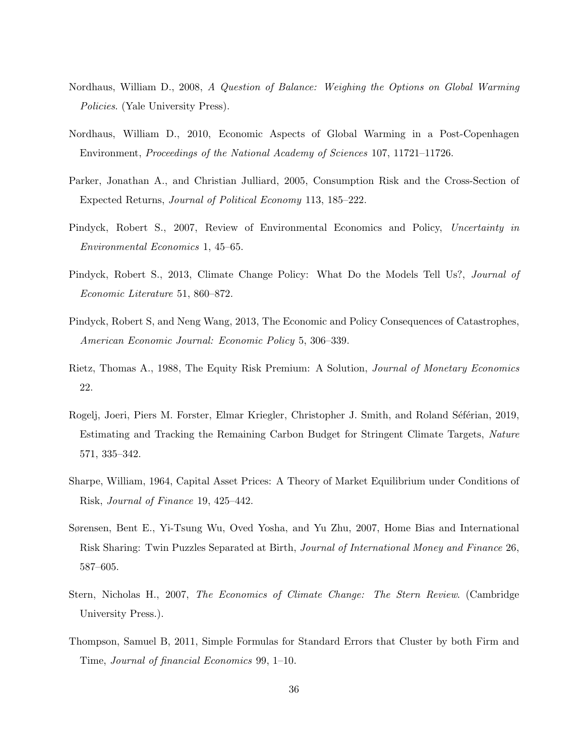- Nordhaus, William D., 2008, *A Question of Balance: Weighing the Options on Global Warming Policies*. (Yale University Press).
- Nordhaus, William D., 2010, Economic Aspects of Global Warming in a Post-Copenhagen Environment, *Proceedings of the National Academy of Sciences* 107, 11721–11726.
- Parker, Jonathan A., and Christian Julliard, 2005, Consumption Risk and the Cross-Section of Expected Returns, *Journal of Political Economy* 113, 185–222.
- Pindyck, Robert S., 2007, Review of Environmental Economics and Policy, *Uncertainty in Environmental Economics* 1, 45–65.
- Pindyck, Robert S., 2013, Climate Change Policy: What Do the Models Tell Us?, *Journal of Economic Literature* 51, 860–872.
- Pindyck, Robert S, and Neng Wang, 2013, The Economic and Policy Consequences of Catastrophes, *American Economic Journal: Economic Policy* 5, 306–339.
- Rietz, Thomas A., 1988, The Equity Risk Premium: A Solution, *Journal of Monetary Economics* 22.
- Rogelj, Joeri, Piers M. Forster, Elmar Kriegler, Christopher J. Smith, and Roland Séférian, 2019, Estimating and Tracking the Remaining Carbon Budget for Stringent Climate Targets, *Nature* 571, 335–342.
- Sharpe, William, 1964, Capital Asset Prices: A Theory of Market Equilibrium under Conditions of Risk, *Journal of Finance* 19, 425–442.
- Sørensen, Bent E., Yi-Tsung Wu, Oved Yosha, and Yu Zhu, 2007, Home Bias and International Risk Sharing: Twin Puzzles Separated at Birth, *Journal of International Money and Finance* 26, 587–605.
- Stern, Nicholas H., 2007, *The Economics of Climate Change: The Stern Review*. (Cambridge University Press.).
- Thompson, Samuel B, 2011, Simple Formulas for Standard Errors that Cluster by both Firm and Time, *Journal of financial Economics* 99, 1–10.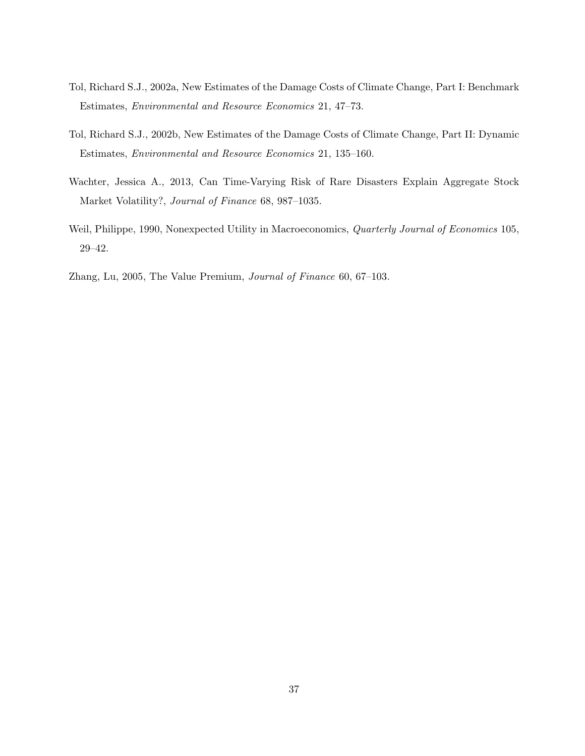- Tol, Richard S.J., 2002a, New Estimates of the Damage Costs of Climate Change, Part I: Benchmark Estimates, *Environmental and Resource Economics* 21, 47–73.
- Tol, Richard S.J., 2002b, New Estimates of the Damage Costs of Climate Change, Part II: Dynamic Estimates, *Environmental and Resource Economics* 21, 135–160.
- Wachter, Jessica A., 2013, Can Time-Varying Risk of Rare Disasters Explain Aggregate Stock Market Volatility?, *Journal of Finance* 68, 987–1035.
- Weil, Philippe, 1990, Nonexpected Utility in Macroeconomics, *Quarterly Journal of Economics* 105, 29–42.
- Zhang, Lu, 2005, The Value Premium, *Journal of Finance* 60, 67–103.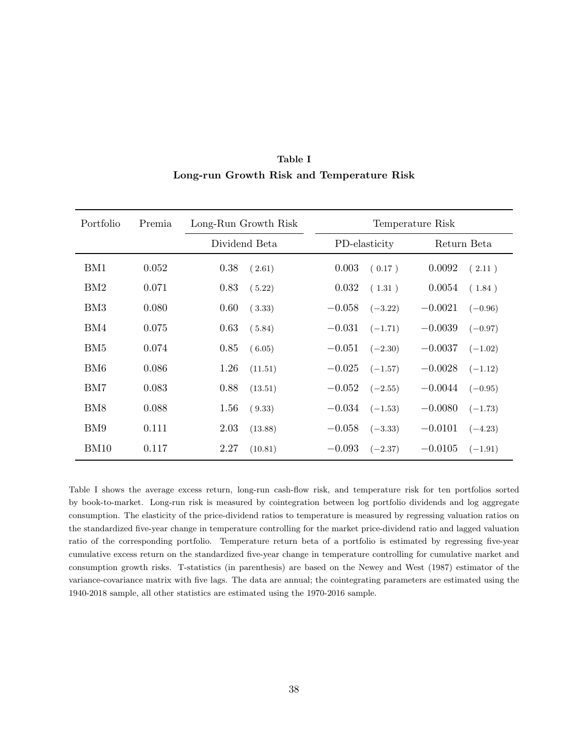| Portfolio | Premia | Long-Run Growth Risk | Temperature Risk      |                        |
|-----------|--------|----------------------|-----------------------|------------------------|
|           |        | Dividend Beta        | PD-elasticity         | Return Beta            |
| BM1       | 0.052  | 0.38<br>(2.61)       | 0.003<br>(0.17)       | 0.0092<br>(2.11)       |
| BM2       | 0.071  | 0.83<br>(5.22)       | 0.032<br>(1.31)       | 0.0054<br>(1.84)       |
| BM3       | 0.080  | 0.60<br>(3.33)       | $-0.058$<br>$(-3.22)$ | $-0.0021$<br>$(-0.96)$ |
| BM4       | 0.075  | 0.63<br>(5.84)       | $-0.031$<br>$(-1.71)$ | $-0.0039$<br>$(-0.97)$ |
| BM5       | 0.074  | 0.85<br>(6.05)       | $-0.051$<br>$(-2.30)$ | $-0.0037$<br>$(-1.02)$ |
| BM6       | 0.086  | 1.26<br>(11.51)      | $-0.025$<br>$(-1.57)$ | $-0.0028$<br>$(-1.12)$ |
| BM7       | 0.083  | 0.88<br>(13.51)      | $-0.052$<br>$(-2.55)$ | $-0.0044$<br>$(-0.95)$ |
| BM8       | 0.088  | 1.56<br>(9.33)       | $-0.034$<br>$(-1.53)$ | $-0.0080$<br>$(-1.73)$ |
| BM9       | 0.111  | 2.03<br>(13.88)      | $-0.058$<br>$(-3.33)$ | $-0.0101$<br>$(-4.23)$ |
| BM10      | 0.117  | 2.27<br>(10.81)      | $-0.093$<br>$(-2.37)$ | $-0.0105$<br>$(-1.91)$ |

**Table I Long-run Growth Risk and Temperature Risk**

Table I shows the average excess return, long-run cash-flow risk, and temperature risk for ten portfolios sorted by book-to-market. Long-run risk is measured by cointegration between log portfolio dividends and log aggregate consumption. The elasticity of the price-dividend ratios to temperature is measured by regressing valuation ratios on the standardized five-year change in temperature controlling for the market price-dividend ratio and lagged valuation ratio of the corresponding portfolio. Temperature return beta of a portfolio is estimated by regressing five-year cumulative excess return on the standardized five-year change in temperature controlling for cumulative market and consumption growth risks. T-statistics (in parenthesis) are based on the Newey and West (1987) estimator of the variance-covariance matrix with five lags. The data are annual; the cointegrating parameters are estimated using the 1940-2018 sample, all other statistics are estimated using the 1970-2016 sample.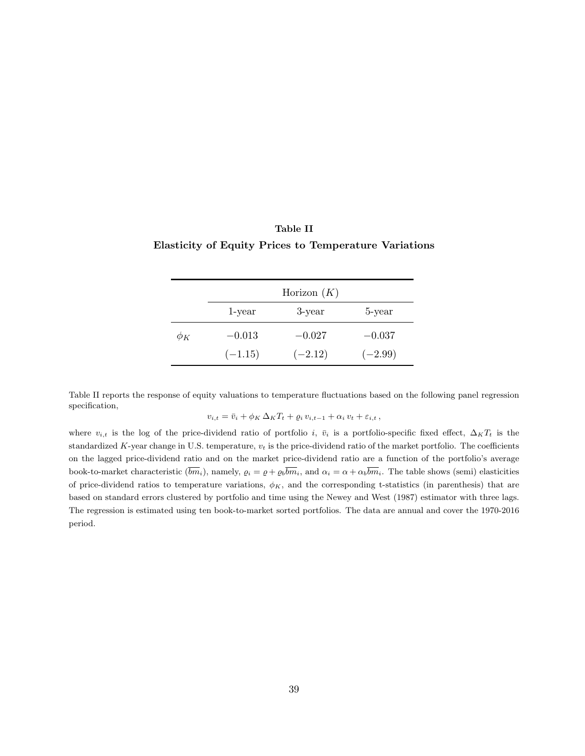| Table II                                                     |  |
|--------------------------------------------------------------|--|
| <b>Elasticity of Equity Prices to Temperature Variations</b> |  |

|          | Horizon $(K)$ |           |           |
|----------|---------------|-----------|-----------|
|          | 1-year        | 3-year    | 5-year    |
| $\phi_K$ | $-0.013$      | $-0.027$  | $-0.037$  |
|          | $(-1.15)$     | $(-2.12)$ | $(-2.99)$ |

Table II reports the response of equity valuations to temperature fluctuations based on the following panel regression specification,

$$
v_{i,t} = \bar{v}_i + \phi_K \,\Delta_K T_t + \varrho_i\,v_{i,t-1} + \alpha_i\,v_t + \varepsilon_{i,t}\,,
$$

where  $v_{i,t}$  is the log of the price-dividend ratio of portfolio *i*,  $\bar{v}_i$  is a portfolio-specific fixed effect,  $\Delta_K T_t$  is the standardized *K*-year change in U.S. temperature, *v<sup>t</sup>* is the price-dividend ratio of the market portfolio. The coefficients on the lagged price-dividend ratio and on the market price-dividend ratio are a function of the portfolio's average book-to-market characteristic  $(\overline{bm}_i)$ , namely,  $\rho_i = \rho + \rho_b \overline{bm}_i$ , and  $\alpha_i = \alpha + \alpha_b \overline{bm}_i$ . The table shows (semi) elasticities of price-dividend ratios to temperature variations, *ϕK*, and the corresponding t-statistics (in parenthesis) that are based on standard errors clustered by portfolio and time using the Newey and West (1987) estimator with three lags. The regression is estimated using ten book-to-market sorted portfolios. The data are annual and cover the 1970-2016 period.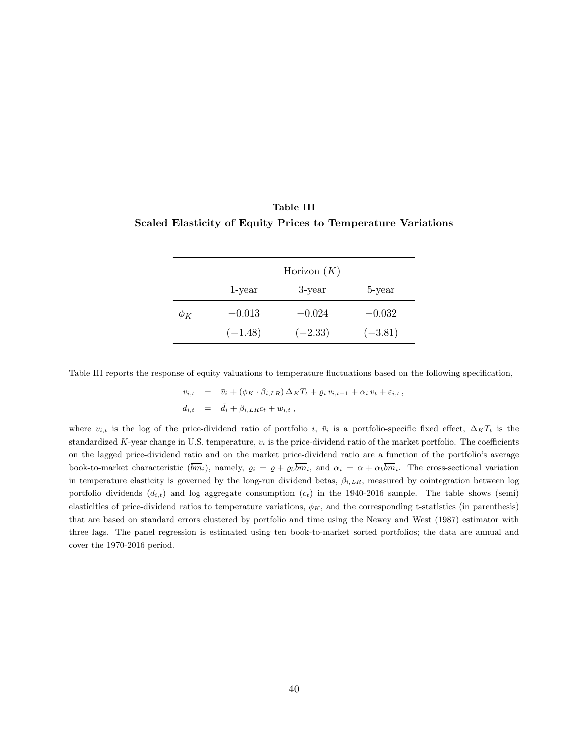| Table III                                                    |  |
|--------------------------------------------------------------|--|
| Scaled Elasticity of Equity Prices to Temperature Variations |  |

|          | Horizon $(K)$ |           |           |  |
|----------|---------------|-----------|-----------|--|
|          | 1-year        | 3-year    | 5-year    |  |
| $\phi_K$ | $-0.013$      | $-0.024$  | $-0.032$  |  |
|          | $(-1.48)$     | $(-2.33)$ | $(-3.81)$ |  |

Table III reports the response of equity valuations to temperature fluctuations based on the following specification,

$$
v_{i,t} = \bar{v}_i + (\phi_K \cdot \beta_{i,LR}) \Delta_K T_t + \varrho_i v_{i,t-1} + \alpha_i v_t + \varepsilon_{i,t},
$$
  

$$
d_{i,t} = \bar{d}_i + \beta_{i,LR} c_t + w_{i,t},
$$

where  $v_{i,t}$  is the log of the price-dividend ratio of portfolio *i*,  $\bar{v}_i$  is a portfolio-specific fixed effect,  $\Delta_K T_t$  is the standardized  $K$ -year change in U.S. temperature,  $v_t$  is the price-dividend ratio of the market portfolio. The coefficients on the lagged price-dividend ratio and on the market price-dividend ratio are a function of the portfolio's average book-to-market characteristic  $(\overline{bm}_i)$ , namely,  $\varrho_i = \varrho + \varrho_b \overline{bm}_i$ , and  $\alpha_i = \alpha + \alpha_b \overline{bm}_i$ . The cross-sectional variation in temperature elasticity is governed by the long-run dividend betas,  $\beta_{i,LR}$ , measured by cointegration between log portfolio dividends  $(d_{i,t})$  and log aggregate consumption  $(c_t)$  in the 1940-2016 sample. The table shows (semi) elasticities of price-dividend ratios to temperature variations,  $\phi_K$ , and the corresponding t-statistics (in parenthesis) that are based on standard errors clustered by portfolio and time using the Newey and West (1987) estimator with three lags. The panel regression is estimated using ten book-to-market sorted portfolios; the data are annual and cover the 1970-2016 period.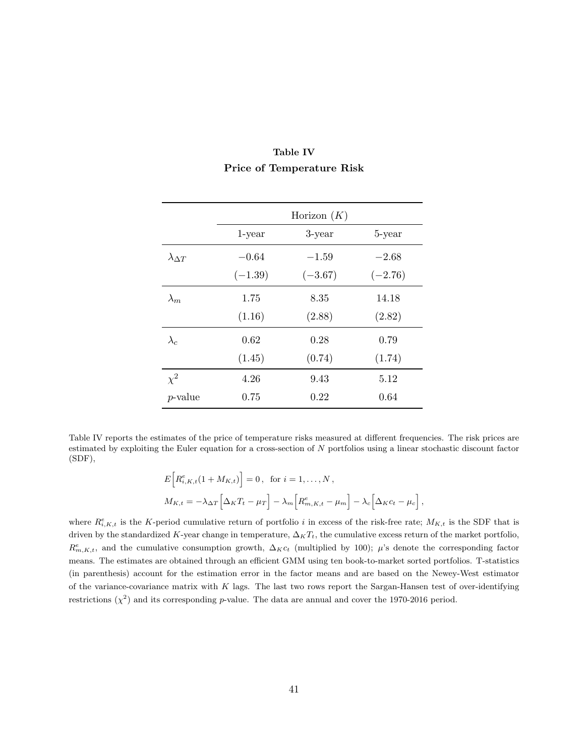|                      | Horizon $(K)$ |           |           |
|----------------------|---------------|-----------|-----------|
|                      | $1$ -year     | 3-year    | 5-year    |
| $\lambda_{\Delta T}$ | $-0.64$       | $-1.59$   | $-2.68$   |
|                      | $(-1.39)$     | $(-3.67)$ | $(-2.76)$ |
| $\lambda_m$          | 1.75          | 8.35      | 14.18     |
|                      | (1.16)        | (2.88)    | (2.82)    |
| $\lambda_c$          | 0.62          | 0.28      | 0.79      |
|                      | (1.45)        | (0.74)    | (1.74)    |
| $\chi^2$             | 4.26          | 9.43      | 5.12      |
| <i>p</i> -value      | 0.75          | 0.22      | 0.64      |

### **Table IV Price of Temperature Risk**

Table IV reports the estimates of the price of temperature risks measured at different frequencies. The risk prices are estimated by exploiting the Euler equation for a cross-section of *N* portfolios using a linear stochastic discount factor (SDF),

$$
E\Big[R_{i,K,t}^{e}(1+M_{K,t})\Big]=0, \text{ for } i=1,\ldots,N,
$$
  

$$
M_{K,t}=-\lambda_{\Delta T}\Big[\Delta_K T_t-\mu_T\Big]-\lambda_m\Big[R_{m,K,t}^{e}-\mu_m\Big]-\lambda_c\Big[\Delta_K c_t-\mu_c\Big],
$$

where  $R_{i,K,t}^e$  is the *K*-period cumulative return of portfolio *i* in excess of the risk-free rate;  $M_{K,t}$  is the SDF that is driven by the standardized *K*-year change in temperature,  $\Delta_K T_t$ , the cumulative excess return of the market portfolio,  $R_{m,K,t}^e$ , and the cumulative consumption growth,  $\Delta_K c_t$  (multiplied by 100); *µ*'s denote the corresponding factor means. The estimates are obtained through an efficient GMM using ten book-to-market sorted portfolios. T-statistics (in parenthesis) account for the estimation error in the factor means and are based on the Newey-West estimator of the variance-covariance matrix with *K* lags. The last two rows report the Sargan-Hansen test of over-identifying restrictions  $(\chi^2)$  and its corresponding *p*-value. The data are annual and cover the 1970-2016 period.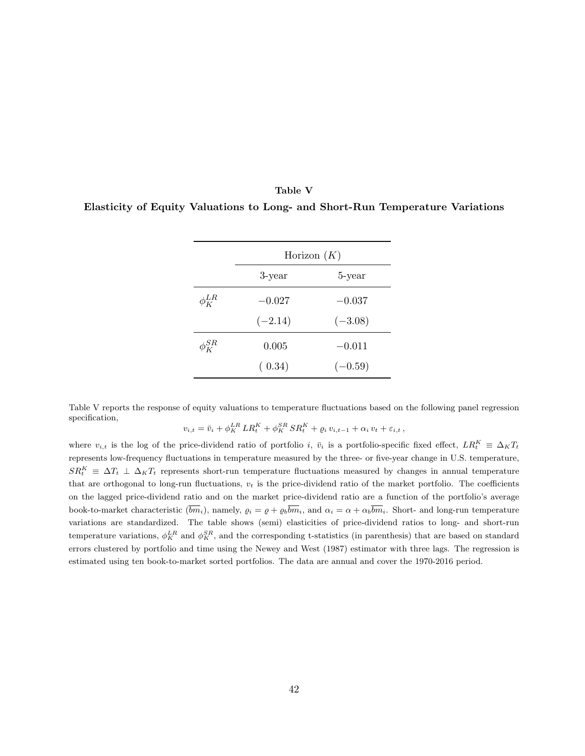#### **Table V**

**Elasticity of Equity Valuations to Long- and Short-Run Temperature Variations**

|                                     | Horizon $(K)$       |           |  |  |  |
|-------------------------------------|---------------------|-----------|--|--|--|
|                                     | 5-year<br>$3$ -year |           |  |  |  |
| $\phi^{LR}_{\scriptscriptstyle{K}}$ | $-0.027$            | $-0.037$  |  |  |  |
|                                     | $(-2.14)$           | $(-3.08)$ |  |  |  |
| $\phi^{SR}_{\nu}$                   | 0.005               | $-0.011$  |  |  |  |
|                                     | (0.34)              | $(-0.59)$ |  |  |  |

Table V reports the response of equity valuations to temperature fluctuations based on the following panel regression specification, *SR*

$$
v_{i,t} = \bar{v}_i + \phi_K^{LR} LR_t^K + \phi_K^{SR} SR_t^K + \varrho_i v_{i,t-1} + \alpha_i v_t + \varepsilon_{i,t},
$$

where  $v_{i,t}$  is the log of the price-dividend ratio of portfolio *i*,  $\bar{v}_i$  is a portfolio-specific fixed effect,  $LR_t^K \equiv \Delta_K T_t$ represents low-frequency fluctuations in temperature measured by the three- or five-year change in U.S. temperature,  $SR_t^K$   $\equiv \Delta T_t$  *⊥*  $\Delta_K T_t$  represents short-run temperature fluctuations measured by changes in annual temperature that are orthogonal to long-run fluctuations,  $v_t$  is the price-dividend ratio of the market portfolio. The coefficients on the lagged price-dividend ratio and on the market price-dividend ratio are a function of the portfolio's average book-to-market characteristic  $(\overline{bm}_i)$ , namely,  $\varrho_i = \varrho + \varrho_b \overline{bm}_i$ , and  $\alpha_i = \alpha + \alpha_b \overline{bm}_i$ . Short- and long-run temperature variations are standardized. The table shows (semi) elasticities of price-dividend ratios to long- and short-run temperature variations,  $\phi_K^{LR}$  and  $\phi_K^{SR}$ , and the corresponding t-statistics (in parenthesis) that are based on standard errors clustered by portfolio and time using the Newey and West (1987) estimator with three lags. The regression is estimated using ten book-to-market sorted portfolios. The data are annual and cover the 1970-2016 period.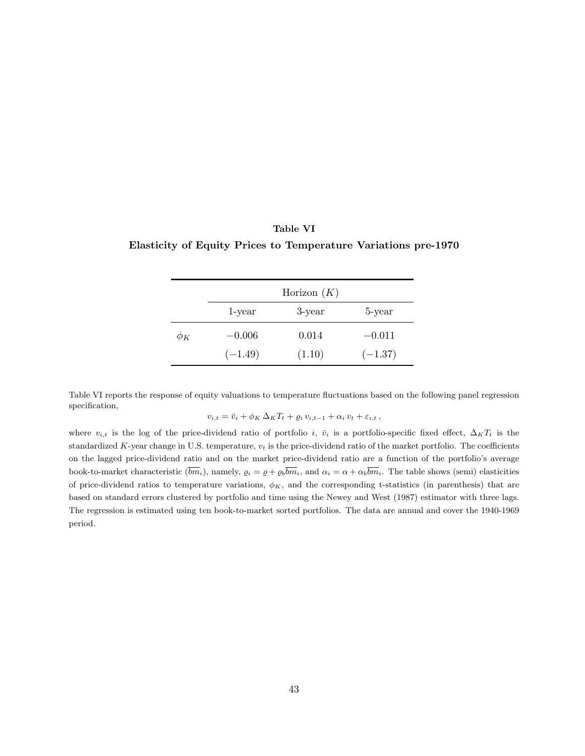### **Table VI Elasticity of Equity Prices to Temperature Variations pre-1970**

|          | Horizon $(K)$ |        |           |
|----------|---------------|--------|-----------|
|          | 1-year        | 3-year | 5-year    |
| $\phi_K$ | $-0.006$      | 0.014  | $-0.011$  |
|          | $(-1.49)$     | (1.10) | $(-1.37)$ |

Table VI reports the response of equity valuations to temperature fluctuations based on the following panel regression specification,

$$
v_{i,t} = \bar{v}_i + \phi_K \,\Delta_K T_t + \varrho_i\,v_{i,t-1} + \alpha_i\,v_t + \varepsilon_{i,t}\,,
$$

where  $v_{i,t}$  is the log of the price-dividend ratio of portfolio *i*,  $\bar{v}_i$  is a portfolio-specific fixed effect,  $\Delta_K T_t$  is the standardized *K*-year change in U.S. temperature, *v<sup>t</sup>* is the price-dividend ratio of the market portfolio. The coefficients on the lagged price-dividend ratio and on the market price-dividend ratio are a function of the portfolio's average book-to-market characteristic  $(\overline{bm}_i)$ , namely,  $\rho_i = \rho + \rho_b \overline{bm}_i$ , and  $\alpha_i = \alpha + \alpha_b \overline{bm}_i$ . The table shows (semi) elasticities of price-dividend ratios to temperature variations,  $\phi_K$ , and the corresponding t-statistics (in parenthesis) that are based on standard errors clustered by portfolio and time using the Newey and West (1987) estimator with three lags. The regression is estimated using ten book-to-market sorted portfolios. The data are annual and cover the 1940-1969 period.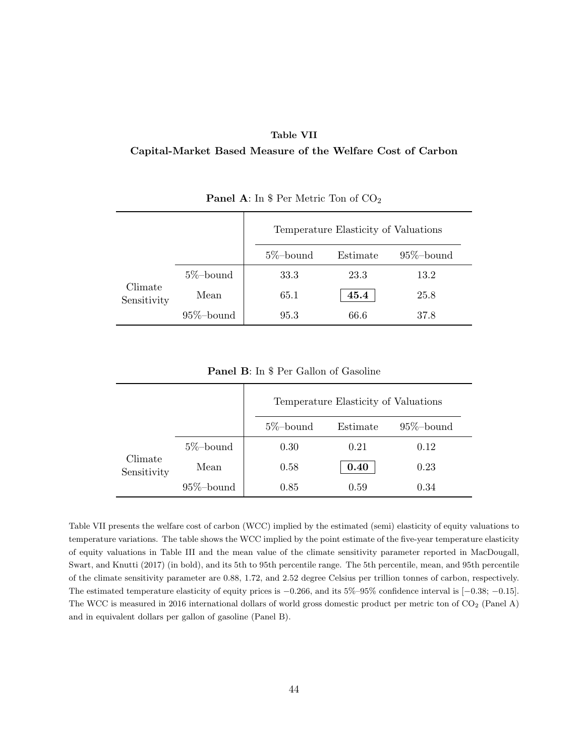#### **Table VII**

#### **Capital-Market Based Measure of the Welfare Cost of Carbon**

|                        |               |              | Temperature Elasticity of Valuations |               |  |
|------------------------|---------------|--------------|--------------------------------------|---------------|--|
|                        |               | $5\%$ -bound | Estimate                             | $95\%$ -bound |  |
|                        | $5\%$ -bound  | 33.3         | 23.3                                 | 13.2          |  |
| Climate<br>Sensitivity | Mean          | 65.1         | 45.4                                 | 25.8          |  |
|                        | $95\%$ -bound | 95.3         | 66.6                                 | 37.8          |  |

**Panel A**: In \$ Per Metric Ton of CO<sub>2</sub>

**Panel B**: In \$ Per Gallon of Gasoline

|                        |               |              | Temperature Elasticity of Valuations |               |  |
|------------------------|---------------|--------------|--------------------------------------|---------------|--|
|                        |               | $5\%$ -bound | Estimate                             | $95\%$ -bound |  |
|                        | $5\%$ -bound  | 0.30         | 0.21                                 | 0.12          |  |
| Climate<br>Sensitivity | Mean          | 0.58         | 0.40                                 | 0.23          |  |
|                        | $95\%$ -bound | 0.85         | 0.59                                 | 0.34          |  |

Table VII presents the welfare cost of carbon (WCC) implied by the estimated (semi) elasticity of equity valuations to temperature variations. The table shows the WCC implied by the point estimate of the five-year temperature elasticity of equity valuations in Table III and the mean value of the climate sensitivity parameter reported in MacDougall, Swart, and Knutti (2017) (in bold), and its 5th to 95th percentile range. The 5th percentile, mean, and 95th percentile of the climate sensitivity parameter are 0*.*88, 1*.*72, and 2*.*52 degree Celsius per trillion tonnes of carbon, respectively. The estimated temperature elasticity of equity prices is *−*0*.*266, and its 5%–95% confidence interval is [*−*0*.*38; *−*0*.*15]. The WCC is measured in 2016 international dollars of world gross domestic product per metric ton of CO<sup>2</sup> (Panel A) and in equivalent dollars per gallon of gasoline (Panel B).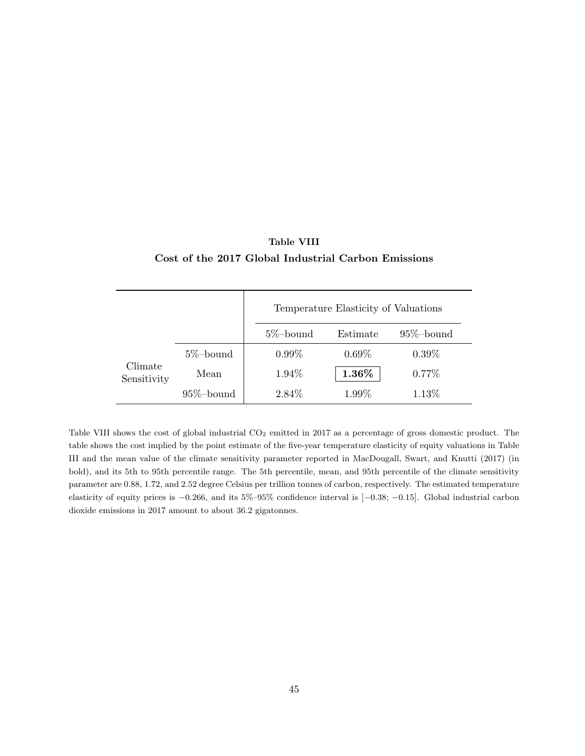|                        |               | Temperature Elasticity of Valuations |          |               |  |
|------------------------|---------------|--------------------------------------|----------|---------------|--|
|                        |               | $5\%$ -bound                         | Estimate | $95\%$ -bound |  |
|                        | $5\%$ -bound  | $0.99\%$                             | $0.69\%$ | $0.39\%$      |  |
| Climate<br>Sensitivity | Mean          | 1.94%                                | 1.36%    | $0.77\%$      |  |
|                        | $95\%$ -bound | 2.84%                                | $1.99\%$ | 1.13%         |  |

### **Table VIII Cost of the 2017 Global Industrial Carbon Emissions**

Table VIII shows the cost of global industrial  $CO<sub>2</sub>$  emitted in 2017 as a percentage of gross domestic product. The table shows the cost implied by the point estimate of the five-year temperature elasticity of equity valuations in Table III and the mean value of the climate sensitivity parameter reported in MacDougall, Swart, and Knutti (2017) (in bold), and its 5th to 95th percentile range. The 5th percentile, mean, and 95th percentile of the climate sensitivity parameter are 0*.*88, 1*.*72, and 2*.*52 degree Celsius per trillion tonnes of carbon, respectively. The estimated temperature elasticity of equity prices is *−*0*.*266, and its 5%–95% confidence interval is [*−*0*.*38; *−*0*.*15]. Global industrial carbon dioxide emissions in 2017 amount to about 36*.*2 gigatonnes.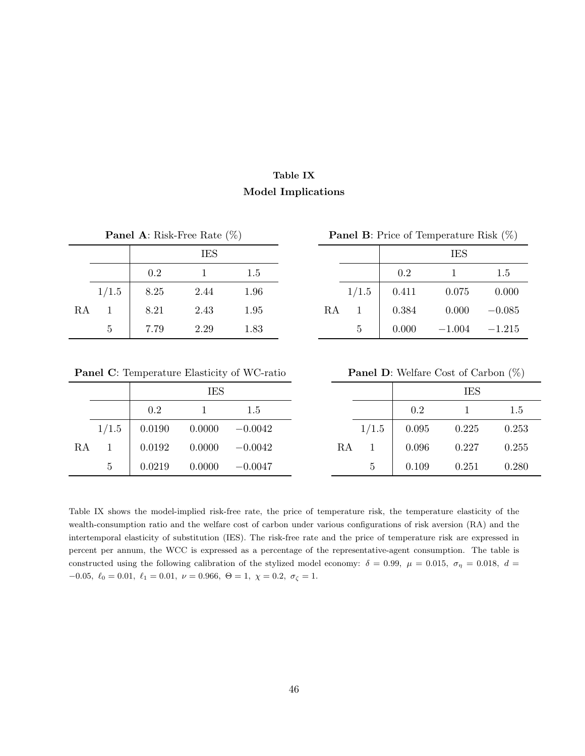### **Table IX Model Implications**

|  | <b>Panel A:</b> Risk-Free Rate $(\%)$ |  |
|--|---------------------------------------|--|
|  |                                       |  |

|                 | <b>IES</b>                              |  |  | <b>IES</b>                       |  |
|-----------------|-----------------------------------------|--|--|----------------------------------|--|
|                 | $0.2 \qquad \qquad 1 \qquad \qquad 1.5$ |  |  | $0.2$ 1 1.5                      |  |
|                 | $1/1.5$ 8.25 2.44 1.96                  |  |  | $1/1.5$ 0.411 0.075 0.000        |  |
|                 | RA 1 8.21 2.43 1.95                     |  |  | RA 1   $0.384$ 0.000 -0.085      |  |
| $5\phantom{.0}$ | $7.79$ $2.29$ $1.83$                    |  |  | $5 \t 0.000 \t -1.004 \t -1.215$ |  |

**Panel B:** Price of Temperature Risk (%)

|                |         | <b>IES</b> |      |    |   |                     | <b>IES</b>                                       |       |
|----------------|---------|------------|------|----|---|---------------------|--------------------------------------------------|-------|
|                | $0.2\,$ |            | 1.5  |    |   | $0.2\,$             |                                                  | 1.5   |
| 1/1.5          | 8.25    | 2.44       | 1.96 |    |   | $1/1.5$ 0.411 0.075 |                                                  | 0.000 |
| $\mathbf{1}$   | 8.21    | 2.43       | 1.95 | RA |   |                     | $1 \quad   \quad 0.384 \quad 0.000 \quad -0.085$ |       |
| $\overline{5}$ | 7.79    | 2.29       | 1.83 |    | 5 |                     | $0.000$ $-1.004$ $-1.215$                        |       |

**Panel C**: Temperature Elasticity of WC-ratio **Panel D**: Welfare Cost of Carbon (%)

|    |   |                               | <b>IES</b>                  |     |    |       |       | <b>IES</b> |       |
|----|---|-------------------------------|-----------------------------|-----|----|-------|-------|------------|-------|
|    |   | $0.2\,$                       |                             | 1.5 |    |       | 0.2   |            | 1.5   |
|    |   | $1/1.5$ 0.0190 0.0000 -0.0042 |                             |     |    | 1/1.5 | 0.095 | 0.225      | 0.253 |
| RA |   |                               | $0.0192$ $0.0000$ $-0.0042$ |     | RA |       | 0.096 | 0.227      | 0.255 |
|    | 5 |                               | $0.0219$ $0.0000$ $-0.0047$ |     |    | 5     | 0.109 | 0.251      | 0.280 |

|       |        | <b>IES</b> |           |    |       |       | <b>IES</b> |       |
|-------|--------|------------|-----------|----|-------|-------|------------|-------|
|       | 0.2    |            | 1.5       |    |       | 0.2   |            | 1.5   |
| 1/1.5 | 0.0190 | 0.0000     | $-0.0042$ |    | 1/1.5 | 0.095 | 0.225      | 0.253 |
|       | 0.0192 | 0.0000     | $-0.0042$ | RA |       | 0.096 | 0.227      | 0.255 |
| 5     | 0.0219 | 0.0000     | $-0.0047$ |    | 5     | 0.109 | 0.251      | 0.280 |

Table IX shows the model-implied risk-free rate, the price of temperature risk, the temperature elasticity of the wealth-consumption ratio and the welfare cost of carbon under various configurations of risk aversion (RA) and the intertemporal elasticity of substitution (IES). The risk-free rate and the price of temperature risk are expressed in percent per annum, the WCC is expressed as a percentage of the representative-agent consumption. The table is constructed using the following calibration of the stylized model economy:  $\delta = 0.99$ ,  $\mu = 0.015$ ,  $\sigma_{\eta} = 0.018$ ,  $d =$ *−*0*.*05*, ℓ*<sup>0</sup> = 0*.*01*, ℓ*<sup>1</sup> = 0*.*01*, ν* = 0*.*966*,* Θ = 1*, χ* = 0*.*2*, σ<sup>ζ</sup>* = 1.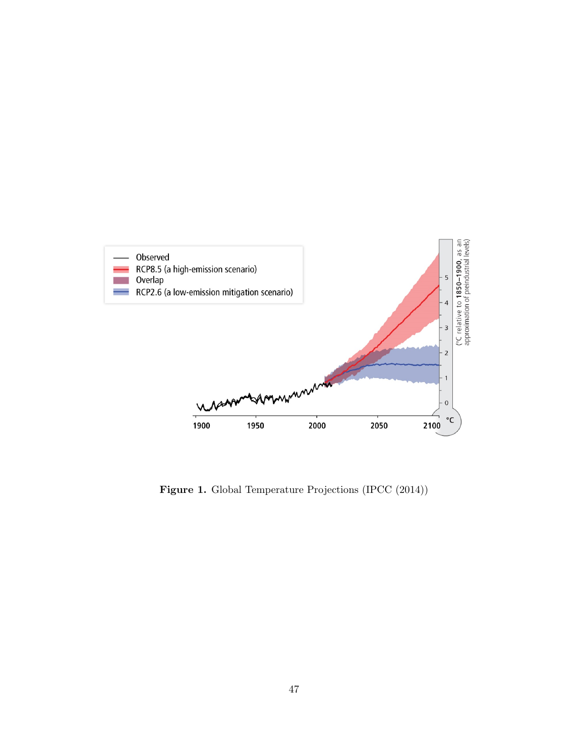

Figure 1. Global Temperature Projections (IPCC (2014))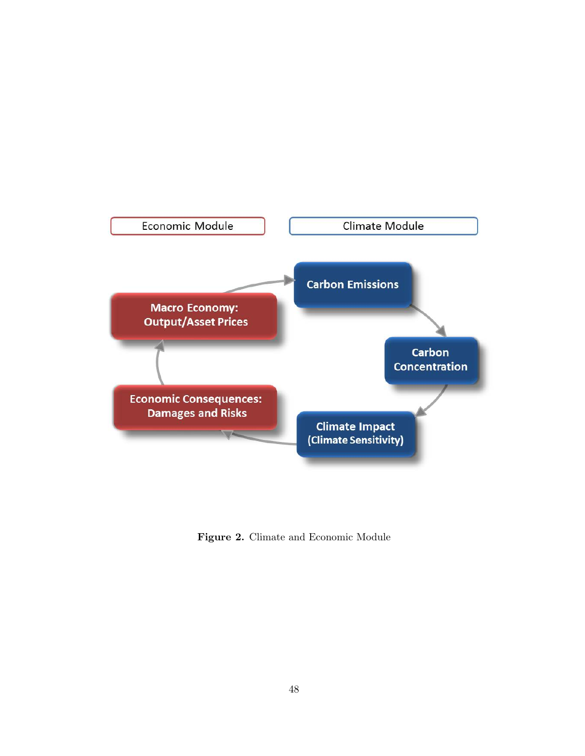

**Figure 2.** Climate and Economic Module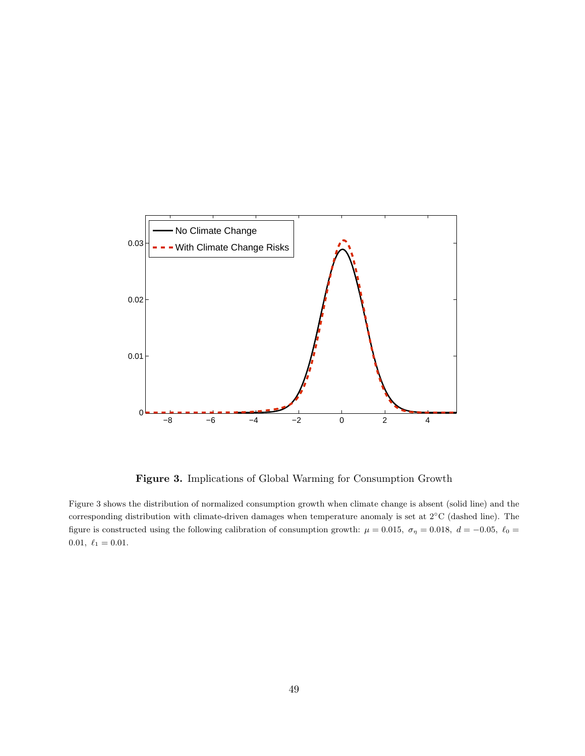

**Figure 3.** Implications of Global Warming for Consumption Growth

Figure 3 shows the distribution of normalized consumption growth when climate change is absent (solid line) and the corresponding distribution with climate-driven damages when temperature anomaly is set at 2*◦*C (dashed line). The figure is constructed using the following calibration of consumption growth:  $\mu = 0.015$ ,  $\sigma_{\eta} = 0.018$ ,  $d = -0.05$ ,  $\ell_0 =$  $0.01, \ell_1 = 0.01.$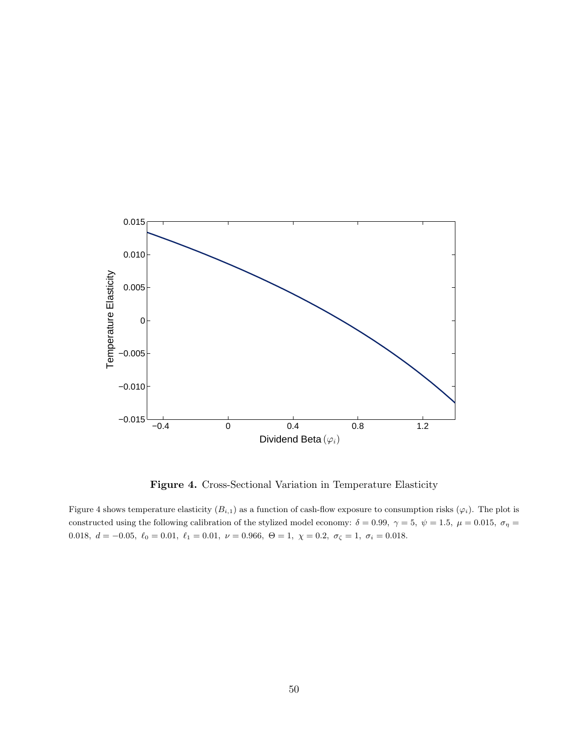

**Figure 4.** Cross-Sectional Variation in Temperature Elasticity

Figure 4 shows temperature elasticity  $(B_{i,1})$  as a function of cash-flow exposure to consumption risks  $(\varphi_i)$ . The plot is constructed using the following calibration of the stylized model economy:  $\delta = 0.99$ ,  $\gamma = 5$ ,  $\psi = 1.5$ ,  $\mu = 0.015$ ,  $\sigma_{\eta} =$ 0.018*,*  $d = -0.05$ *,*  $\ell_0 = 0.01$ *,*  $\ell_1 = 0.01$ *,*  $\nu = 0.966$ *,*  $\Theta = 1$ *,*  $\chi = 0.2$ *,*  $\sigma_\zeta = 1$ *,*  $\sigma_i = 0.018$ .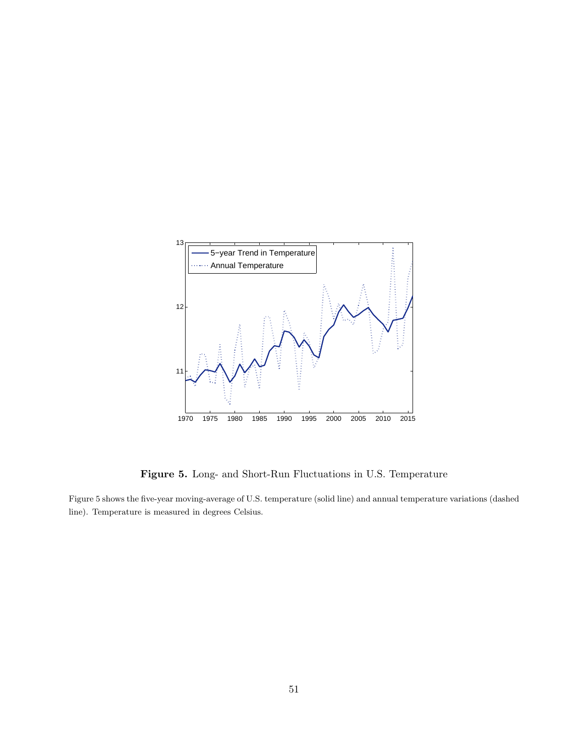

**Figure 5.** Long- and Short-Run Fluctuations in U.S. Temperature

Figure 5 shows the five-year moving-average of U.S. temperature (solid line) and annual temperature variations (dashed line). Temperature is measured in degrees Celsius.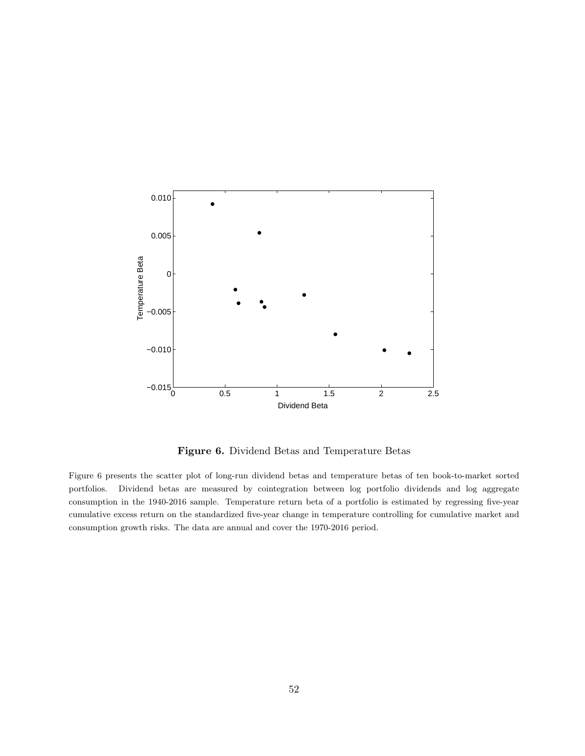

**Figure 6.** Dividend Betas and Temperature Betas

Figure 6 presents the scatter plot of long-run dividend betas and temperature betas of ten book-to-market sorted portfolios. Dividend betas are measured by cointegration between log portfolio dividends and log aggregate consumption in the 1940-2016 sample. Temperature return beta of a portfolio is estimated by regressing five-year cumulative excess return on the standardized five-year change in temperature controlling for cumulative market and consumption growth risks. The data are annual and cover the 1970-2016 period.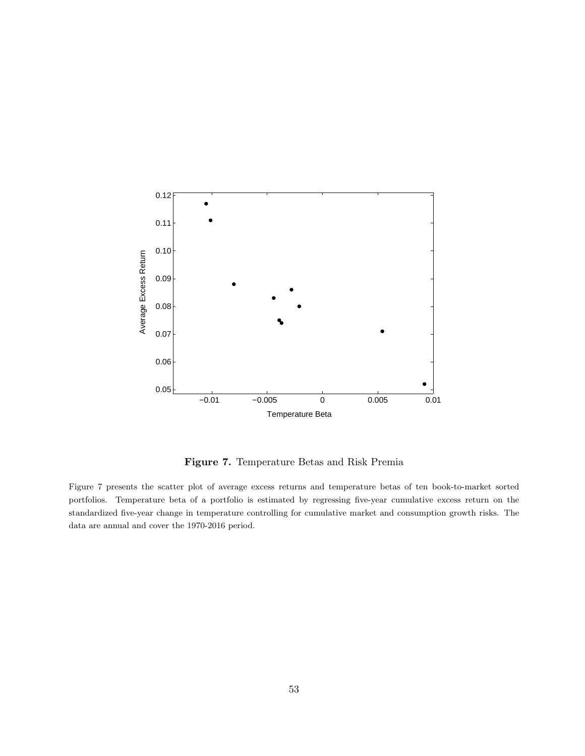

**Figure 7.** Temperature Betas and Risk Premia

Figure 7 presents the scatter plot of average excess returns and temperature betas of ten book-to-market sorted portfolios. Temperature beta of a portfolio is estimated by regressing five-year cumulative excess return on the standardized five-year change in temperature controlling for cumulative market and consumption growth risks. The data are annual and cover the 1970-2016 period.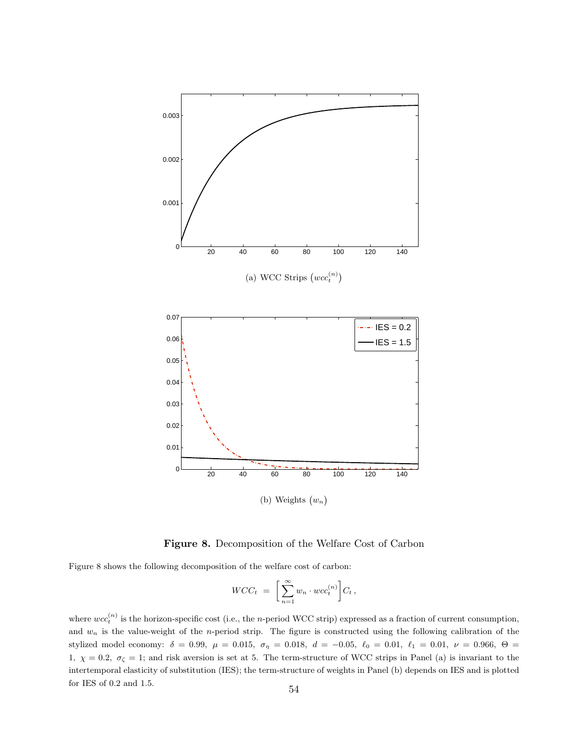

**Figure 8.** Decomposition of the Welfare Cost of Carbon

Figure 8 shows the following decomposition of the welfare cost of carbon:

$$
WCC_t = \bigg[\sum_{n=1}^{\infty} w_n \cdot wc_t^{(n)}\bigg]C_t,
$$

where  $wcc_t^{(n)}$  is the horizon-specific cost (i.e., the *n*-period WCC strip) expressed as a fraction of current consumption, and  $w_n$  is the value-weight of the *n*-period strip. The figure is constructed using the following calibration of the stylized model economy:  $\delta = 0.99$ ,  $\mu = 0.015$ ,  $\sigma_{\eta} = 0.018$ ,  $d = -0.05$ ,  $\ell_0 = 0.01$ ,  $\ell_1 = 0.01$ ,  $\nu = 0.966$ ,  $\Theta =$ 1,  $\chi = 0.2$ ,  $\sigma_{\zeta} = 1$ ; and risk aversion is set at 5. The term-structure of WCC strips in Panel (a) is invariant to the intertemporal elasticity of substitution (IES); the term-structure of weights in Panel (b) depends on IES and is plotted for IES of 0.2 and 1.5. 54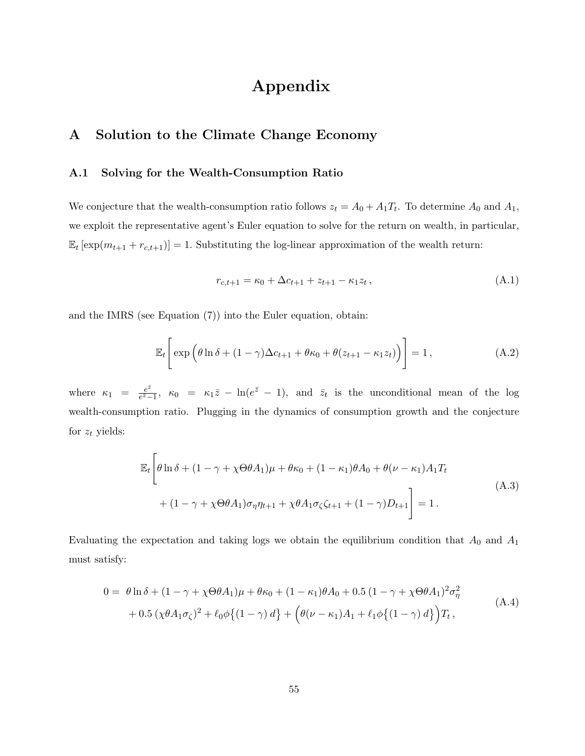# **Appendix**

### **A Solution to the Climate Change Economy**

#### **A.1 Solving for the Wealth-Consumption Ratio**

We conjecture that the wealth-consumption ratio follows  $z_t = A_0 + A_1 T_t$ . To determine  $A_0$  and  $A_1$ , we exploit the representative agent's Euler equation to solve for the return on wealth, in particular,  $\mathbb{E}_t \left[ \exp(m_{t+1} + r_{c,t+1}) \right] = 1$ . Substituting the log-linear approximation of the wealth return:

$$
r_{c,t+1} = \kappa_0 + \Delta c_{t+1} + z_{t+1} - \kappa_1 z_t, \tag{A.1}
$$

and the IMRS (see Equation (7)) into the Euler equation, obtain:

$$
\mathbb{E}_t\left[\exp\left(\theta\ln\delta + (1-\gamma)\Delta c_{t+1} + \theta\kappa_0 + \theta(z_{t+1} - \kappa_1 z_t)\right)\right] = 1, \tag{A.2}
$$

where  $\kappa_1 = \frac{e^{\bar{z}}}{e^{\bar{z}}-1}$  $\frac{e^z}{e^z-1}$ ,  $\kappa_0 = \kappa_1 \bar{z} - \ln(e^{\bar{z}}-1)$ , and  $\bar{z}_t$  is the unconditional mean of the log wealth-consumption ratio. Plugging in the dynamics of consumption growth and the conjecture for *z<sup>t</sup>* yields:

$$
\mathbb{E}_{t}\left[\theta\ln\delta + (1-\gamma + \chi\Theta\theta A_{1})\mu + \theta\kappa_{0} + (1-\kappa_{1})\theta A_{0} + \theta(\nu - \kappa_{1})A_{1}T_{t}\right] + (1-\gamma + \chi\Theta\theta A_{1})\sigma_{\eta}\eta_{t+1} + \chi\theta A_{1}\sigma_{\zeta}\zeta_{t+1} + (1-\gamma)D_{t+1}\right] = 1.
$$
\n(A.3)

Evaluating the expectation and taking logs we obtain the equilibrium condition that  $A_0$  and  $A_1$ must satisfy:

$$
0 = \theta \ln \delta + (1 - \gamma + \chi \Theta \theta A_1) \mu + \theta \kappa_0 + (1 - \kappa_1) \theta A_0 + 0.5 (1 - \gamma + \chi \Theta \theta A_1)^2 \sigma_\eta^2 + 0.5 (\chi \theta A_1 \sigma_\zeta)^2 + \ell_0 \phi \{ (1 - \gamma) d \} + (\theta (\nu - \kappa_1) A_1 + \ell_1 \phi \{ (1 - \gamma) d \} ) T_t,
$$
(A.4)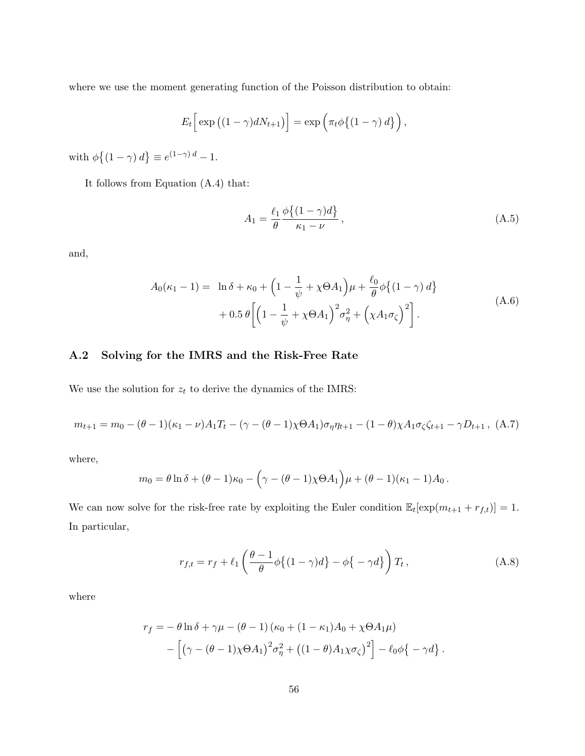where we use the moment generating function of the Poisson distribution to obtain:

$$
E_t\Big[\exp\big((1-\gamma)dN_{t+1}\big)\Big]=\exp\Big(\pi_t\phi\big\{(1-\gamma)\,d\big\}\Big)\,,
$$

with  $\phi\{(1 - \gamma) d\} \equiv e^{(1 - \gamma) d} - 1.$ 

It follows from Equation (A.4) that:

$$
A_1 = \frac{\ell_1}{\theta} \frac{\phi\{(1-\gamma)d\}}{\kappa_1 - \nu}, \qquad (A.5)
$$

and,

$$
A_0(\kappa_1 - 1) = \ln \delta + \kappa_0 + \left(1 - \frac{1}{\psi} + \chi \Theta A_1\right) \mu + \frac{\ell_0}{\theta} \phi \left\{(1 - \gamma) d\right\}
$$
  
+ 0.5  $\theta \left[\left(1 - \frac{1}{\psi} + \chi \Theta A_1\right)^2 \sigma_\eta^2 + \left(\chi A_1 \sigma_\zeta\right)^2\right].$  (A.6)

#### **A.2 Solving for the IMRS and the Risk-Free Rate**

We use the solution for  $z_t$  to derive the dynamics of the IMRS:

$$
m_{t+1} = m_0 - (\theta - 1)(\kappa_1 - \nu)A_1T_t - (\gamma - (\theta - 1)\chi\Theta A_1)\sigma_\eta\eta_{t+1} - (1 - \theta)\chi A_1\sigma_\zeta\zeta_{t+1} - \gamma D_{t+1}, \quad (A.7)
$$

where,

$$
m_0 = \theta \ln \delta + (\theta - 1)\kappa_0 - (\gamma - (\theta - 1)\chi \Theta A_1 \mu + (\theta - 1)(\kappa_1 - 1)A_0.
$$

We can now solve for the risk-free rate by exploiting the Euler condition  $\mathbb{E}_t[\exp(m_{t+1} + r_{f,t})] = 1$ . In particular,

$$
r_{f,t} = r_f + \ell_1 \left( \frac{\theta - 1}{\theta} \phi \left\{ (1 - \gamma) d \right\} - \phi \left\{ -\gamma d \right\} \right) T_t,
$$
 (A.8)

where

$$
r_f = -\theta \ln \delta + \gamma \mu - (\theta - 1) (\kappa_0 + (1 - \kappa_1) A_0 + \chi \Theta A_1 \mu)
$$
  
 
$$
- \left[ \left( \gamma - (\theta - 1) \chi \Theta A_1 \right)^2 \sigma_\eta^2 + \left( (1 - \theta) A_1 \chi \sigma_\zeta \right)^2 \right] - \ell_0 \phi \left\{ -\gamma d \right\}.
$$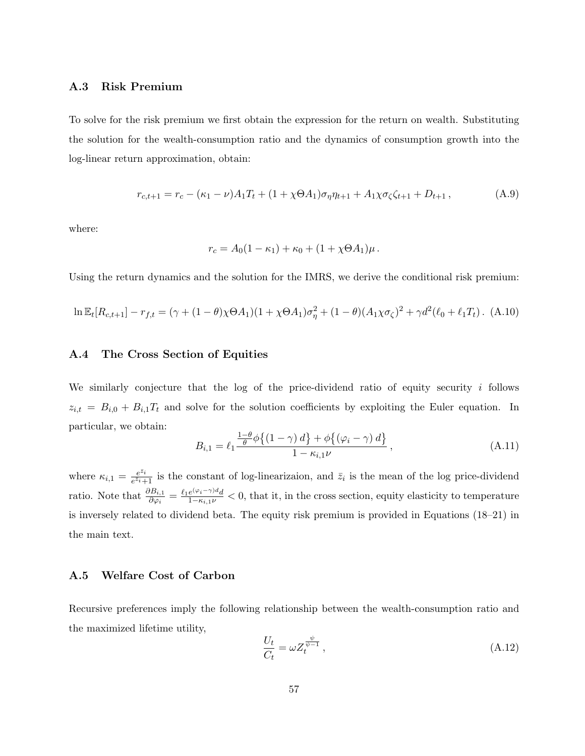#### **A.3 Risk Premium**

To solve for the risk premium we first obtain the expression for the return on wealth. Substituting the solution for the wealth-consumption ratio and the dynamics of consumption growth into the log-linear return approximation, obtain:

$$
r_{c,t+1} = r_c - (\kappa_1 - \nu)A_1T_t + (1 + \chi \Theta A_1)\sigma_\eta \eta_{t+1} + A_1 \chi \sigma_\zeta \zeta_{t+1} + D_{t+1}, \tag{A.9}
$$

where:

$$
r_c = A_0(1 - \kappa_1) + \kappa_0 + (1 + \chi \Theta A_1) \mu \, .
$$

Using the return dynamics and the solution for the IMRS, we derive the conditional risk premium:

$$
\ln \mathbb{E}_t[R_{c,t+1}] - r_{f,t} = (\gamma + (1 - \theta)\chi \Theta A_1)(1 + \chi \Theta A_1)\sigma_\eta^2 + (1 - \theta)(A_1\chi \sigma_\zeta)^2 + \gamma d^2(\ell_0 + \ell_1 T_t). \tag{A.10}
$$

#### **A.4 The Cross Section of Equities**

We similarly conjecture that the log of the price-dividend ratio of equity security *i* follows  $z_{i,t} = B_{i,0} + B_{i,1}T_t$  and solve for the solution coefficients by exploiting the Euler equation. In particular, we obtain:

$$
B_{i,1} = \ell_1 \frac{\frac{1-\theta}{\theta} \phi \{(1-\gamma) d\} + \phi \{(\varphi_i - \gamma) d\}}{1 - \kappa_{i,1} \nu}, \qquad (A.11)
$$

where  $\kappa_{i,1} = \frac{e^{\bar{z}_i}}{e^{\bar{z}_i}+1}$  $\frac{e^{z_i}}{e^{\bar{z}_i}+1}$  is the constant of log-linearizaion, and  $\bar{z}_i$  is the mean of the log price-dividend ratio. Note that  $\frac{\partial B_{i,1}}{\partial \varphi_i} = \frac{\ell_1 e^{(\varphi_i - \gamma)} d}{1 - \kappa_{i,1} \nu} < 0$ , that it, in the cross section, equity elasticity to temperature is inversely related to dividend beta. The equity risk premium is provided in Equations (18–21) in the main text.

#### **A.5 Welfare Cost of Carbon**

Recursive preferences imply the following relationship between the wealth-consumption ratio and the maximized lifetime utility,

$$
\frac{U_t}{C_t} = \omega Z_t^{\frac{\psi}{\psi - 1}},\tag{A.12}
$$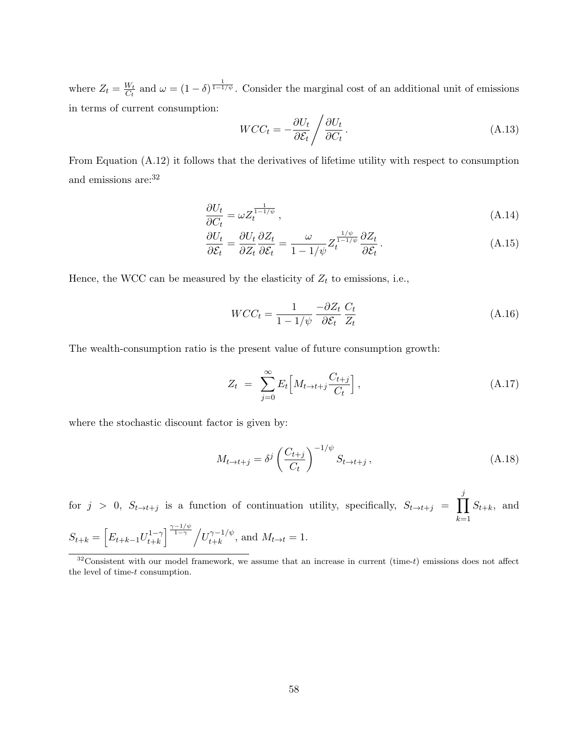where  $Z_t = \frac{W_t}{C_t}$  $\frac{W_t}{C_t}$  and  $\omega = (1 - \delta)^{\frac{1}{1 - 1/\psi}}$ . Consider the marginal cost of an additional unit of emissions in terms of current consumption:

$$
WCC_t = -\frac{\partial U_t}{\partial \mathcal{E}_t} / \frac{\partial U_t}{\partial C_t}.
$$
\n(A.13)

From Equation (A.12) it follows that the derivatives of lifetime utility with respect to consumption and emissions are:  $32$ 

$$
\frac{\partial U_t}{\partial C_t} = \omega Z_t^{\frac{1}{1-1/\psi}},\tag{A.14}
$$

$$
\frac{\partial U_t}{\partial \mathcal{E}_t} = \frac{\partial U_t}{\partial Z_t} \frac{\partial Z_t}{\partial \mathcal{E}_t} = \frac{\omega}{1 - 1/\psi} Z_t^{\frac{1/\psi}{1 - 1/\psi}} \frac{\partial Z_t}{\partial \mathcal{E}_t} \,. \tag{A.15}
$$

Hence, the WCC can be measured by the elasticity of  $Z_t$  to emissions, i.e.,

$$
WCC_t = \frac{1}{1 - 1/\psi} \frac{-\partial Z_t}{\partial \mathcal{E}_t} \frac{C_t}{Z_t}
$$
 (A.16)

The wealth-consumption ratio is the present value of future consumption growth:

$$
Z_t = \sum_{j=0}^{\infty} E_t \left[ M_{t \to t+j} \frac{C_{t+j}}{C_t} \right], \tag{A.17}
$$

where the stochastic discount factor is given by:

$$
M_{t \to t+j} = \delta^j \left(\frac{C_{t+j}}{C_t}\right)^{-1/\psi} S_{t \to t+j}, \qquad (A.18)
$$

for  $j > 0$ ,  $S_{t \to t+j}$  is a function of continuation utility, specifically,  $S_{t \to t+j} = \prod_{i=1}^{j}$ *k*=1  $S_{t+k}$ , and  $S_{t+k} = \left[ E_{t+k-1} U_{t+k}^{1-\gamma} \right]$  $\int_{t+k}^{\frac{\gamma-1/\psi}{1-\gamma}}$  / $U_{t+k}^{\gamma-1/\psi}$ , and  $M_{t\to t} = 1$ .

<sup>32</sup>Consistent with our model framework, we assume that an increase in current (time-*t*) emissions does not affect the level of time-*t* consumption.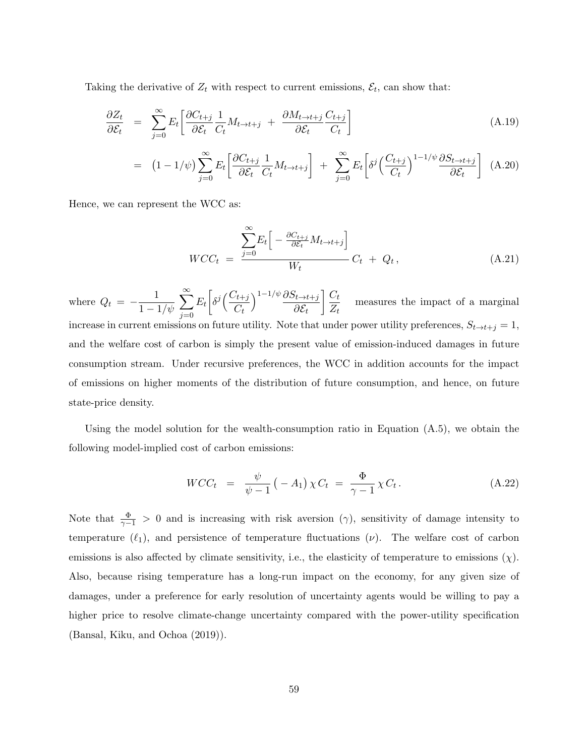Taking the derivative of  $Z_t$  with respect to current emissions,  $\mathcal{E}_t$ , can show that:

$$
\frac{\partial Z_t}{\partial \mathcal{E}_t} = \sum_{j=0}^{\infty} E_t \left[ \frac{\partial C_{t+j}}{\partial \mathcal{E}_t} \frac{1}{C_t} M_{t \to t+j} + \frac{\partial M_{t \to t+j}}{\partial \mathcal{E}_t} \frac{C_{t+j}}{C_t} \right]
$$
(A.19)

$$
= (1 - 1/\psi) \sum_{j=0}^{\infty} E_t \left[ \frac{\partial C_{t+j}}{\partial \mathcal{E}_t} \frac{1}{C_t} M_{t \to t+j} \right] + \sum_{j=0}^{\infty} E_t \left[ \delta^j \left( \frac{C_{t+j}}{C_t} \right)^{1-1/\psi} \frac{\partial S_{t \to t+j}}{\partial \mathcal{E}_t} \right] (A.20)
$$

Hence, we can represent the WCC as:

$$
WCC_t = \frac{\sum_{j=0}^{\infty} E_t \left[ -\frac{\partial C_{t+j}}{\partial \mathcal{E}_t} M_{t \to t+j} \right]}{W_t} C_t + Q_t, \qquad (A.21)
$$

where  $Q_t = -\frac{1}{1-t}$ 1 *−* 1*/ψ* ∑*<sup>∞</sup> j*=0  $E_t$  $\sqrt{2}$  $\delta^j\left(\frac{C_{t+j}}{C}\right)$  $C_t$ )1*−*1*/ψ ∂St→t*+*<sup>j</sup> ∂E<sup>t</sup>*  $\bigcap C_t$  $\frac{\partial u}{\partial t}$  measures the impact of a marginal increase in current emissions on future utility. Note that under power utility preferences,  $S_{t\rightarrow t+j} = 1$ , and the welfare cost of carbon is simply the present value of emission-induced damages in future consumption stream. Under recursive preferences, the WCC in addition accounts for the impact of emissions on higher moments of the distribution of future consumption, and hence, on future state-price density.

Using the model solution for the wealth-consumption ratio in Equation  $(A.5)$ , we obtain the following model-implied cost of carbon emissions:

$$
WCC_t = \frac{\psi}{\psi - 1} (-A_1) \chi C_t = \frac{\Phi}{\gamma - 1} \chi C_t.
$$
 (A.22)

Note that  $\frac{\Phi}{\gamma-1} > 0$  and is increasing with risk aversion ( $\gamma$ ), sensitivity of damage intensity to temperature  $(\ell_1)$ , and persistence of temperature fluctuations  $(\nu)$ . The welfare cost of carbon emissions is also affected by climate sensitivity, i.e., the elasticity of temperature to emissions  $(\chi)$ . Also, because rising temperature has a long-run impact on the economy, for any given size of damages, under a preference for early resolution of uncertainty agents would be willing to pay a higher price to resolve climate-change uncertainty compared with the power-utility specification (Bansal, Kiku, and Ochoa (2019)).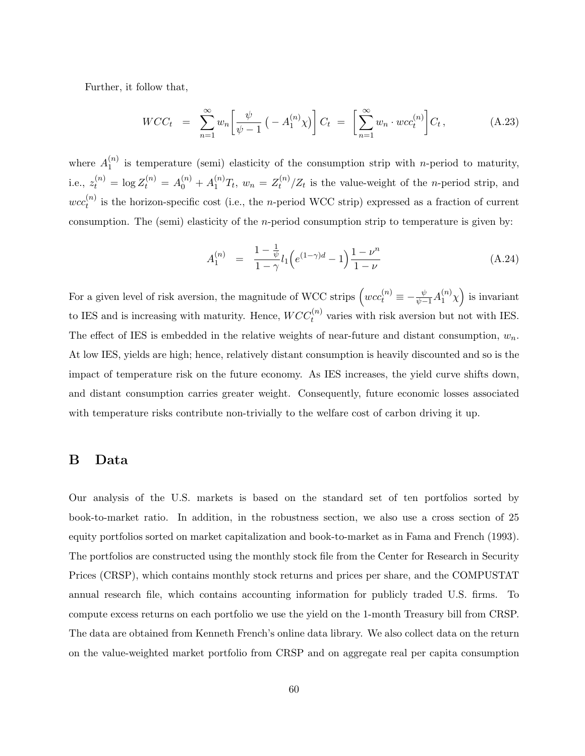Further, it follow that,

$$
WCC_t = \sum_{n=1}^{\infty} w_n \left[ \frac{\psi}{\psi - 1} \left( -A_1^{(n)} \chi \right) \right] C_t = \left[ \sum_{n=1}^{\infty} w_n \cdot wcc_t^{(n)} \right] C_t, \tag{A.23}
$$

where  $A_1^{(n)}$  $\binom{n}{1}$  is temperature (semi) elasticity of the consumption strip with *n*-period to maturity, i.e.,  $z_t^{(n)} = \log Z_t^{(n)} = A_0^{(n)} + A_1^{(n)}T_t$ ,  $w_n = Z_t^{(n)}$  $\frac{d^{(n)}}{dt}$  /Z<sub>t</sub> is the value-weight of the *n*-period strip, and  $wcc_t^{(n)}$  $t^{(n)}$  is the horizon-specific cost (i.e., the *n*-period WCC strip) expressed as a fraction of current consumption. The (semi) elasticity of the *n*-period consumption strip to temperature is given by:

$$
A_1^{(n)} = \frac{1 - \frac{1}{\psi}}{1 - \gamma} l_1 \left( e^{(1 - \gamma)d} - 1 \right) \frac{1 - \nu^n}{1 - \nu} \tag{A.24}
$$

For a given level of risk aversion, the magnitude of WCC strips  $(wcc_t^{(n)} \equiv -\frac{\psi}{\psi-1}A_1^{(n)}\chi$  is invariant to IES and is increasing with maturity. Hence,  $WCC_t^{(n)}$  varies with risk aversion but not with IES. The effect of IES is embedded in the relative weights of near-future and distant consumption, *wn*. At low IES, yields are high; hence, relatively distant consumption is heavily discounted and so is the impact of temperature risk on the future economy. As IES increases, the yield curve shifts down, and distant consumption carries greater weight. Consequently, future economic losses associated with temperature risks contribute non-trivially to the welfare cost of carbon driving it up.

#### **B Data**

Our analysis of the U.S. markets is based on the standard set of ten portfolios sorted by book-to-market ratio. In addition, in the robustness section, we also use a cross section of 25 equity portfolios sorted on market capitalization and book-to-market as in Fama and French (1993). The portfolios are constructed using the monthly stock file from the Center for Research in Security Prices (CRSP), which contains monthly stock returns and prices per share, and the COMPUSTAT annual research file, which contains accounting information for publicly traded U.S. firms. To compute excess returns on each portfolio we use the yield on the 1-month Treasury bill from CRSP. The data are obtained from Kenneth French's online data library. We also collect data on the return on the value-weighted market portfolio from CRSP and on aggregate real per capita consumption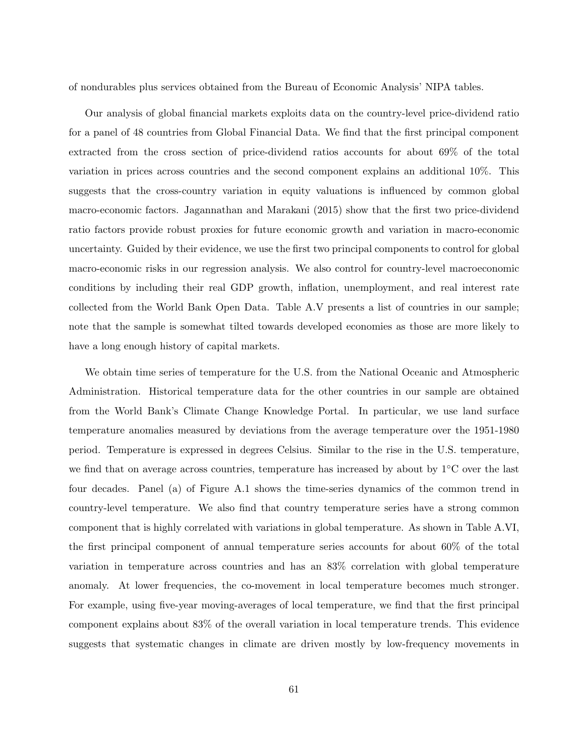of nondurables plus services obtained from the Bureau of Economic Analysis' NIPA tables.

Our analysis of global financial markets exploits data on the country-level price-dividend ratio for a panel of 48 countries from Global Financial Data. We find that the first principal component extracted from the cross section of price-dividend ratios accounts for about 69% of the total variation in prices across countries and the second component explains an additional 10%. This suggests that the cross-country variation in equity valuations is influenced by common global macro-economic factors. Jagannathan and Marakani (2015) show that the first two price-dividend ratio factors provide robust proxies for future economic growth and variation in macro-economic uncertainty. Guided by their evidence, we use the first two principal components to control for global macro-economic risks in our regression analysis. We also control for country-level macroeconomic conditions by including their real GDP growth, inflation, unemployment, and real interest rate collected from the World Bank Open Data. Table A.V presents a list of countries in our sample; note that the sample is somewhat tilted towards developed economies as those are more likely to have a long enough history of capital markets.

We obtain time series of temperature for the U.S. from the National Oceanic and Atmospheric Administration. Historical temperature data for the other countries in our sample are obtained from the World Bank's Climate Change Knowledge Portal. In particular, we use land surface temperature anomalies measured by deviations from the average temperature over the 1951-1980 period. Temperature is expressed in degrees Celsius. Similar to the rise in the U.S. temperature, we find that on average across countries, temperature has increased by about by 1*◦*C over the last four decades. Panel (a) of Figure A.1 shows the time-series dynamics of the common trend in country-level temperature. We also find that country temperature series have a strong common component that is highly correlated with variations in global temperature. As shown in Table A.VI, the first principal component of annual temperature series accounts for about 60% of the total variation in temperature across countries and has an 83% correlation with global temperature anomaly. At lower frequencies, the co-movement in local temperature becomes much stronger. For example, using five-year moving-averages of local temperature, we find that the first principal component explains about 83% of the overall variation in local temperature trends. This evidence suggests that systematic changes in climate are driven mostly by low-frequency movements in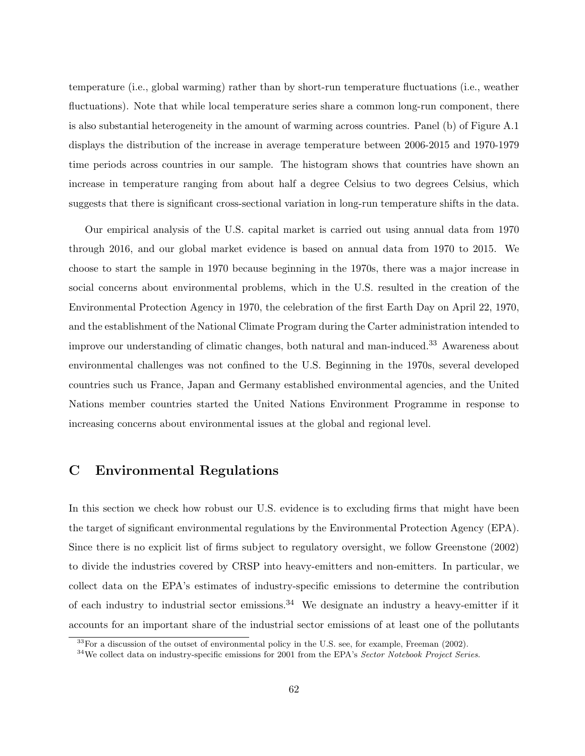temperature (i.e., global warming) rather than by short-run temperature fluctuations (i.e., weather fluctuations). Note that while local temperature series share a common long-run component, there is also substantial heterogeneity in the amount of warming across countries. Panel (b) of Figure A.1 displays the distribution of the increase in average temperature between 2006-2015 and 1970-1979 time periods across countries in our sample. The histogram shows that countries have shown an increase in temperature ranging from about half a degree Celsius to two degrees Celsius, which suggests that there is significant cross-sectional variation in long-run temperature shifts in the data.

Our empirical analysis of the U.S. capital market is carried out using annual data from 1970 through 2016, and our global market evidence is based on annual data from 1970 to 2015. We choose to start the sample in 1970 because beginning in the 1970s, there was a major increase in social concerns about environmental problems, which in the U.S. resulted in the creation of the Environmental Protection Agency in 1970, the celebration of the first Earth Day on April 22, 1970, and the establishment of the National Climate Program during the Carter administration intended to improve our understanding of climatic changes, both natural and man-induced.<sup>33</sup> Awareness about environmental challenges was not confined to the U.S. Beginning in the 1970s, several developed countries such us France, Japan and Germany established environmental agencies, and the United Nations member countries started the United Nations Environment Programme in response to increasing concerns about environmental issues at the global and regional level.

### **C Environmental Regulations**

In this section we check how robust our U.S. evidence is to excluding firms that might have been the target of significant environmental regulations by the Environmental Protection Agency (EPA). Since there is no explicit list of firms subject to regulatory oversight, we follow Greenstone (2002) to divide the industries covered by CRSP into heavy-emitters and non-emitters. In particular, we collect data on the EPA's estimates of industry-specific emissions to determine the contribution of each industry to industrial sector emissions.<sup>34</sup> We designate an industry a heavy-emitter if it accounts for an important share of the industrial sector emissions of at least one of the pollutants

 $33$ For a discussion of the outset of environmental policy in the U.S. see, for example, Freeman (2002).

<sup>34</sup>We collect data on industry-specific emissions for 2001 from the EPA's *Sector Notebook Project Series*.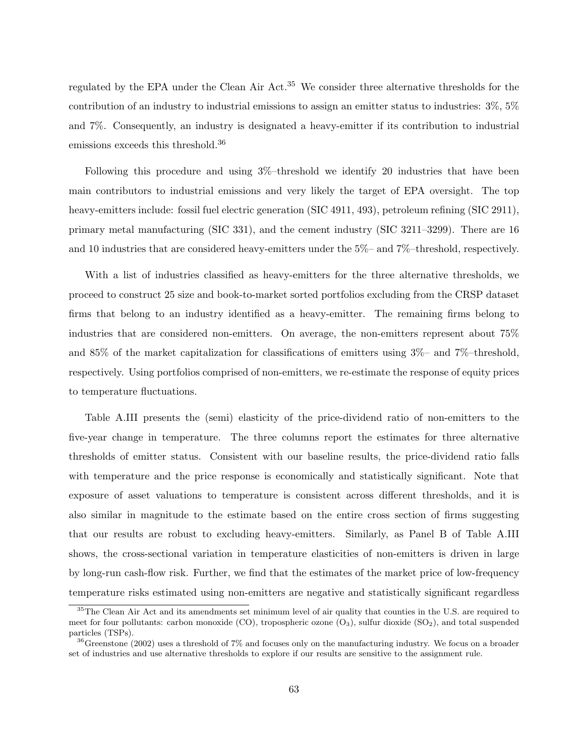regulated by the EPA under the Clean Air Act.<sup>35</sup> We consider three alternative thresholds for the contribution of an industry to industrial emissions to assign an emitter status to industries: 3%, 5% and 7%. Consequently, an industry is designated a heavy-emitter if its contribution to industrial emissions exceeds this threshold.<sup>36</sup>

Following this procedure and using 3%–threshold we identify 20 industries that have been main contributors to industrial emissions and very likely the target of EPA oversight. The top heavy-emitters include: fossil fuel electric generation (SIC 4911, 493), petroleum refining (SIC 2911), primary metal manufacturing (SIC 331), and the cement industry (SIC 3211–3299). There are 16 and 10 industries that are considered heavy-emitters under the 5%– and 7%–threshold, respectively.

With a list of industries classified as heavy-emitters for the three alternative thresholds, we proceed to construct 25 size and book-to-market sorted portfolios excluding from the CRSP dataset firms that belong to an industry identified as a heavy-emitter. The remaining firms belong to industries that are considered non-emitters. On average, the non-emitters represent about 75% and 85% of the market capitalization for classifications of emitters using 3%– and 7%–threshold, respectively. Using portfolios comprised of non-emitters, we re-estimate the response of equity prices to temperature fluctuations.

Table A.III presents the (semi) elasticity of the price-dividend ratio of non-emitters to the five-year change in temperature. The three columns report the estimates for three alternative thresholds of emitter status. Consistent with our baseline results, the price-dividend ratio falls with temperature and the price response is economically and statistically significant. Note that exposure of asset valuations to temperature is consistent across different thresholds, and it is also similar in magnitude to the estimate based on the entire cross section of firms suggesting that our results are robust to excluding heavy-emitters. Similarly, as Panel B of Table A.III shows, the cross-sectional variation in temperature elasticities of non-emitters is driven in large by long-run cash-flow risk. Further, we find that the estimates of the market price of low-frequency temperature risks estimated using non-emitters are negative and statistically significant regardless

<sup>&</sup>lt;sup>35</sup>The Clean Air Act and its amendments set minimum level of air quality that counties in the U.S. are required to meet for four pollutants: carbon monoxide  $(CO)$ , tropospheric ozone  $(O_3)$ , sulfur dioxide  $(SO_2)$ , and total suspended particles (TSPs).

<sup>&</sup>lt;sup>36</sup>Greenstone (2002) uses a threshold of 7% and focuses only on the manufacturing industry. We focus on a broader set of industries and use alternative thresholds to explore if our results are sensitive to the assignment rule.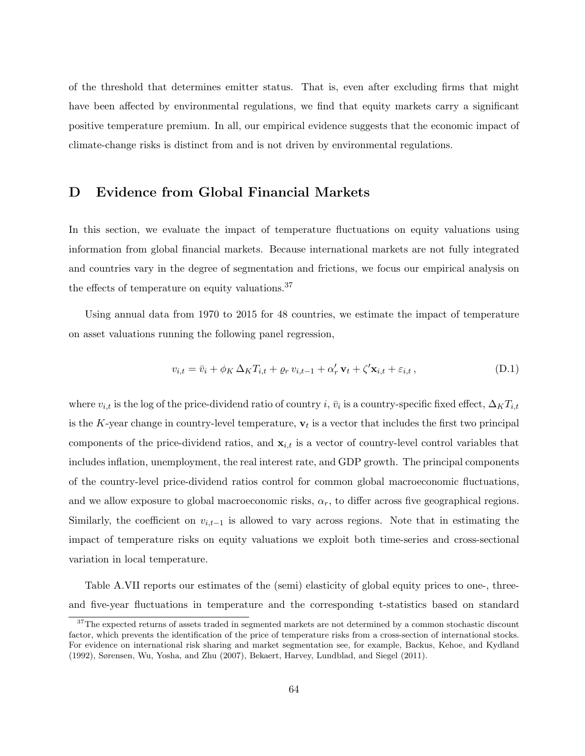of the threshold that determines emitter status. That is, even after excluding firms that might have been affected by environmental regulations, we find that equity markets carry a significant positive temperature premium. In all, our empirical evidence suggests that the economic impact of climate-change risks is distinct from and is not driven by environmental regulations.

#### **D Evidence from Global Financial Markets**

In this section, we evaluate the impact of temperature fluctuations on equity valuations using information from global financial markets. Because international markets are not fully integrated and countries vary in the degree of segmentation and frictions, we focus our empirical analysis on the effects of temperature on equity valuations.<sup>37</sup>

Using annual data from 1970 to 2015 for 48 countries, we estimate the impact of temperature on asset valuations running the following panel regression,

$$
v_{i,t} = \bar{v}_i + \phi_K \Delta_K T_{i,t} + \varrho_r v_{i,t-1} + \alpha'_r \mathbf{v}_t + \zeta' \mathbf{x}_{i,t} + \varepsilon_{i,t}, \tag{D.1}
$$

where  $v_{i,t}$  is the log of the price-dividend ratio of country  $i, \bar{v}_i$  is a country-specific fixed effect,  $\Delta_K T_{i,t}$ is the *K*-year change in country-level temperature,  $\mathbf{v}_t$  is a vector that includes the first two principal components of the price-dividend ratios, and  $x_{i,t}$  is a vector of country-level control variables that includes inflation, unemployment, the real interest rate, and GDP growth. The principal components of the country-level price-dividend ratios control for common global macroeconomic fluctuations, and we allow exposure to global macroeconomic risks, *αr*, to differ across five geographical regions. Similarly, the coefficient on  $v_{i,t-1}$  is allowed to vary across regions. Note that in estimating the impact of temperature risks on equity valuations we exploit both time-series and cross-sectional variation in local temperature.

Table A.VII reports our estimates of the (semi) elasticity of global equity prices to one-, threeand five-year fluctuations in temperature and the corresponding t-statistics based on standard

<sup>&</sup>lt;sup>37</sup>The expected returns of assets traded in segmented markets are not determined by a common stochastic discount factor, which prevents the identification of the price of temperature risks from a cross-section of international stocks. For evidence on international risk sharing and market segmentation see, for example, Backus, Kehoe, and Kydland (1992), Sørensen, Wu, Yosha, and Zhu (2007), Bekaert, Harvey, Lundblad, and Siegel (2011).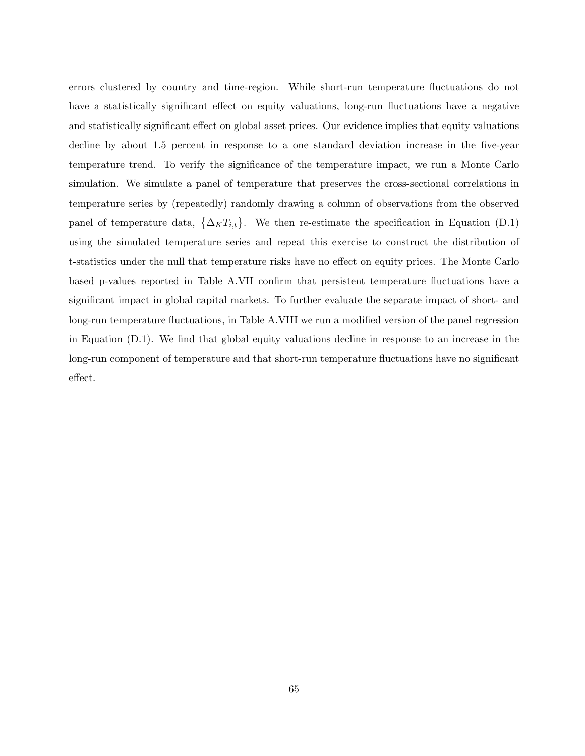errors clustered by country and time-region. While short-run temperature fluctuations do not have a statistically significant effect on equity valuations, long-run fluctuations have a negative and statistically significant effect on global asset prices. Our evidence implies that equity valuations decline by about 1*.*5 percent in response to a one standard deviation increase in the five-year temperature trend. To verify the significance of the temperature impact, we run a Monte Carlo simulation. We simulate a panel of temperature that preserves the cross-sectional correlations in temperature series by (repeatedly) randomly drawing a column of observations from the observed panel of temperature data,  $\{\Delta_K T_{i,t}\}$ . We then re-estimate the specification in Equation (D.1) using the simulated temperature series and repeat this exercise to construct the distribution of t-statistics under the null that temperature risks have no effect on equity prices. The Monte Carlo based p-values reported in Table A.VII confirm that persistent temperature fluctuations have a significant impact in global capital markets. To further evaluate the separate impact of short- and long-run temperature fluctuations, in Table A.VIII we run a modified version of the panel regression in Equation (D.1). We find that global equity valuations decline in response to an increase in the long-run component of temperature and that short-run temperature fluctuations have no significant effect.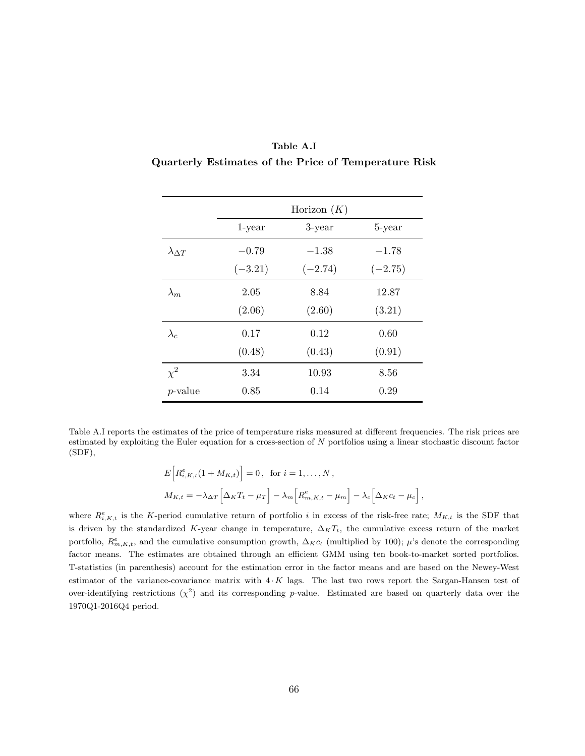|                                                      | Table A.I |  |  |
|------------------------------------------------------|-----------|--|--|
| Quarterly Estimates of the Price of Temperature Risk |           |  |  |

|                      | Horizon $(K)$ |           |           |  |
|----------------------|---------------|-----------|-----------|--|
|                      | $1$ -year     | $3$ -year | 5-year    |  |
| $\lambda_{\Delta T}$ | $-0.79$       | $-1.38$   | $-1.78$   |  |
|                      | $(-3.21)$     | $(-2.74)$ | $(-2.75)$ |  |
| $\lambda_m$          | 2.05          | 8.84      | 12.87     |  |
|                      | (2.06)        | (2.60)    | (3.21)    |  |
| $\lambda_c$          | 0.17          | 0.12      | 0.60      |  |
|                      | (0.48)        | (0.43)    | (0.91)    |  |
| $\chi^2$             | 3.34          | 10.93     | 8.56      |  |
| $p$ -value           | 0.85          | 0.14      | 0.29      |  |

Table A.I reports the estimates of the price of temperature risks measured at different frequencies. The risk prices are estimated by exploiting the Euler equation for a cross-section of *N* portfolios using a linear stochastic discount factor (SDF),

$$
E\Big[R_{i,K,t}^e(1+M_{K,t})\Big]=0\,,\text{ for }i=1,\ldots,N\,,
$$
  

$$
M_{K,t}=-\lambda_{\Delta T}\Big[\Delta_K T_t-\mu_T\Big]-\lambda_m\Big[R_{m,K,t}^e-\mu_m\Big]-\lambda_c\Big[\Delta_K c_t-\mu_c\Big]\,,
$$

where  $R_{i,K,t}^e$  is the *K*-period cumulative return of portfolio *i* in excess of the risk-free rate;  $M_{K,t}$  is the SDF that is driven by the standardized *K*-year change in temperature,  $\Delta_K T_t$ , the cumulative excess return of the market portfolio,  $R_{m,K,t}^e$ , and the cumulative consumption growth,  $\Delta_K c_t$  (multiplied by 100);  $\mu$ 's denote the corresponding factor means. The estimates are obtained through an efficient GMM using ten book-to-market sorted portfolios. T-statistics (in parenthesis) account for the estimation error in the factor means and are based on the Newey-West estimator of the variance-covariance matrix with 4 *· K* lags. The last two rows report the Sargan-Hansen test of over-identifying restrictions  $(\chi^2)$  and its corresponding *p*-value. Estimated are based on quarterly data over the 1970Q1-2016Q4 period.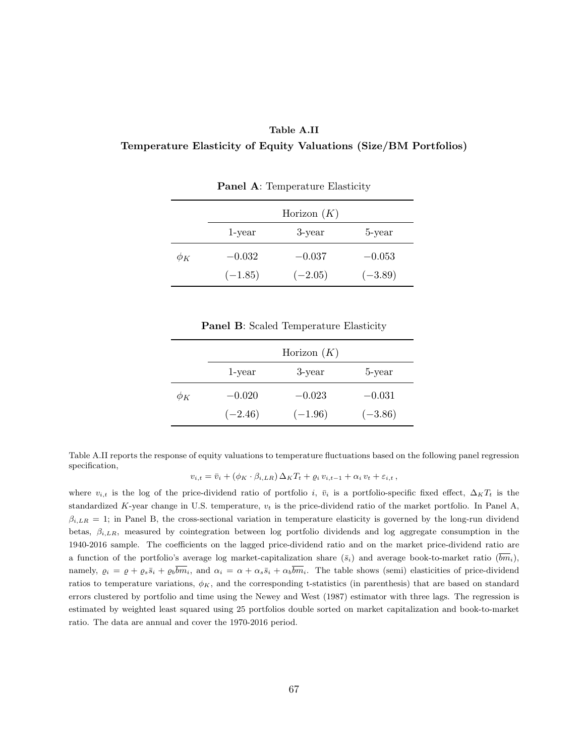#### **Table A.II**

#### **Temperature Elasticity of Equity Valuations (Size/BM Portfolios)**

|          |           | Horizon $(K)$ |           |
|----------|-----------|---------------|-----------|
|          | 1-year    | 3-year        | 5-year    |
| $\phi_K$ | $-0.032$  | $-0.037$      | $-0.053$  |
|          | $(-1.85)$ | $(-2.05)$     | $(-3.89)$ |

**Panel A**: Temperature Elasticity

**Panel B**: Scaled Temperature Elasticity

|          |           | Horizon $(K)$ |           |
|----------|-----------|---------------|-----------|
|          | 1-year    | 3-year        | 5-year    |
| $\phi_K$ | $-0.020$  | $-0.023$      | $-0.031$  |
|          | $(-2.46)$ | $(-1.96)$     | $(-3.86)$ |

Table A.II reports the response of equity valuations to temperature fluctuations based on the following panel regression specification,

$$
v_{i,t} = \bar{v}_i + (\phi_K \cdot \beta_{i,LR}) \Delta_K T_t + \varrho_i v_{i,t-1} + \alpha_i v_t + \varepsilon_{i,t},
$$

where  $v_{i,t}$  is the log of the price-dividend ratio of portfolio *i*,  $\bar{v}_i$  is a portfolio-specific fixed effect,  $\Delta_K T_t$  is the standardized *K*-year change in U.S. temperature, *v<sup>t</sup>* is the price-dividend ratio of the market portfolio. In Panel A,  $\beta_{i,LR} = 1$ ; in Panel B, the cross-sectional variation in temperature elasticity is governed by the long-run dividend betas, *βi,LR*, measured by cointegration between log portfolio dividends and log aggregate consumption in the 1940-2016 sample. The coefficients on the lagged price-dividend ratio and on the market price-dividend ratio are a function of the portfolio's average log market-capitalization share  $(\bar{s}_i)$  and average book-to-market ratio  $(\bar{b}\bar{m}_i)$ , namely,  $\rho_i = \rho + \rho_s \bar{s}_i + \rho_b \bar{b} \bar{m}_i$ , and  $\alpha_i = \alpha + \alpha_s \bar{s}_i + \alpha_b \bar{b} \bar{m}_i$ . The table shows (semi) elasticities of price-dividend ratios to temperature variations,  $\phi_K$ , and the corresponding t-statistics (in parenthesis) that are based on standard errors clustered by portfolio and time using the Newey and West (1987) estimator with three lags. The regression is estimated by weighted least squared using 25 portfolios double sorted on market capitalization and book-to-market ratio. The data are annual and cover the 1970-2016 period.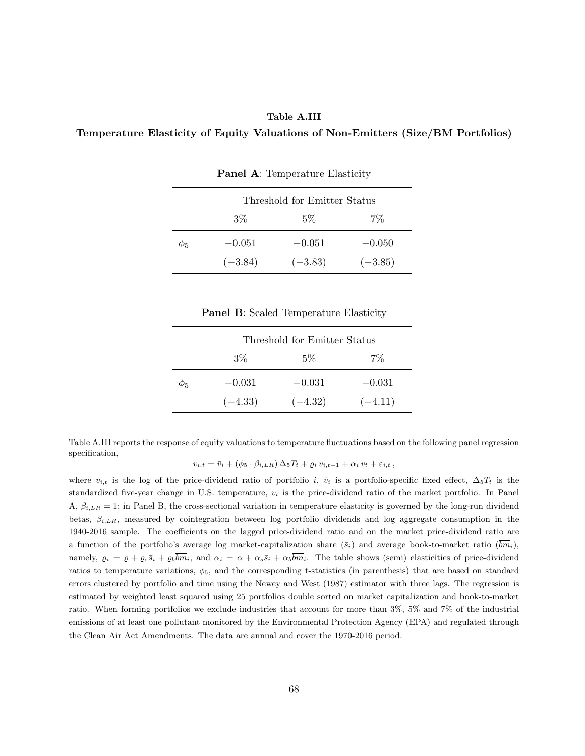#### **Table A.III**

#### **Temperature Elasticity of Equity Valuations of Non-Emitters (Size/BM Portfolios)**

|          | Threshold for Emitter Status |           |           |  |  |
|----------|------------------------------|-----------|-----------|--|--|
|          | $3\%$                        | $5\%$     | $7\%$     |  |  |
| $\phi_5$ | $-0.051$                     | $-0.051$  | $-0.050$  |  |  |
|          | $(-3.84)$                    | $(-3.83)$ | $(-3.85)$ |  |  |

**Panel A**: Temperature Elasticity

**Panel B**: Scaled Temperature Elasticity

|             | Threshold for Emitter Status |           |           |  |  |
|-------------|------------------------------|-----------|-----------|--|--|
|             | $3\%$                        | $5\%$     | $7\%$     |  |  |
| $\varphi_5$ | $-0.031$                     | $-0.031$  | $-0.031$  |  |  |
|             | $(-4.33)$                    | $(-4.32)$ | $(-4.11)$ |  |  |

Table A.III reports the response of equity valuations to temperature fluctuations based on the following panel regression specification,

$$
v_{i,t} = \bar{v}_i + (\phi_5 \cdot \beta_{i,LR}) \Delta_5 T_t + \varrho_i v_{i,t-1} + \alpha_i v_t + \varepsilon_{i,t},
$$

where  $v_{i,t}$  is the log of the price-dividend ratio of portfolio *i*,  $\bar{v}_i$  is a portfolio-specific fixed effect,  $\Delta_5 T_t$  is the standardized five-year change in U.S. temperature, *v<sup>t</sup>* is the price-dividend ratio of the market portfolio. In Panel A,  $\beta_{i,LR} = 1$ ; in Panel B, the cross-sectional variation in temperature elasticity is governed by the long-run dividend betas, *βi,LR*, measured by cointegration between log portfolio dividends and log aggregate consumption in the 1940-2016 sample. The coefficients on the lagged price-dividend ratio and on the market price-dividend ratio are a function of the portfolio's average log market-capitalization share  $(\bar{s}_i)$  and average book-to-market ratio  $(\bar{b}\bar{m}_i)$ , namely,  $\rho_i = \rho + \rho_s \bar{s}_i + \rho_b \bar{b} \bar{m}_i$ , and  $\alpha_i = \alpha + \alpha_s \bar{s}_i + \alpha_b \bar{b} \bar{m}_i$ . The table shows (semi) elasticities of price-dividend ratios to temperature variations, *ϕ*5, and the corresponding t-statistics (in parenthesis) that are based on standard errors clustered by portfolio and time using the Newey and West (1987) estimator with three lags. The regression is estimated by weighted least squared using 25 portfolios double sorted on market capitalization and book-to-market ratio. When forming portfolios we exclude industries that account for more than 3%, 5% and 7% of the industrial emissions of at least one pollutant monitored by the Environmental Protection Agency (EPA) and regulated through the Clean Air Act Amendments. The data are annual and cover the 1970-2016 period.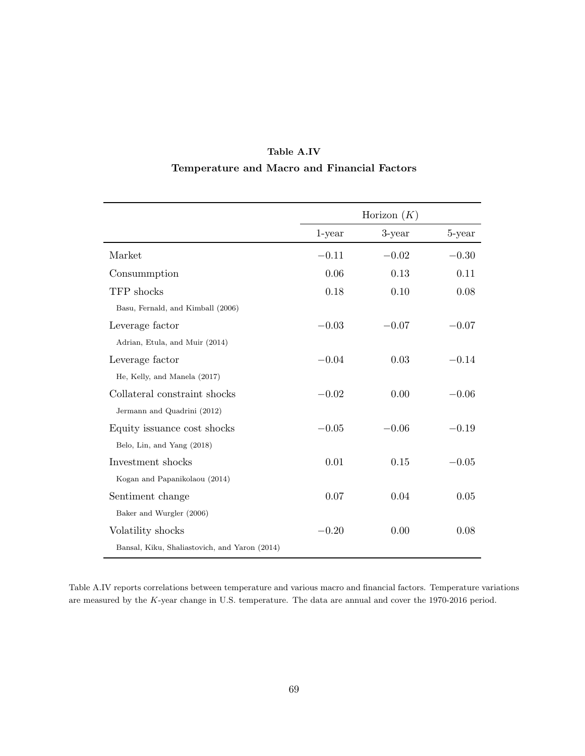|                                               |           | Horizon $(K)$ |         |
|-----------------------------------------------|-----------|---------------|---------|
|                                               | $1$ -year | 3-year        | 5-year  |
| Market                                        | $-0.11$   | $-0.02$       | $-0.30$ |
| Consummption                                  | 0.06      | 0.13          | 0.11    |
| TFP shocks                                    | 0.18      | 0.10          | 0.08    |
| Basu, Fernald, and Kimball (2006)             |           |               |         |
| Leverage factor                               | $-0.03$   | $-0.07$       | $-0.07$ |
| Adrian, Etula, and Muir (2014)                |           |               |         |
| Leverage factor                               | $-0.04$   | 0.03          | $-0.14$ |
| He, Kelly, and Manela (2017)                  |           |               |         |
| Collateral constraint shocks                  | $-0.02$   | $0.00\,$      | $-0.06$ |
| Jermann and Quadrini (2012)                   |           |               |         |
| Equity issuance cost shocks                   | $-0.05$   | $-0.06$       | $-0.19$ |
| Belo, Lin, and Yang (2018)                    |           |               |         |
| Investment shocks                             | 0.01      | 0.15          | $-0.05$ |
| Kogan and Papanikolaou (2014)                 |           |               |         |
| Sentiment change                              | 0.07      | 0.04          | 0.05    |
| Baker and Wurgler (2006)                      |           |               |         |
| Volatility shocks                             | $-0.20$   | 0.00          | 0.08    |
| Bansal, Kiku, Shaliastovich, and Yaron (2014) |           |               |         |

### **Table A.IV Temperature and Macro and Financial Factors**

Table A.IV reports correlations between temperature and various macro and financial factors. Temperature variations are measured by the *K*-year change in U.S. temperature. The data are annual and cover the 1970-2016 period.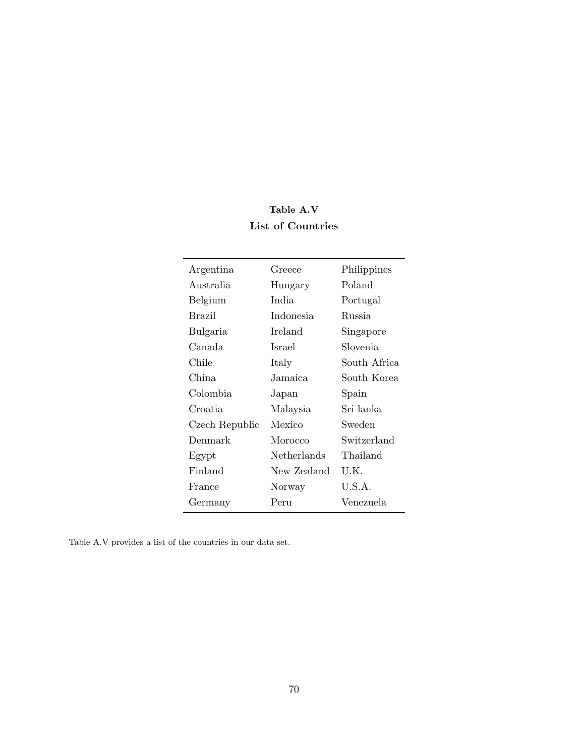## **Table A.V List of Countries**

| Argentina      | Greece             | Philippines   |
|----------------|--------------------|---------------|
| Australia      | Hungary            | Poland        |
| Belgium        | India.             | Portugal      |
| Brazil         | Indonesia          | <b>Russia</b> |
| Bulgaria       | Ireland            | Singapore     |
| Canada         | Israel             | Slovenia      |
| Chile          | Italy              | South Africa  |
| China.         | Jamaica            | South Korea   |
| Colombia       | Japan              | Spain         |
| Croatia        | Malaysia           | Sri lanka     |
| Czech Republic | Mexico             | Sweden        |
| Denmark        | Morocco            | Switzerland   |
| Egypt          | <b>Netherlands</b> | Thailand      |
| Finland        | New Zealand        | U.K.          |
| France         | Norway             | U.S.A.        |
| Germany        | Peru               | Venezuela     |
|                |                    |               |

Table A.V provides a list of the countries in our data set.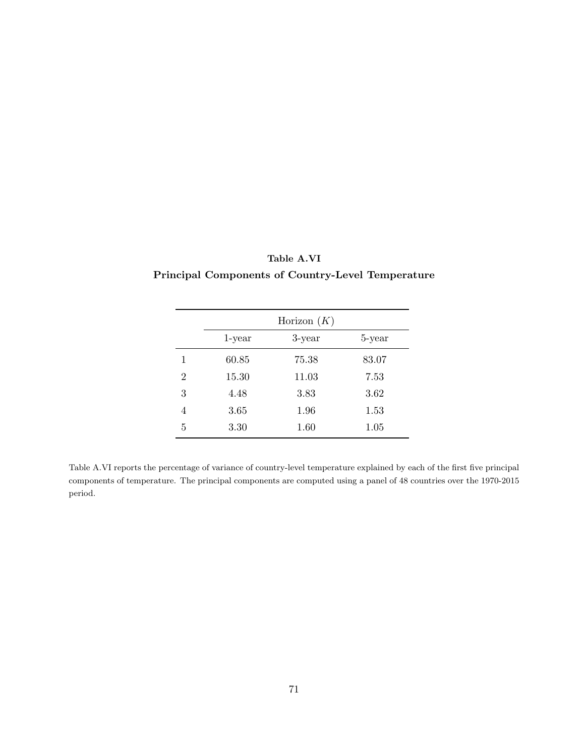|                | Horizon $(K)$ |        |        |
|----------------|---------------|--------|--------|
|                | $1$ -year     | 3-year | 5-year |
|                | 60.85         | 75.38  | 83.07  |
| $\overline{2}$ | 15.30         | 11.03  | 7.53   |
| 3              | 4.48          | 3.83   | 3.62   |
| 4              | 3.65          | 1.96   | 1.53   |
| 5              | 3.30          | 1.60   | 1.05   |

**Table A.VI Principal Components of Country-Level Temperature**

Table A.VI reports the percentage of variance of country-level temperature explained by each of the first five principal components of temperature. The principal components are computed using a panel of 48 countries over the 1970-2015 period.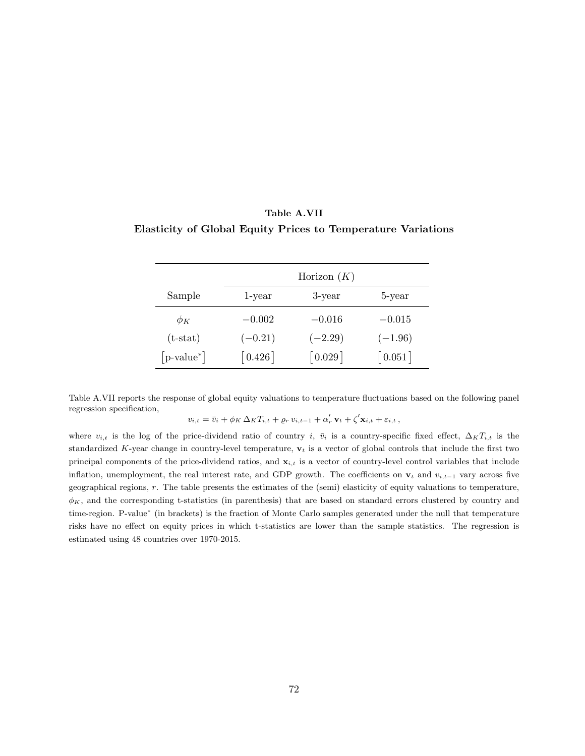|               | Horizon $(K)$         |                       |                       |
|---------------|-----------------------|-----------------------|-----------------------|
| Sample        | 1-year                | 3-year                | 5-year                |
| $\phi_K$      | $-0.002$              | $-0.016$              | $-0.015$              |
| $(t-stat)$    | $(-0.21)$             | $(-2.29)$             | $(-1.96)$             |
| $[p-value^*]$ | $\lceil 0.426 \rceil$ | $\lceil 0.029 \rceil$ | $\lceil 0.051 \rceil$ |

## **Table A.VII Elasticity of Global Equity Prices to Temperature Variations**

Table A.VII reports the response of global equity valuations to temperature fluctuations based on the following panel regression specification,

$$
v_{i,t} = \bar{v}_i + \phi_K \Delta_K T_{i,t} + \varrho_r v_{i,t-1} + \alpha'_r \mathbf{v}_t + \zeta' \mathbf{x}_{i,t} + \varepsilon_{i,t},
$$

where  $v_{i,t}$  is the log of the price-dividend ratio of country *i*,  $\bar{v}_i$  is a country-specific fixed effect,  $\Delta_K T_{i,t}$  is the standardized *K*-year change in country-level temperature, **v***<sup>t</sup>* is a vector of global controls that include the first two principal components of the price-dividend ratios, and **x***i,t* is a vector of country-level control variables that include inflation, unemployment, the real interest rate, and GDP growth. The coefficients on  $\mathbf{v}_t$  and  $v_{i,t-1}$  vary across five geographical regions, *r*. The table presents the estimates of the (semi) elasticity of equity valuations to temperature,  $\phi_K$ , and the corresponding t-statistics (in parenthesis) that are based on standard errors clustered by country and time-region. P-value*<sup>∗</sup>* (in brackets) is the fraction of Monte Carlo samples generated under the null that temperature risks have no effect on equity prices in which t-statistics are lower than the sample statistics. The regression is estimated using 48 countries over 1970-2015.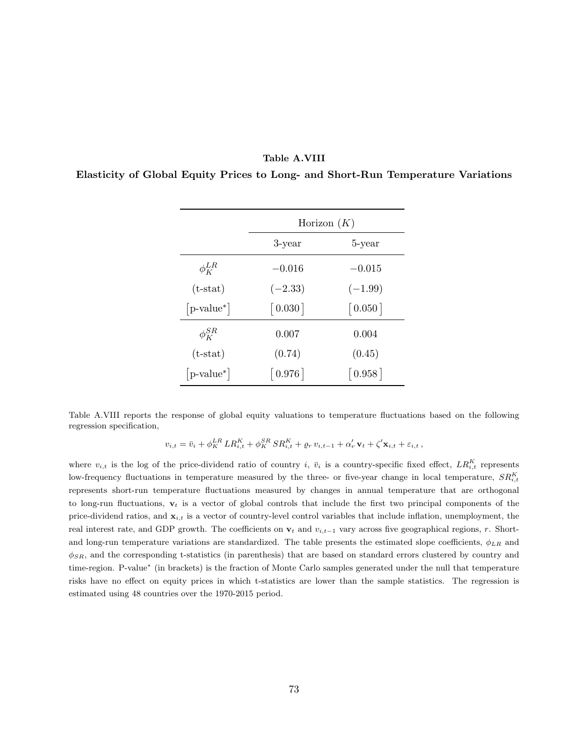## **Table A.VIII**

**Elasticity of Global Equity Prices to Long- and Short-Run Temperature Variations**

|               | Horizon $(K)$         |                       |  |
|---------------|-----------------------|-----------------------|--|
|               | 3-year                | 5-year                |  |
| $\phi_K^{LR}$ | $-0.016$              | $-0.015$              |  |
| $(t-stat)$    | $(-2.33)$             | $(-1.99)$             |  |
| $[p-value^*]$ | $\left[0.030\right]$  | $\left[0.050\right]$  |  |
| $\phi_K^{SR}$ | 0.007                 | 0.004                 |  |
| $(t-stat)$    | (0.74)                | (0.45)                |  |
| $ p-value^* $ | $\lceil 0.976 \rceil$ | $\lceil 0.958 \rceil$ |  |

Table A.VIII reports the response of global equity valuations to temperature fluctuations based on the following regression specification,

 $v_{i,t} = \bar{v}_i + \phi_K^{LR} L R_{i,t}^K + \phi_K^{SR} S R_{i,t}^K + \varrho_r v_{i,t-1} + \alpha'_r \mathbf{v}_t + \zeta' \mathbf{x}_{i,t} + \varepsilon_{i,t},$ 

where  $v_{i,t}$  is the log of the price-dividend ratio of country *i*,  $\bar{v}_i$  is a country-specific fixed effect,  $LR_{i,t}^K$  represents low-frequency fluctuations in temperature measured by the three- or five-year change in local temperature,  $SR^{K}_{i,t}$ represents short-run temperature fluctuations measured by changes in annual temperature that are orthogonal to long-run fluctuations, **v***<sup>t</sup>* is a vector of global controls that include the first two principal components of the price-dividend ratios, and **x***i,t* is a vector of country-level control variables that include inflation, unemployment, the real interest rate, and GDP growth. The coefficients on  $\mathbf{v}_t$  and  $v_{i,t-1}$  vary across five geographical regions, *r*. Shortand long-run temperature variations are standardized. The table presents the estimated slope coefficients, *ϕLR* and *ϕSR*, and the corresponding t-statistics (in parenthesis) that are based on standard errors clustered by country and time-region. P-value*<sup>∗</sup>* (in brackets) is the fraction of Monte Carlo samples generated under the null that temperature risks have no effect on equity prices in which t-statistics are lower than the sample statistics. The regression is estimated using 48 countries over the 1970-2015 period.